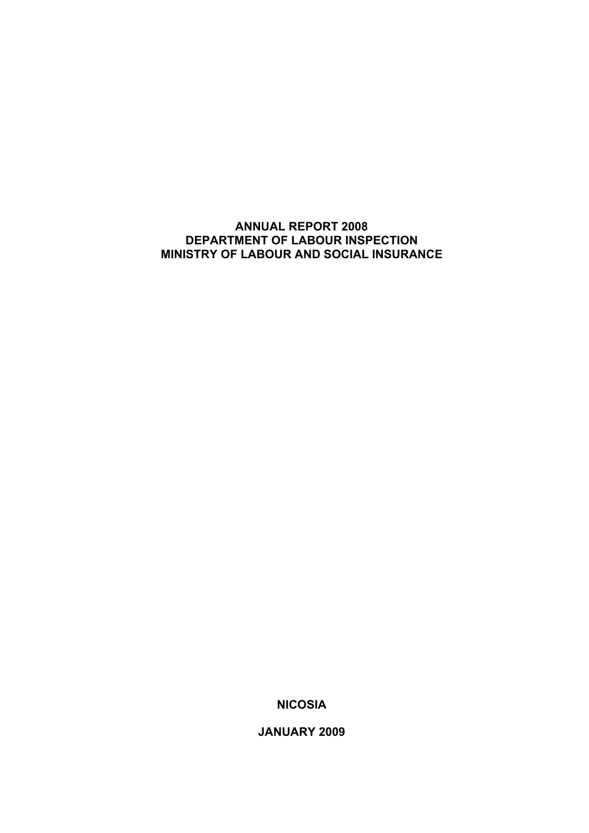# **ANNUAL REPORT 2008 DEPARTMENT OF LABOUR INSPECTION MINISTRY OF LABOUR AND SOCIAL INSURANCE**

**NICOSIA** 

**JANUARY 2009**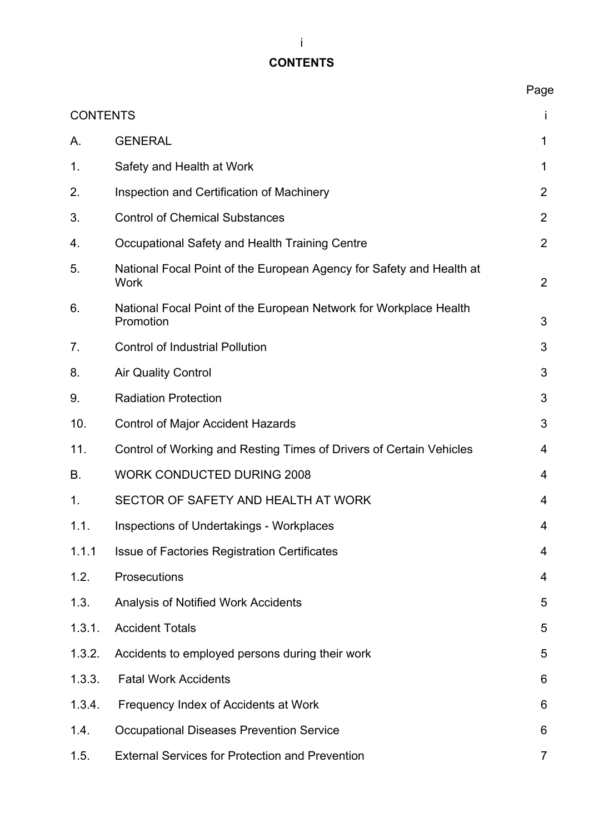# **CONTENTS**

|                 |                                                                                     | Page           |
|-----------------|-------------------------------------------------------------------------------------|----------------|
| <b>CONTENTS</b> |                                                                                     | I.             |
| Α.              | <b>GENERAL</b>                                                                      | 1              |
| 1.              | Safety and Health at Work                                                           | 1              |
| 2.              | Inspection and Certification of Machinery                                           | $\overline{2}$ |
| 3.              | <b>Control of Chemical Substances</b>                                               | 2              |
| 4.              | Occupational Safety and Health Training Centre                                      | $\overline{2}$ |
| 5.              | National Focal Point of the European Agency for Safety and Health at<br><b>Work</b> | 2              |
| 6.              | National Focal Point of the European Network for Workplace Health<br>Promotion      | 3              |
| 7.              | <b>Control of Industrial Pollution</b>                                              | 3              |
| 8.              | <b>Air Quality Control</b>                                                          | 3              |
| 9.              | <b>Radiation Protection</b>                                                         | 3              |
| 10.             | <b>Control of Major Accident Hazards</b>                                            | 3              |
| 11.             | Control of Working and Resting Times of Drivers of Certain Vehicles                 | 4              |
| В.              | <b>WORK CONDUCTED DURING 2008</b>                                                   | 4              |
| $\mathbf 1$ .   | SECTOR OF SAFETY AND HEALTH AT WORK                                                 | 4              |
| 1.1.            | Inspections of Undertakings - Workplaces                                            | 4              |
| 1.1.1           | <b>Issue of Factories Registration Certificates</b>                                 | 4              |
| 1.2.            | Prosecutions                                                                        | 4              |
| 1.3.            | <b>Analysis of Notified Work Accidents</b>                                          | 5              |
| 1.3.1.          | <b>Accident Totals</b>                                                              | 5              |
| 1.3.2.          | Accidents to employed persons during their work                                     | 5              |
| 1.3.3.          | <b>Fatal Work Accidents</b>                                                         | 6              |
| 1.3.4.          | Frequency Index of Accidents at Work                                                | 6              |
| 1.4.            | <b>Occupational Diseases Prevention Service</b>                                     | 6              |
| 1.5.            | <b>External Services for Protection and Prevention</b>                              | $\overline{7}$ |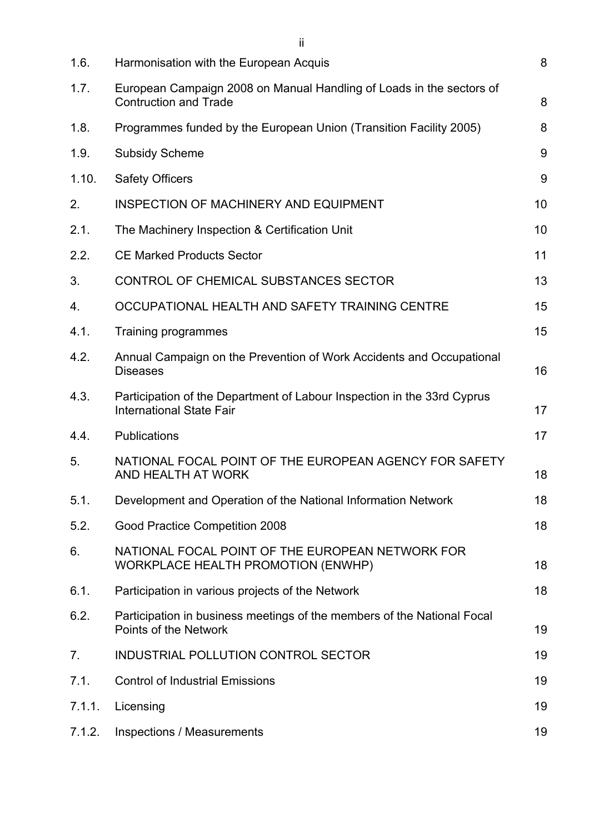| 1.6.   | Harmonisation with the European Acquis                                                                     | 8  |
|--------|------------------------------------------------------------------------------------------------------------|----|
| 1.7.   | European Campaign 2008 on Manual Handling of Loads in the sectors of<br><b>Contruction and Trade</b>       | 8  |
| 1.8.   | Programmes funded by the European Union (Transition Facility 2005)                                         | 8  |
| 1.9.   | <b>Subsidy Scheme</b>                                                                                      | 9  |
| 1.10.  | <b>Safety Officers</b>                                                                                     | 9  |
| 2.     | <b>INSPECTION OF MACHINERY AND EQUIPMENT</b>                                                               | 10 |
| 2.1.   | The Machinery Inspection & Certification Unit                                                              | 10 |
| 2.2.   | <b>CE Marked Products Sector</b>                                                                           | 11 |
| 3.     | CONTROL OF CHEMICAL SUBSTANCES SECTOR                                                                      | 13 |
| 4.     | OCCUPATIONAL HEALTH AND SAFETY TRAINING CENTRE                                                             | 15 |
| 4.1.   | Training programmes                                                                                        | 15 |
| 4.2.   | Annual Campaign on the Prevention of Work Accidents and Occupational<br><b>Diseases</b>                    | 16 |
| 4.3.   | Participation of the Department of Labour Inspection in the 33rd Cyprus<br><b>International State Fair</b> | 17 |
| 4.4.   | <b>Publications</b>                                                                                        | 17 |
| 5.     | NATIONAL FOCAL POINT OF THE EUROPEAN AGENCY FOR SAFETY<br>AND HEALTH AT WORK                               | 18 |
| 5.1.   | Development and Operation of the National Information Network                                              | 18 |
| 5.2.   | Good Practice Competition 2008                                                                             | 18 |
| 6.     | NATIONAL FOCAL POINT OF THE EUROPEAN NETWORK FOR<br><b>WORKPLACE HEALTH PROMOTION (ENWHP)</b>              | 18 |
| 6.1.   | Participation in various projects of the Network                                                           | 18 |
| 6.2.   | Participation in business meetings of the members of the National Focal<br>Points of the Network           | 19 |
| 7.     | INDUSTRIAL POLLUTION CONTROL SECTOR                                                                        | 19 |
| 7.1.   | <b>Control of Industrial Emissions</b>                                                                     | 19 |
| 7.1.1. | Licensing                                                                                                  | 19 |
| 7.1.2. | <b>Inspections / Measurements</b>                                                                          | 19 |

ii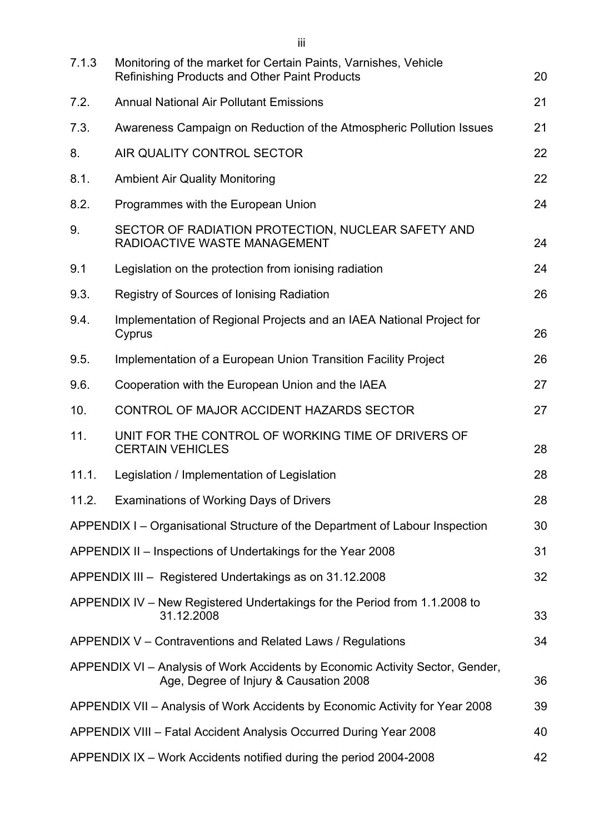| 7.1.3 | Monitoring of the market for Certain Paints, Varnishes, Vehicle                                                         |    |
|-------|-------------------------------------------------------------------------------------------------------------------------|----|
|       | <b>Refinishing Products and Other Paint Products</b>                                                                    | 20 |
| 7.2.  | <b>Annual National Air Pollutant Emissions</b>                                                                          | 21 |
| 7.3.  | Awareness Campaign on Reduction of the Atmospheric Pollution Issues                                                     | 21 |
| 8.    | AIR QUALITY CONTROL SECTOR                                                                                              | 22 |
| 8.1.  | <b>Ambient Air Quality Monitoring</b>                                                                                   | 22 |
| 8.2.  | Programmes with the European Union                                                                                      | 24 |
| 9.    | SECTOR OF RADIATION PROTECTION, NUCLEAR SAFETY AND<br>RADIOACTIVE WASTE MANAGEMENT                                      | 24 |
| 9.1   | Legislation on the protection from ionising radiation                                                                   | 24 |
| 9.3.  | Registry of Sources of Ionising Radiation                                                                               | 26 |
| 9.4.  | Implementation of Regional Projects and an IAEA National Project for<br>Cyprus                                          | 26 |
| 9.5.  | Implementation of a European Union Transition Facility Project                                                          | 26 |
| 9.6.  | Cooperation with the European Union and the IAEA                                                                        | 27 |
| 10.   | CONTROL OF MAJOR ACCIDENT HAZARDS SECTOR                                                                                | 27 |
| 11.   | UNIT FOR THE CONTROL OF WORKING TIME OF DRIVERS OF<br><b>CERTAIN VEHICLES</b>                                           | 28 |
| 11.1. | Legislation / Implementation of Legislation                                                                             | 28 |
| 11.2. | <b>Examinations of Working Days of Drivers</b>                                                                          | 28 |
|       | APPENDIX I – Organisational Structure of the Department of Labour Inspection                                            | 30 |
|       | APPENDIX II – Inspections of Undertakings for the Year 2008                                                             | 31 |
|       | APPENDIX III - Registered Undertakings as on 31.12.2008                                                                 | 32 |
|       | APPENDIX IV – New Registered Undertakings for the Period from 1.1.2008 to<br>31.12.2008                                 | 33 |
|       | APPENDIX V – Contraventions and Related Laws / Regulations                                                              | 34 |
|       | APPENDIX VI - Analysis of Work Accidents by Economic Activity Sector, Gender,<br>Age, Degree of Injury & Causation 2008 | 36 |
|       | APPENDIX VII - Analysis of Work Accidents by Economic Activity for Year 2008                                            | 39 |
|       | APPENDIX VIII - Fatal Accident Analysis Occurred During Year 2008                                                       | 40 |
|       | APPENDIX IX - Work Accidents notified during the period 2004-2008                                                       | 42 |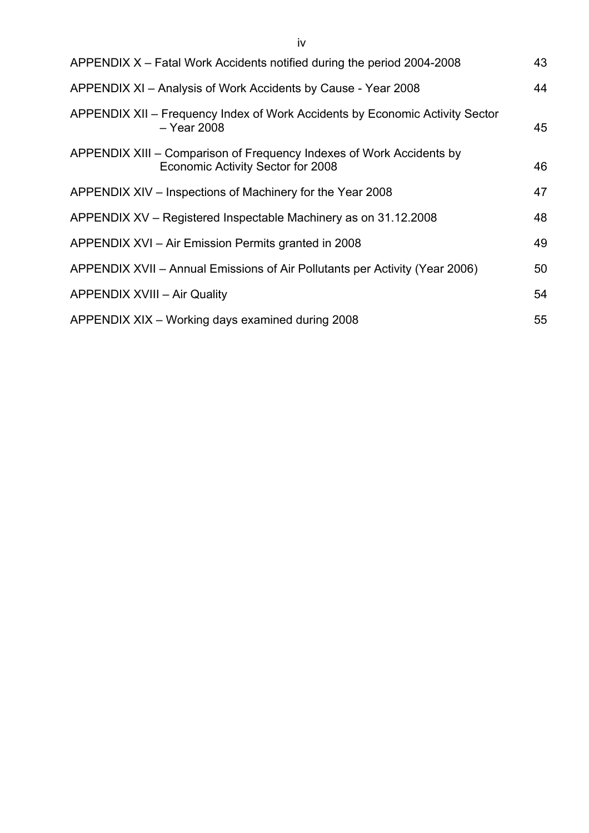| APPENDIX X – Fatal Work Accidents notified during the period 2004-2008                                    | 43 |
|-----------------------------------------------------------------------------------------------------------|----|
| APPENDIX XI - Analysis of Work Accidents by Cause - Year 2008                                             | 44 |
| APPENDIX XII – Frequency Index of Work Accidents by Economic Activity Sector<br>$-$ Year 2008             | 45 |
| APPENDIX XIII – Comparison of Frequency Indexes of Work Accidents by<br>Economic Activity Sector for 2008 | 46 |
| APPENDIX XIV – Inspections of Machinery for the Year 2008                                                 | 47 |

| $\frac{1}{2}$ . $\frac{1}{2}$ . The most concerns of motion is to the state section of $\frac{1}{2}$ |    |
|------------------------------------------------------------------------------------------------------|----|
| APPENDIX XV – Registered Inspectable Machinery as on 31.12.2008                                      | 48 |
| APPENDIX XVI – Air Emission Permits granted in 2008                                                  | 49 |
| APPENDIX XVII - Annual Emissions of Air Pollutants per Activity (Year 2006)                          | 50 |
| <b>APPENDIX XVIII - Air Quality</b>                                                                  | 54 |
| APPENDIX XIX - Working days examined during 2008                                                     | 55 |

iv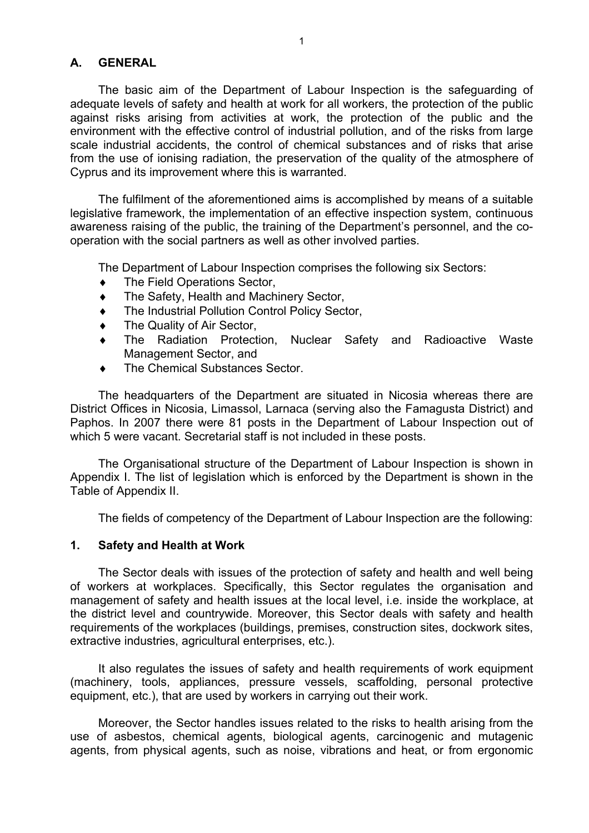#### **Α. GENERAL**

The basic aim of the Department of Labour Inspection is the safeguarding of adequate levels of safety and health at work for all workers, the protection of the public against risks arising from activities at work, the protection of the public and the environment with the effective control of industrial pollution, and of the risks from large scale industrial accidents, the control of chemical substances and of risks that arise from the use of ionising radiation, the preservation of the quality of the atmosphere of Cyprus and its improvement where this is warranted.

The fulfilment of the aforementioned aims is accomplished by means of a suitable legislative framework, the implementation of an effective inspection system, continuous awareness raising of the public, the training of the Department's personnel, and the cooperation with the social partners as well as other involved parties.

The Department of Labour Inspection comprises the following six Sectors:

- The Field Operations Sector,
- The Safety, Health and Machinery Sector,
- The Industrial Pollution Control Policy Sector,
- The Quality of Air Sector,
- ♦ The Radiation Protection, Nuclear Safety and Radioactive Waste Management Sector, and
- The Chemical Substances Sector.

The headquarters of the Department are situated in Nicosia whereas there are District Offices in Nicosia, Limassol, Larnaca (serving also the Famagusta District) and Paphos. In 2007 there were 81 posts in the Department of Labour Inspection out of which 5 were vacant. Secretarial staff is not included in these posts.

The Organisational structure of the Department of Labour Inspection is shown in Appendix I. The list of legislation which is enforced by the Department is shown in the Table of Appendix II.

The fields of competency of the Department of Labour Inspection are the following:

#### **1. Safety and Health at Work**

The Sector deals with issues of the protection of safety and health and well being of workers at workplaces. Specifically, this Sector regulates the organisation and management of safety and health issues at the local level, i.e. inside the workplace, at the district level and countrywide. Moreover, this Sector deals with safety and health requirements of the workplaces (buildings, premises, construction sites, dockwork sites, extractive industries, agricultural enterprises, etc.).

It also regulates the issues of safety and health requirements of work equipment (machinery, tools, appliances, pressure vessels, scaffolding, personal protective equipment, etc.), that are used by workers in carrying out their work.

Moreover, the Sector handles issues related to the risks to health arising from the use of asbestos, chemical agents, biological agents, carcinogenic and mutagenic agents, from physical agents, such as noise, vibrations and heat, or from ergonomic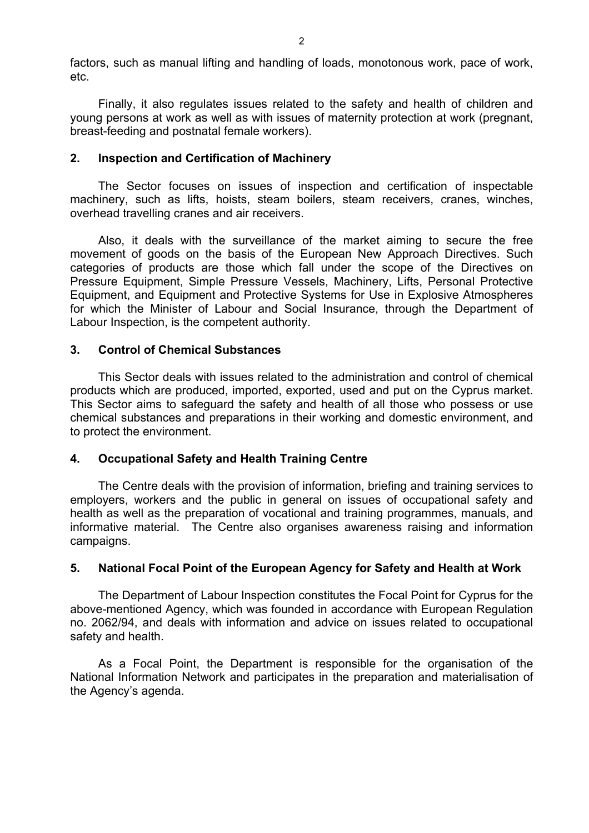factors, such as manual lifting and handling of loads, monotonous work, pace of work, etc.

Finally, it also regulates issues related to the safety and health of children and young persons at work as well as with issues of maternity protection at work (pregnant, breast-feeding and postnatal female workers).

#### **2. Inspection and Certification of Machinery**

The Sector focuses on issues of inspection and certification of inspectable machinery, such as lifts, hoists, steam boilers, steam receivers, cranes, winches, overhead travelling cranes and air receivers.

Also, it deals with the surveillance of the market aiming to secure the free movement of goods on the basis of the European New Approach Directives. Such categories of products are those which fall under the scope of the Directives on Pressure Equipment, Simple Pressure Vessels, Machinery, Lifts, Personal Protective Equipment, and Equipment and Protective Systems for Use in Explosive Atmospheres for which the Minister of Labour and Social Insurance, through the Department of Labour Inspection, is the competent authority.

### **3. Control of Chemical Substances**

This Sector deals with issues related to the administration and control of chemical products which are produced, imported, exported, used and put on the Cyprus market. This Sector aims to safeguard the safety and health of all those who possess or use chemical substances and preparations in their working and domestic environment, and to protect the environment.

# **4. Occupational Safety and Health Training Centre**

The Centre deals with the provision of information, briefing and training services to employers, workers and the public in general on issues of occupational safety and health as well as the preparation of vocational and training programmes, manuals, and informative material. The Centre also organises awareness raising and information campaigns.

# **5. National Focal Point of the European Agency for Safety and Health at Work**

The Department of Labour Inspection constitutes the Focal Point for Cyprus for the above-mentioned Agency, which was founded in accordance with European Regulation no. 2062/94, and deals with information and advice on issues related to occupational safety and health.

As a Focal Point, the Department is responsible for the organisation of the National Information Network and participates in the preparation and materialisation of the Agency's agenda.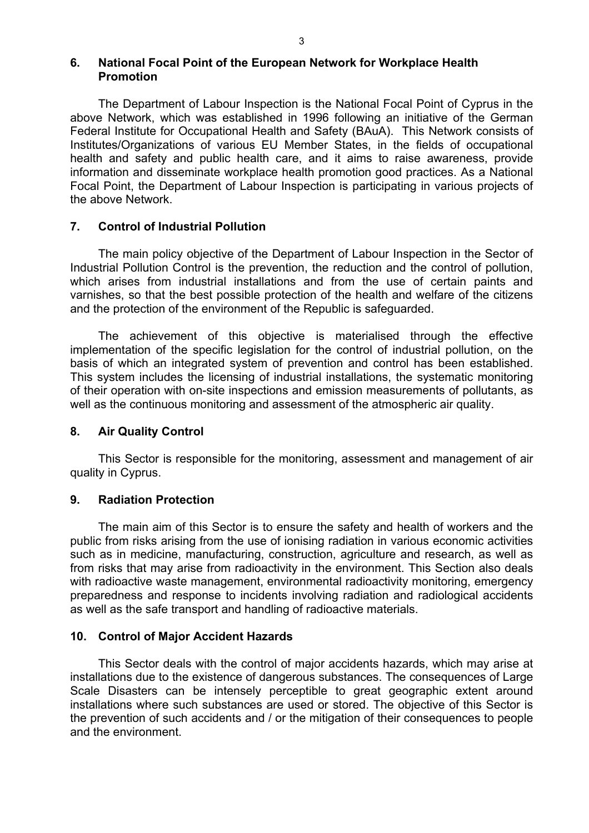#### **6. National Focal Point of the European Network for Workplace Health Promotion**

The Department of Labour Inspection is the National Focal Point of Cyprus in the above Network, which was established in 1996 following an initiative of the German Federal Institute for Occupational Health and Safety (BAuA). This Network consists of Institutes/Organizations of various EU Member States, in the fields of occupational health and safety and public health care, and it aims to raise awareness, provide information and disseminate workplace health promotion good practices. As a National Focal Point, the Department of Labour Inspection is participating in various projects of the above Network.

# **7. Control of Industrial Pollution**

The main policy objective of the Department of Labour Inspection in the Sector of Industrial Pollution Control is the prevention, the reduction and the control of pollution, which arises from industrial installations and from the use of certain paints and varnishes, so that the best possible protection of the health and welfare of the citizens and the protection of the environment of the Republic is safeguarded.

The achievement of this objective is materialised through the effective implementation of the specific legislation for the control of industrial pollution, on the basis of which an integrated system of prevention and control has been established. This system includes the licensing of industrial installations, the systematic monitoring of their operation with on-site inspections and emission measurements of pollutants, as well as the continuous monitoring and assessment of the atmospheric air quality.

#### **8. Air Quality Control**

This Sector is responsible for the monitoring, assessment and management of air quality in Cyprus.

# **9. Radiation Protection**

The main aim of this Sector is to ensure the safety and health of workers and the public from risks arising from the use of ionising radiation in various economic activities such as in medicine, manufacturing, construction, agriculture and research, as well as from risks that may arise from radioactivity in the environment. This Section also deals with radioactive waste management, environmental radioactivity monitoring, emergency preparedness and response to incidents involving radiation and radiological accidents as well as the safe transport and handling of radioactive materials.

# **10. Control of Major Accident Hazards**

This Sector deals with the control of major accidents hazards, which may arise at installations due to the existence of dangerous substances. The consequences of Large Scale Disasters can be intensely perceptible to great geographic extent around installations where such substances are used or stored. The objective of this Sector is the prevention of such accidents and / or the mitigation of their consequences to people and the environment.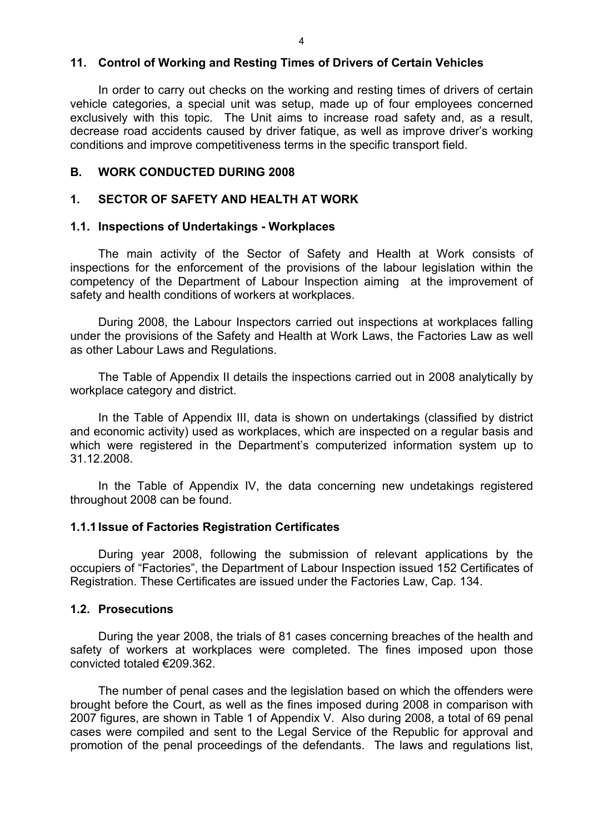#### **11. Control of Working and Resting Times of Drivers of Certain Vehicles**

In order to carry out checks on the working and resting times of drivers of certain vehicle categories, a special unit was setup, made up of four employees concerned exclusively with this topic. The Unit aims to increase road safety and, as a result, decrease road accidents caused by driver fatique, as well as improve driver's working conditions and improve competitiveness terms in the specific transport field.

#### **Β. WORK CONDUCTED DURING 2008**

#### **1. SECTOR OF SAFETY AND HEALTH AT WORK**

#### **1.1. Inspections of Undertakings - Workplaces**

The main activity of the Sector of Safety and Health at Work consists of inspections for the enforcement of the provisions of the labour legislation within the competency of the Department of Labour Inspection aiming at the improvement of safety and health conditions of workers at workplaces.

During 2008, the Labour Inspectors carried out inspections at workplaces falling under the provisions of the Safety and Health at Work Laws, the Factories Law as well as other Labour Laws and Regulations.

The Table of Appendix II details the inspections carried out in 2008 analytically by workplace category and district.

In the Table of Appendix III, data is shown on undertakings (classified by district and economic activity) used as workplaces, which are inspected on a regular basis and which were registered in the Department's computerized information system up to 31.12.2008.

In the Table of Appendix IV, the data concerning new undetakings registered throughout 2008 can be found.

#### **1.1.1 Issue of Factories Registration Certificates**

During year 2008, following the submission of relevant applications by the occupiers of "Factories", the Department of Labour Inspection issued 152 Certificates of Registration. These Certificates are issued under the Factories Law, Cap. 134.

#### **1.2. Prosecutions**

 During the year 2008, the trials of 81 cases concerning breaches of the health and safety of workers at workplaces were completed. The fines imposed upon those convicted totaled €209.362.

 The number of penal cases and the legislation based on which the offenders were brought before the Court, as well as the fines imposed during 2008 in comparison with 2007 figures, are shown in Table 1 of Appendix V. Also during 2008, a total of 69 penal cases were compiled and sent to the Legal Service of the Republic for approval and promotion of the penal proceedings of the defendants. The laws and regulations list,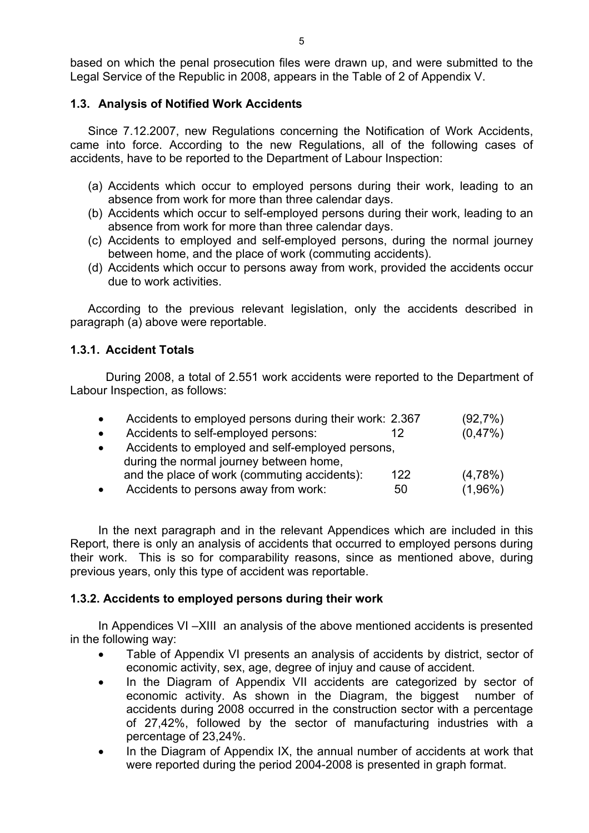based on which the penal prosecution files were drawn up, and were submitted to the Legal Service of the Republic in 2008, appears in the Table of 2 of Appendix V.

# **1.3. Analysis of Notified Work Accidents**

Since 7.12.2007, new Regulations concerning the Notification of Work Accidents, came into force. According to the new Regulations, all of the following cases of accidents, have to be reported to the Department of Labour Inspection:

- (a) Accidents which occur to employed persons during their work, leading to an absence from work for more than three calendar days.
- (b) Accidents which occur to self-employed persons during their work, leading to an absence from work for more than three calendar days.
- (c) Accidents to employed and self-employed persons, during the normal journey between home, and the place of work (commuting accidents).
- (d) Accidents which occur to persons away from work, provided the accidents occur due to work activities.

According to the previous relevant legislation, only the accidents described in paragraph (a) above were reportable.

# **1.3.1. Accident Totals**

During 2008, a total of 2.551 work accidents were reported to the Department of Labour Inspection, as follows:

| $\bullet$ | Accidents to employed persons during their work: 2.367 |     | (92,7%)    |
|-----------|--------------------------------------------------------|-----|------------|
| $\bullet$ | Accidents to self-employed persons:                    | 12  | (0,47%)    |
| $\bullet$ | Accidents to employed and self-employed persons,       |     |            |
|           | during the normal journey between home,                |     |            |
|           | and the place of work (commuting accidents):           | 122 | $(4,78\%)$ |
| $\bullet$ | Accidents to persons away from work:                   | 50  | $(1,96\%)$ |

In the next paragraph and in the relevant Appendices which are included in this Report, there is only an analysis of accidents that occurred to employed persons during their work. This is so for comparability reasons, since as mentioned above, during previous years, only this type of accident was reportable.

# **1.3.2. Accidents to employed persons during their work**

In Appendices VI –XIII an analysis of the above mentioned accidents is presented in the following way:

- Table of Appendix VI presents an analysis of accidents by district, sector of economic activity, sex, age, degree of injuy and cause of accident.
- In the Diagram of Appendix VII accidents are categorized by sector of economic activity. As shown in the Diagram, the biggest number of accidents during 2008 occurred in the construction sector with a percentage of 27,42%, followed by the sector of manufacturing industries with a percentage of 23,24%.
- In the Diagram of Appendix IX, the annual number of accidents at work that were reported during the period 2004-2008 is presented in graph format.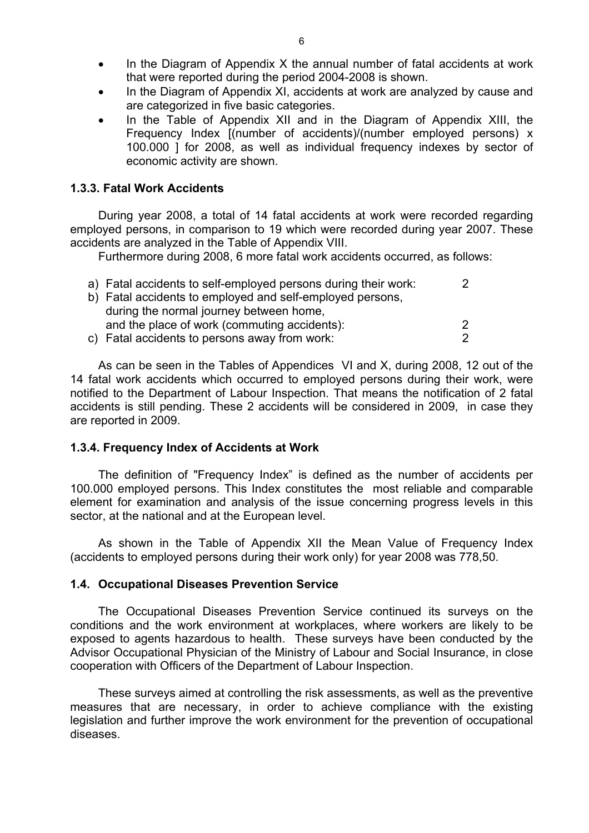- In the Diagram of Appendix X the annual number of fatal accidents at work that were reported during the period 2004-2008 is shown.
- In the Diagram of Appendix XI, accidents at work are analyzed by cause and are categorized in five basic categories.
- In the Table of Appendix XII and in the Diagram of Appendix XIII, the Frequency Index [(number of accidents)/(number employed persons) x 100.000 ] for 2008, as well as individual frequency indexes by sector of economic activity are shown.

# **1.3.3. Fatal Work Accidents**

During year 2008, a total of 14 fatal accidents at work were recorded regarding employed persons, in comparison to 19 which were recorded during year 2007. These accidents are analyzed in the Table of Appendix VIII.

Furthermore during 2008, 6 more fatal work accidents occurred, as follows:

| a) Fatal accidents to self-employed persons during their work: |  |
|----------------------------------------------------------------|--|
| b) Fatal accidents to employed and self-employed persons,      |  |
| during the normal journey between home,                        |  |
| and the place of work (commuting accidents):                   |  |
| c) Fatal accidents to persons away from work:                  |  |

As can be seen in the Tables of Appendices VI and X, during 2008, 12 out of the 14 fatal work accidents which occurred to employed persons during their work, were notified to the Department of Labour Inspection. That means the notification of 2 fatal accidents is still pending. These 2 accidents will be considered in 2009, in case they are reported in 2009.

# **1.3.4. Frequency Index of Accidents at Work**

The definition of "Frequency Index" is defined as the number of accidents per 100.000 employed persons. This Index constitutes the most reliable and comparable element for examination and analysis of the issue concerning progress levels in this sector, at the national and at the European level.

As shown in the Table of Appendix XII the Mean Value of Frequency Index (accidents to employed persons during their work only) for year 2008 was 778,50.

# **1.4. Occupational Diseases Prevention Service**

The Occupational Diseases Prevention Service continued its surveys on the conditions and the work environment at workplaces, where workers are likely to be exposed to agents hazardous to health. These surveys have been conducted by the Advisor Occupational Physician of the Ministry of Labour and Social Insurance, in close cooperation with Officers of the Department of Labour Inspection.

These surveys aimed at controlling the risk assessments, as well as the preventive measures that are necessary, in order to achieve compliance with the existing legislation and further improve the work environment for the prevention of occupational diseases.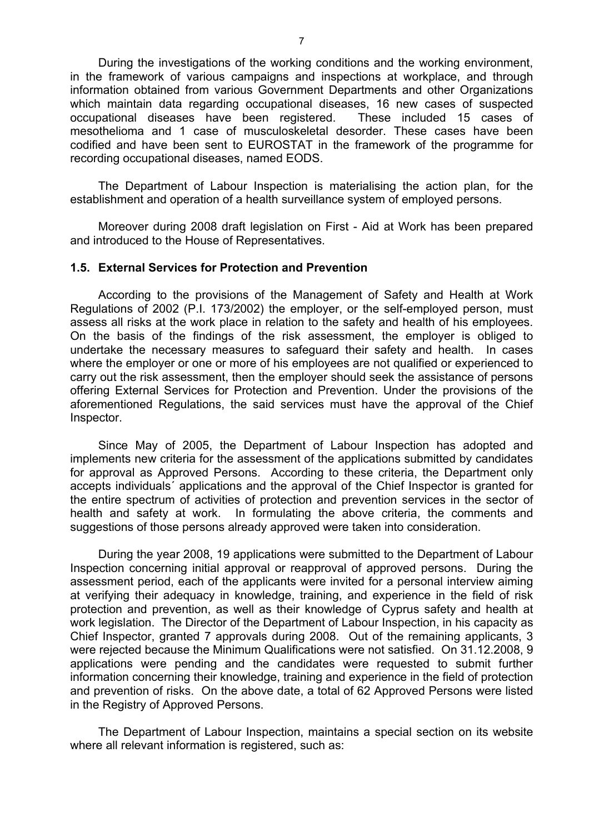During the investigations of the working conditions and the working environment, in the framework of various campaigns and inspections at workplace, and through information obtained from various Government Departments and other Organizations which maintain data regarding occupational diseases, 16 new cases of suspected occupational diseases have been registered. These included 15 cases of mesothelioma and 1 case of musculoskeletal desorder. These cases have been codified and have been sent to EUROSTAT in the framework of the programme for recording occupational diseases, named EODS.

The Department of Labour Inspection is materialising the action plan, for the establishment and operation of a health surveillance system of employed persons.

Moreover during 2008 draft legislation on First - Aid at Work has been prepared and introduced to the House of Representatives.

#### **1.5. External Services for Protection and Prevention**

According to the provisions of the Management of Safety and Health at Work Regulations of 2002 (P.I. 173/2002) the employer, or the self-employed person, must assess all risks at the work place in relation to the safety and health of his employees. On the basis of the findings of the risk assessment, the employer is obliged to undertake the necessary measures to safeguard their safety and health. In cases where the employer or one or more of his employees are not qualified or experienced to carry out the risk assessment, then the employer should seek the assistance of persons offering External Services for Protection and Prevention. Under the provisions of the aforementioned Regulations, the said services must have the approval of the Chief Inspector.

Since May of 2005, the Department of Labour Inspection has adopted and implements new criteria for the assessment of the applications submitted by candidates for approval as Approved Persons. According to these criteria, the Department only accepts individuals´ applications and the approval of the Chief Inspector is granted for the entire spectrum of activities of protection and prevention services in the sector of health and safety at work. In formulating the above criteria, the comments and suggestions of those persons already approved were taken into consideration.

During the year 2008, 19 applications were submitted to the Department of Labour Inspection concerning initial approval or reapproval of approved persons. During the assessment period, each of the applicants were invited for a personal interview aiming at verifying their adequacy in knowledge, training, and experience in the field of risk protection and prevention, as well as their knowledge of Cyprus safety and health at work legislation. The Director of the Department of Labour Inspection, in his capacity as Chief Inspector, granted 7 approvals during 2008. Out of the remaining applicants, 3 were rejected because the Minimum Qualifications were not satisfied. On 31.12.2008, 9 applications were pending and the candidates were requested to submit further information concerning their knowledge, training and experience in the field of protection and prevention of risks. On the above date, a total of 62 Approved Persons were listed in the Registry of Approved Persons.

The Department of Labour Inspection, maintains a special section on its website where all relevant information is registered, such as: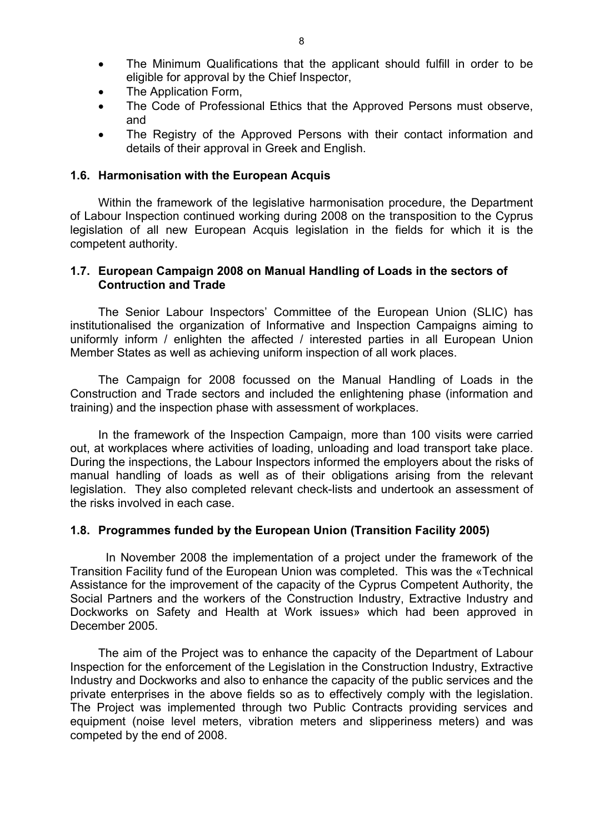- The Application Form,
- The Code of Professional Ethics that the Approved Persons must observe, and
- The Registry of the Approved Persons with their contact information and details of their approval in Greek and English.

#### **1.6. Harmonisation with the European Acquis**

 Within the framework of the legislative harmonisation procedure, the Department of Labour Inspection continued working during 2008 on the transposition to the Cyprus legislation of all new European Acquis legislation in the fields for which it is the competent authority.

### **1.7. European Campaign 2008 on Manual Handling of Loads in the sectors of Contruction and Trade**

The Senior Labour Inspectors' Committee of the European Union (SLIC) has institutionalised the organization of Informative and Inspection Campaigns aiming to uniformly inform / enlighten the affected / interested parties in all European Union Member States as well as achieving uniform inspection of all work places.

The Campaign for 2008 focussed on the Manual Handling of Loads in the Construction and Trade sectors and included the enlightening phase (information and training) and the inspection phase with assessment of workplaces.

In the framework of the Inspection Campaign, more than 100 visits were carried out, at workplaces where activities of loading, unloading and load transport take place. During the inspections, the Labour Inspectors informed the employers about the risks of manual handling of loads as well as of their obligations arising from the relevant legislation. They also completed relevant check-lists and undertook an assessment of the risks involved in each case.

# **1.8. Programmes funded by the European Union (Transition Facility 2005)**

In November 2008 the implementation of a project under the framework of the Transition Facility fund of the European Union was completed. This was the «Technical Assistance for the improvement of the capacity of the Cyprus Competent Authority, the Social Partners and the workers of the Construction Industry, Extractive Industry and Dockworks on Safety and Health at Work issues» which had been approved in December 2005.

 The aim of the Project was to enhance the capacity of the Department of Labour Inspection for the enforcement of the Legislation in the Construction Industry, Extractive Industry and Dockworks and also to enhance the capacity of the public services and the private enterprises in the above fields so as to effectively comply with the legislation. The Project was implemented through two Public Contracts providing services and equipment (noise level meters, vibration meters and slipperiness meters) and was competed by the end of 2008.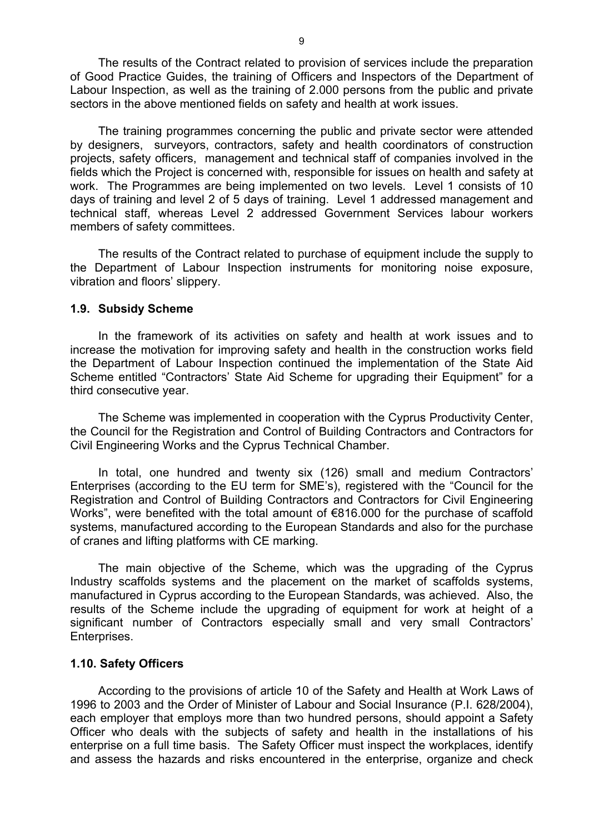The results of the Contract related to provision of services include the preparation of Good Practice Guides, the training of Officers and Inspectors of the Department of Labour Inspection, as well as the training of 2.000 persons from the public and private sectors in the above mentioned fields on safety and health at work issues.

 The training programmes concerning the public and private sector were attended by designers, surveyors, contractors, safety and health coordinators of construction projects, safety officers, management and technical staff of companies involved in the fields which the Project is concerned with, responsible for issues on health and safety at work. The Programmes are being implemented on two levels. Level 1 consists of 10 days of training and level 2 of 5 days of training. Level 1 addressed management and technical staff, whereas Level 2 addressed Government Services labour workers members of safety committees.

 The results of the Contract related to purchase of equipment include the supply to the Department of Labour Inspection instruments for monitoring noise exposure, vibration and floors' slippery.

#### **1.9. Subsidy Scheme**

 In the framework of its activities on safety and health at work issues and to increase the motivation for improving safety and health in the construction works field the Department of Labour Inspection continued the implementation of the State Aid Scheme entitled "Contractors' State Aid Scheme for upgrading their Equipment" for a third consecutive year.

 The Scheme was implemented in cooperation with the Cyprus Productivity Center, the Council for the Registration and Control of Building Contractors and Contractors for Civil Engineering Works and the Cyprus Technical Chamber.

 In total, one hundred and twenty six (126) small and medium Contractors' Enterprises (according to the EU term for SME's), registered with the "Council for the Registration and Control of Building Contractors and Contractors for Civil Engineering Works", were benefited with the total amount of €816.000 for the purchase of scaffold systems, manufactured according to the European Standards and also for the purchase of cranes and lifting platforms with CE marking.

The main objective of the Scheme, which was the upgrading of the Cyprus Industry scaffolds systems and the placement on the market of scaffolds systems, manufactured in Cyprus according to the European Standards, was achieved. Also, the results of the Scheme include the upgrading of equipment for work at height of a significant number of Contractors especially small and very small Contractors' Enterprises.

#### **1.10. Safety Officers**

 According to the provisions of article 10 of the Safety and Health at Work Laws of 1996 to 2003 and the Order of Minister of Labour and Social Insurance (P.I. 628/2004), each employer that employs more than two hundred persons, should appoint a Safety Officer who deals with the subjects of safety and health in the installations of his enterprise on a full time basis. The Safety Officer must inspect the workplaces, identify and assess the hazards and risks encountered in the enterprise, organize and check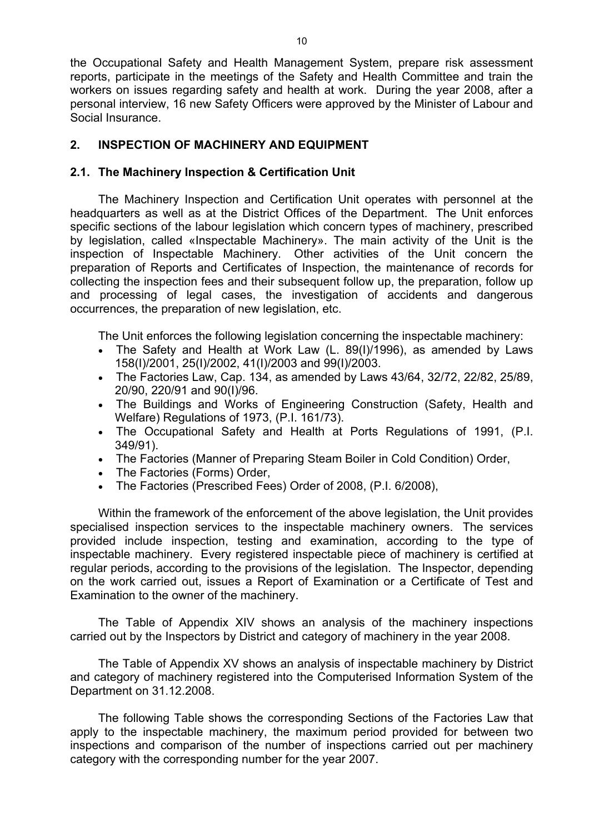the Occupational Safety and Health Management System, prepare risk assessment reports, participate in the meetings of the Safety and Health Committee and train the workers on issues regarding safety and health at work. During the year 2008, after a personal interview, 16 new Safety Officers were approved by the Minister of Labour and Social Insurance.

# **2. INSPECTION OF MACHINERY AND EQUIPMENT**

# **2.1. The Machinery Inspection & Certification Unit**

The Machinery Inspection and Certification Unit operates with personnel at the headquarters as well as at the District Offices of the Department. The Unit enforces specific sections of the labour legislation which concern types of machinery, prescribed by legislation, called «Inspectable Machinery». The main activity of the Unit is the inspection of Inspectable Machinery. Other activities of the Unit concern the preparation of Reports and Certificates of Inspection, the maintenance of records for collecting the inspection fees and their subsequent follow up, the preparation, follow up and processing of legal cases, the investigation of accidents and dangerous occurrences, the preparation of new legislation, etc.

The Unit enforces the following legislation concerning the inspectable machinery:

- The Safety and Health at Work Law (L. 89(I)/1996), as amended by Laws 158(I)/2001, 25(I)/2002, 41(I)/2003 and 99(I)/2003.
- The Factories Law, Cap. 134, as amended by Laws 43/64, 32/72, 22/82, 25/89, 20/90, 220/91 and 90(I)/96.
- The Buildings and Works of Engineering Construction (Safety, Health and Welfare) Regulations of 1973, (P.I. 161/73).
- The Occupational Safety and Health at Ports Regulations of 1991, (P.I. 349/91).
- The Factories (Manner of Preparing Steam Boiler in Cold Condition) Order,
- The Factories (Forms) Order,
- The Factories (Prescribed Fees) Order of 2008, (P.I. 6/2008),

Within the framework of the enforcement of the above legislation, the Unit provides specialised inspection services to the inspectable machinery owners. The services provided include inspection, testing and examination, according to the type of inspectable machinery. Every registered inspectable piece of machinery is certified at regular periods, according to the provisions of the legislation. The Inspector, depending on the work carried out, issues a Report of Examination or a Certificate of Test and Examination to the owner of the machinery.

The Table of Appendix XIV shows an analysis of the machinery inspections carried out by the Inspectors by District and category of machinery in the year 2008.

The Table of Appendix XV shows an analysis of inspectable machinery by District and category of machinery registered into the Computerised Information System of the Department on 31.12.2008.

The following Table shows the corresponding Sections of the Factories Law that apply to the inspectable machinery, the maximum period provided for between two inspections and comparison of the number of inspections carried out per machinery category with the corresponding number for the year 2007.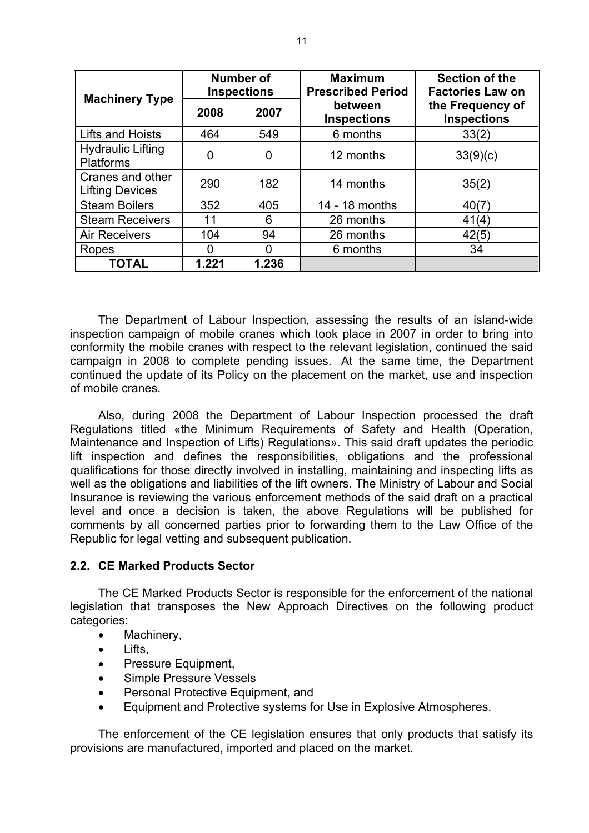| <b>Machinery Type</b>                        |          | <b>Number of</b><br><b>Inspections</b> | <b>Maximum</b><br><b>Prescribed Period</b> | Section of the<br><b>Factories Law on</b> |
|----------------------------------------------|----------|----------------------------------------|--------------------------------------------|-------------------------------------------|
|                                              | 2008     | 2007                                   | between<br><b>Inspections</b>              | the Frequency of<br><b>Inspections</b>    |
| Lifts and Hoists                             | 464      | 549                                    | 6 months                                   | 33(2)                                     |
| <b>Hydraulic Lifting</b><br><b>Platforms</b> | $\Omega$ | 0                                      | 12 months                                  | 33(9)(c)                                  |
| Cranes and other<br><b>Lifting Devices</b>   | 290      | 182                                    | 14 months                                  | 35(2)                                     |
| <b>Steam Boilers</b>                         | 352      | 405                                    | 14 - 18 months                             | 40(7)                                     |
| <b>Steam Receivers</b>                       | 11       | 6                                      | 26 months                                  | 41(4)                                     |
| <b>Air Receivers</b>                         | 104      | 94                                     | 26 months                                  | 42(5)                                     |
| Ropes                                        | 0        |                                        | 6 months                                   | 34                                        |
| <b>TOTAL</b>                                 | 1.221    | 1.236                                  |                                            |                                           |

The Department of Labour Inspection, assessing the results of an island-wide inspection campaign of mobile cranes which took place in 2007 in order to bring into conformity the mobile cranes with respect to the relevant legislation, continued the said campaign in 2008 to complete pending issues. At the same time, the Department continued the update of its Policy on the placement on the market, use and inspection of mobile cranes.

Also, during 2008 the Department of Labour Inspection processed the draft Regulations titled «the Minimum Requirements of Safety and Health (Operation, Maintenance and Inspection of Lifts) Regulations». This said draft updates the periodic lift inspection and defines the responsibilities, obligations and the professional qualifications for those directly involved in installing, maintaining and inspecting lifts as well as the obligations and liabilities of the lift owners. The Ministry of Labour and Social Insurance is reviewing the various enforcement methods of the said draft on a practical level and once a decision is taken, the above Regulations will be published for comments by all concerned parties prior to forwarding them to the Law Office of the Republic for legal vetting and subsequent publication.

# **2.2. CE Marked Products Sector**

The CE Marked Products Sector is responsible for the enforcement of the national legislation that transposes the New Approach Directives on the following product categories:

- Machinery,
- Lifts.
- Pressure Equipment,
- Simple Pressure Vessels
- Personal Protective Equipment, and
- Equipment and Protective systems for Use in Explosive Atmospheres.

The enforcement of the CE legislation ensures that only products that satisfy its provisions are manufactured, imported and placed on the market.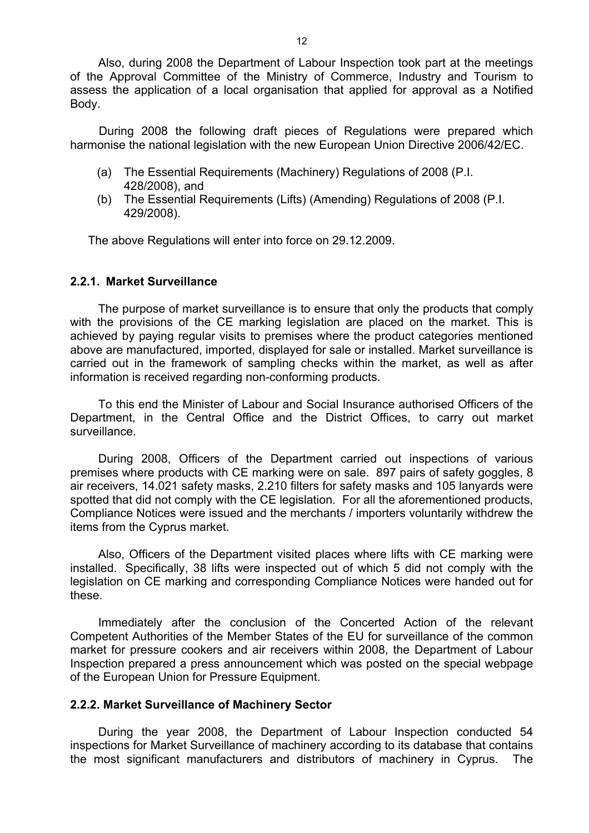Also, during 2008 the Department of Labour Inspection took part at the meetings of the Approval Committee of the Ministry of Commerce, Industry and Tourism to assess the application of a local organisation that applied for approval as a Notified Body.

During 2008 the following draft pieces of Regulations were prepared which harmonise the national legislation with the new European Union Directive 2006/42/EC.

- (a) The Essential Requirements (Machinery) Regulations of 2008 (P.I. 428/2008), and
- (b) The Essential Requirements (Lifts) (Amending) Regulations of 2008 (P.I. 429/2008).

The above Regulations will enter into force on 29.12.2009.

# **2.2.1. Market Surveillance**

The purpose of market surveillance is to ensure that only the products that comply with the provisions of the CE marking legislation are placed on the market. This is achieved by paying regular visits to premises where the product categories mentioned above are manufactured, imported, displayed for sale or installed. Market surveillance is carried out in the framework of sampling checks within the market, as well as after information is received regarding non-conforming products.

To this end the Minister of Labour and Social Insurance authorised Officers of the Department, in the Central Office and the District Offices, to carry out market surveillance.

During 2008, Officers of the Department carried out inspections of various premises where products with CE marking were on sale. 897 pairs of safety goggles, 8 air receivers, 14.021 safety masks, 2.210 filters for safety masks and 105 lanyards were spotted that did not comply with the CE legislation. For all the aforementioned products, Compliance Notices were issued and the merchants / importers voluntarily withdrew the items from the Cyprus market.

Also, Officers of the Department visited places where lifts with CE marking were installed. Specifically, 38 lifts were inspected out of which 5 did not comply with the legislation on CE marking and corresponding Compliance Notices were handed out for these.

Immediately after the conclusion of the Concerted Action of the relevant Competent Authorities of the Member States of the EU for surveillance of the common market for pressure cookers and air receivers within 2008, the Department of Labour Inspection prepared a press announcement which was posted on the special webpage of the European Union for Pressure Equipment.

# **2.2.2. Market Surveillance of Machinery Sector**

During the year 2008, the Department of Labour Inspection conducted 54 inspections for Market Surveillance of machinery according to its database that contains the most significant manufacturers and distributors of machinery in Cyprus. The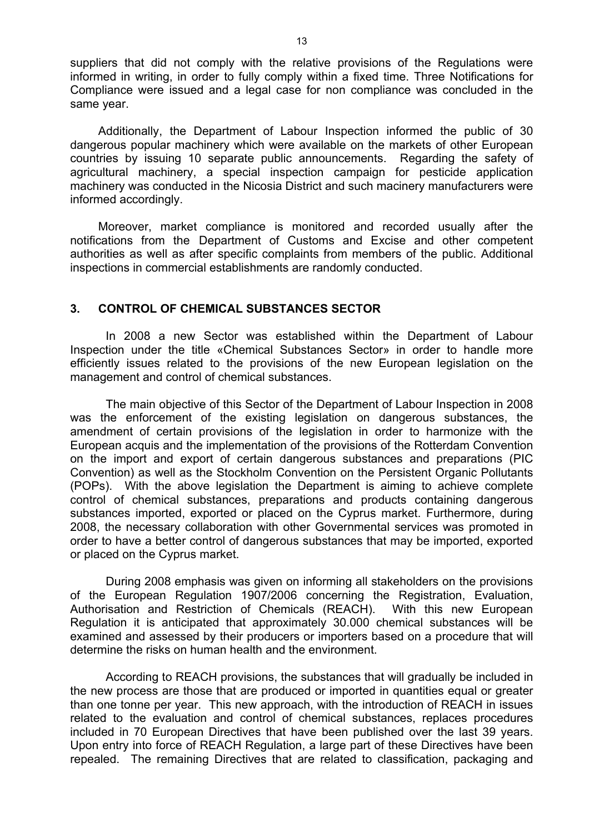suppliers that did not comply with the relative provisions of the Regulations were informed in writing, in order to fully comply within a fixed time. Three Notifications for Compliance were issued and a legal case for non compliance was concluded in the same year.

Additionally, the Department of Labour Inspection informed the public of 30 dangerous popular machinery which were available on the markets of other European countries by issuing 10 separate public announcements. Regarding the safety of agricultural machinery, a special inspection campaign for pesticide application machinery was conducted in the Nicosia District and such macinery manufacturers were informed accordingly.

Moreover, market compliance is monitored and recorded usually after the notifications from the Department of Customs and Excise and other competent authorities as well as after specific complaints from members οf the public. Additional inspections in commercial establishments are randomly conducted.

### **3. CONTROL OF CHEMICAL SUBSTANCES SECTOR**

 In 2008 a new Sector was established within the Department of Labour Inspection under the title «Chemical Substances Sector» in order to handle more efficiently issues related to the provisions of the new European legislation on the management and control of chemical substances.

 The main objective of this Sector of the Department of Labour Inspection in 2008 was the enforcement of the existing legislation on dangerous substances, the amendment of certain provisions of the legislation in order to harmonize with the European acquis and the implementation of the provisions of the Rotterdam Convention on the import and export of certain dangerous substances and preparations (PIC Convention) as well as the Stockholm Convention on the Persistent Organic Pollutants (POPs). With the above legislation the Department is aiming to achieve complete control of chemical substances, preparations and products containing dangerous substances imported, exported or placed on the Cyprus market. Furthermore, during 2008, the necessary collaboration with other Governmental services was promoted in order to have a better control of dangerous substances that may be imported, exported or placed on the Cyprus market.

 During 2008 emphasis was given on informing all stakeholders on the provisions of the European Regulation 1907/2006 concerning the Registration, Evaluation, Authorisation and Restriction of Chemicals (REACH). With this new European Regulation it is anticipated that approximately 30.000 chemical substances will be examined and assessed by their producers or importers based on a procedure that will determine the risks on human health and the environment.

 According to REACH provisions, the substances that will gradually be included in the new process are those that are produced or imported in quantities equal or greater than one tonne per year. This new approach, with the introduction of REACH in issues related to the evaluation and control of chemical substances, replaces procedures included in 70 European Directives that have been published over the last 39 years. Upon entry into force of REACH Regulation, a large part of these Directives have been repealed. The remaining Directives that are related to classification, packaging and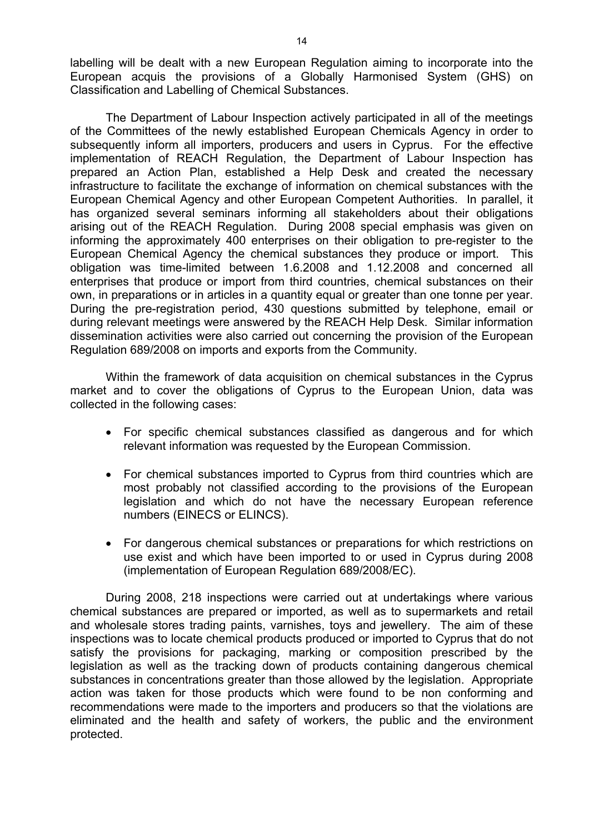labelling will be dealt with a new European Regulation aiming to incorporate into the European acquis the provisions of a Globally Harmonised System (GHS) on Classification and Labelling of Chemical Substances.

 The Department of Labour Inspection actively participated in all of the meetings of the Committees of the newly established European Chemicals Agency in order to subsequently inform all importers, producers and users in Cyprus. For the effective implementation of REACH Regulation, the Department of Labour Inspection has prepared an Action Plan, established a Help Desk and created the necessary infrastructure to facilitate the exchange of information on chemical substances with the European Chemical Agency and other European Competent Authorities. In parallel, it has organized several seminars informing all stakeholders about their obligations arising out of the REACH Regulation. During 2008 special emphasis was given on informing the approximately 400 enterprises on their obligation to pre-register to the European Chemical Agency the chemical substances they produce or import. This obligation was time-limited between 1.6.2008 and 1.12.2008 and concerned all enterprises that produce or import from third countries, chemical substances on their own, in preparations or in articles in a quantity equal or greater than one tonne per year. During the pre-registration period, 430 questions submitted by telephone, email or during relevant meetings were answered by the REACH Help Desk. Similar information dissemination activities were also carried out concerning the provision of the European Regulation 689/2008 on imports and exports from the Community.

 Within the framework of data acquisition on chemical substances in the Cyprus market and to cover the obligations of Cyprus to the European Union, data was collected in the following cases:

- For specific chemical substances classified as dangerous and for which relevant information was requested by the European Commission.
- For chemical substances imported to Cyprus from third countries which are most probably not classified according to the provisions of the European legislation and which do not have the necessary European reference numbers (EINECS or ELINCS).
- For dangerous chemical substances or preparations for which restrictions on use exist and which have been imported to or used in Cyprus during 2008 (implementation of European Regulation 689/2008/EC).

 During 2008, 218 inspections were carried out at undertakings where various chemical substances are prepared or imported, as well as to supermarkets and retail and wholesale stores trading paints, varnishes, toys and jewellery. The aim of these inspections was to locate chemical products produced or imported to Cyprus that do not satisfy the provisions for packaging, marking or composition prescribed by the legislation as well as the tracking down of products containing dangerous chemical substances in concentrations greater than those allowed by the legislation. Appropriate action was taken for those products which were found to be non conforming and recommendations were made to the importers and producers so that the violations are eliminated and the health and safety of workers, the public and the environment protected.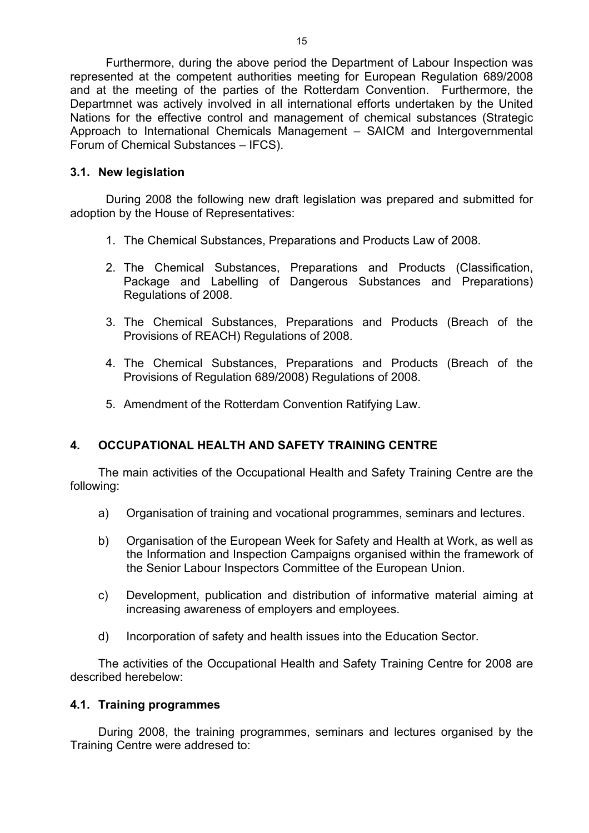Furthermore, during the above period the Department of Labour Inspection was represented at the competent authorities meeting for European Regulation 689/2008 and at the meeting of the parties of the Rotterdam Convention. Furthermore, the Departmnet was actively involved in all international efforts undertaken by the United Nations for the effective control and management of chemical substances (Strategic Approach to International Chemicals Management – SAICM and Intergovernmental Forum of Chemical Substances – IFCS).

# **3.1. New legislation**

 During 2008 the following new draft legislation was prepared and submitted for adoption by the House of Representatives:

- 1. The Chemical Substances, Preparations and Products Law of 2008.
- 2. The Chemical Substances, Preparations and Products (Classification, Package and Labelling of Dangerous Substances and Preparations) Regulations of 2008.
- 3. The Chemical Substances, Preparations and Products (Breach of the Provisions of REACH) Regulations of 2008.
- 4. The Chemical Substances, Preparations and Products (Breach of the Provisions of Regulation 689/2008) Regulations of 2008.
- 5. Amendment of the Rotterdam Convention Ratifying Law.

# **4. OCCUPATIONAL HEALTH AND SAFETY TRAINING CENTRE**

The main activities of the Occupational Health and Safety Training Centre are the following:

- a) Organisation of training and vocational programmes, seminars and lectures.
- b) Organisation of the European Week for Safety and Health at Work, as well as the Information and Inspection Campaigns organised within the framework of the Senior Labour Inspectors Committee of the European Union.
- c) Development, publication and distribution of informative material aiming at increasing awareness of employers and employees.
- d) Incorporation of safety and health issues into the Education Sector.

The activities of the Occupational Health and Safety Training Centre for 2008 are described herebelow:

# **4.1. Training programmes**

During 2008, the training programmes, seminars and lectures organised by the Training Centre were addresed to: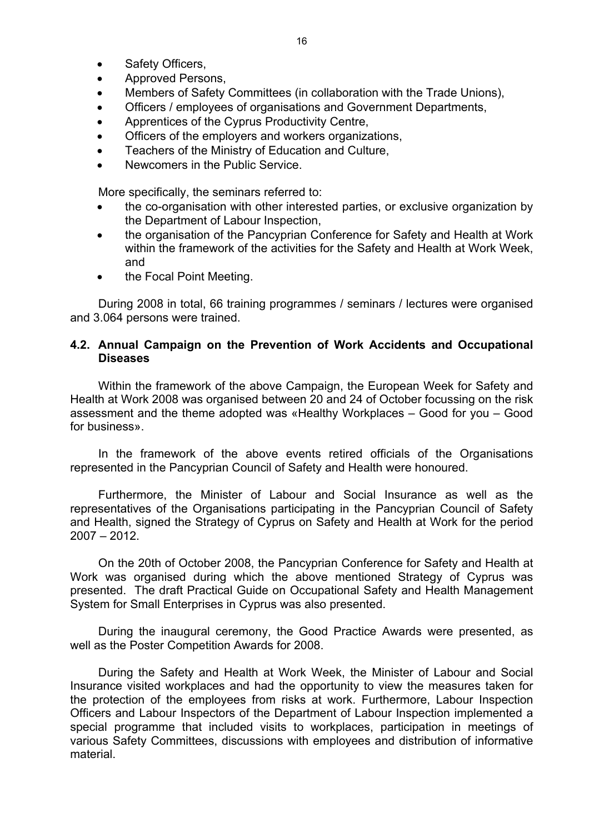- Safety Officers,
- Approved Persons,
- Members of Safety Committees (in collaboration with the Trade Unions),
- Officers / employees of organisations and Government Departments,
- Apprentices of the Cyprus Productivity Centre,
- Officers of the employers and workers organizations,
- Teachers of the Ministry of Education and Culture,
- Newcomers in the Public Service.

More specifically, the seminars referred to:

- the co-organisation with other interested parties, or exclusive organization by the Department of Labour Inspection,
- the organisation of the Pancyprian Conference for Safety and Health at Work within the framework of the activities for the Safety and Health at Work Week, and
- the Focal Point Meeting.

During 2008 in total, 66 training programmes / seminars / lectures were organised and 3.064 persons were trained.

### **4.2. Annual Campaign on the Prevention of Work Accidents and Occupational Diseases**

Within the framework of the above Campaign, the European Week for Safety and Health at Work 2008 was organised between 20 and 24 of October focussing on the risk assessment and the theme adopted was «Healthy Workplaces – Good for you – Good for business».

In the framework of the above events retired officials of the Organisations represented in the Pancyprian Council of Safety and Health were honoured.

Furthermore, the Minister of Labour and Social Insurance as well as the representatives of the Organisations participating in the Pancyprian Council of Safety and Health, signed the Strategy of Cyprus on Safety and Health at Work for the period 2007 – 2012.

On the 20th of October 2008, the Pancyprian Conference for Safety and Health at Work was organised during which the above mentioned Strategy of Cyprus was presented. The draft Practical Guide on Occupational Safety and Health Management System for Small Enterprises in Cyprus was also presented.

During the inaugural ceremony, the Good Practice Awards were presented, as well as the Poster Competition Awards for 2008.

During the Safety and Health at Work Week, the Minister of Labour and Social Insurance visited workplaces and had the opportunity to view the measures taken for the protection of the employees from risks at work. Furthermore, Labour Inspection Officers and Labour Inspectors of the Department of Labour Inspection implemented a special programme that included visits to workplaces, participation in meetings of various Safety Committees, discussions with employees and distribution of informative material.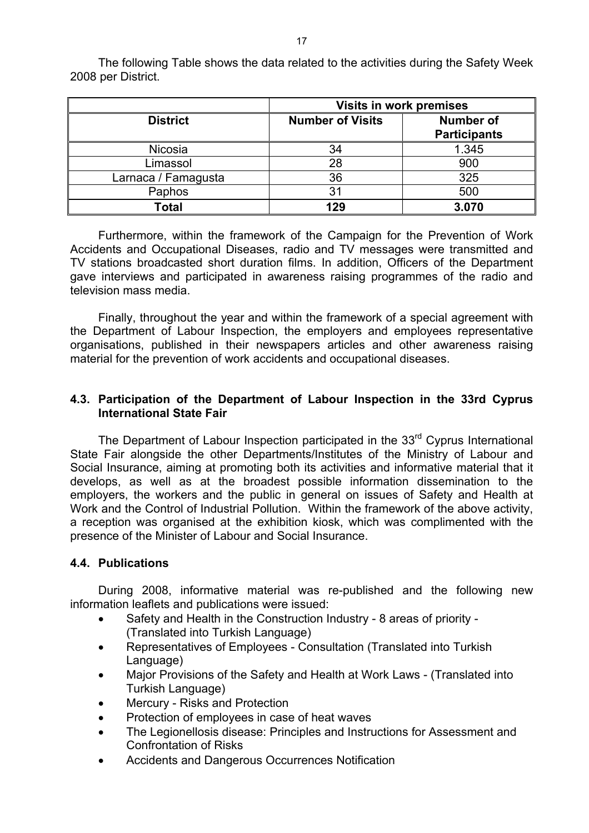|                     |                         | <b>Visits in work premises</b>          |
|---------------------|-------------------------|-----------------------------------------|
| <b>District</b>     | <b>Number of Visits</b> | <b>Number of</b><br><b>Participants</b> |
| Nicosia             | 34                      | 1.345                                   |
| Limassol            | 28                      | 900                                     |
| Larnaca / Famagusta | 36                      | 325                                     |
| Paphos              | 31                      | 500                                     |
| Total               | 129                     | 3.070                                   |

The following Table shows the data related to the activities during the Safety Week 2008 per District.

Furthermore, within the framework of the Campaign for the Prevention of Work Accidents and Occupational Diseases, radio and TV messages were transmitted and TV stations broadcasted short duration films. In addition, Officers of the Department gave interviews and participated in awareness raising programmes of the radio and television mass media.

Finally, throughout the year and within the framework of a special agreement with the Department of Labour Inspection, the employers and employees representative organisations, published in their newspapers articles and other awareness raising material for the prevention of work accidents and occupational diseases.

# **4.3. Participation of the Department of Labour Inspection in the 33rd Cyprus International State Fair**

The Department of Labour Inspection participated in the 33<sup>rd</sup> Cyprus International State Fair alongside the other Departments/Institutes of the Ministry of Labour and Social Insurance, aiming at promoting both its activities and informative material that it develops, as well as at the broadest possible information dissemination to the employers, the workers and the public in general on issues of Safety and Health at Work and the Control of Industrial Pollution. Within the framework of the above activity, a reception was organised at the exhibition kiosk, which was complimented with the presence of the Minister of Labour and Social Insurance.

# **4.4. Publications**

During 2008, informative material was re-published and the following new information leaflets and publications were issued:

- Safety and Health in the Construction Industry 8 areas of priority (Translated into Turkish Language)
- Representatives of Employees Consultation (Translated into Turkish Language)
- Major Provisions of the Safety and Health at Work Laws (Translated into Turkish Language)
- Mercury Risks and Protection
- Protection of employees in case of heat waves
- The Legionellosis disease: Principles and Instructions for Assessment and Confrontation of Risks
- Accidents and Dangerous Occurrences Notification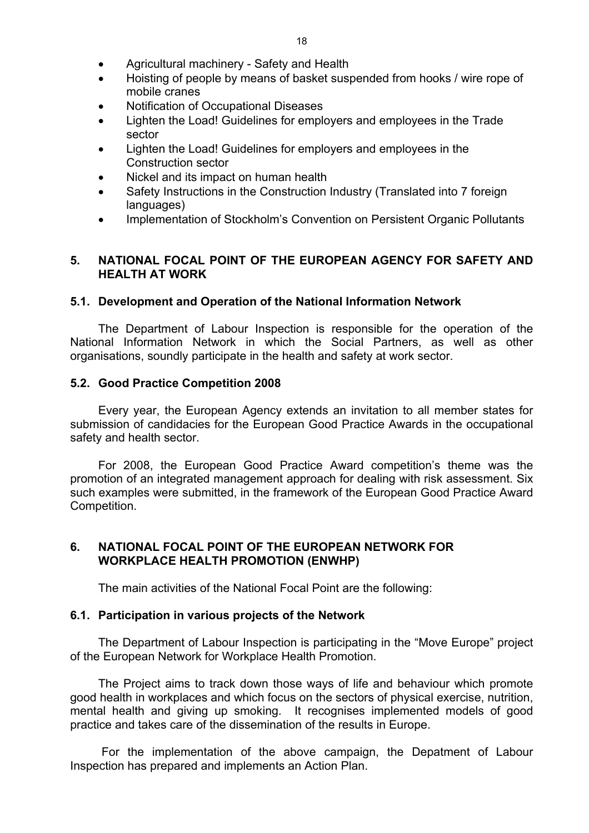- Agricultural machinery Safety and Health
- Hoisting of people by means of basket suspended from hooks / wire rope of mobile cranes
- Notification of Occupational Diseases
- Lighten the Load! Guidelines for employers and employees in the Trade sector
- Lighten the Load! Guidelines for employers and employees in the Construction sector
- Nickel and its impact on human health
- Safety Instructions in the Construction Industry (Translated into 7 foreign languages)
- Implementation of Stockholm's Convention on Persistent Organic Pollutants

# **5. NATIONAL FOCAL POINT OF THE EUROPEAN AGENCY FOR SAFETY AND HEALTH AT WORK**

# **5.1. Development and Operation of the National Information Network**

The Department of Labour Inspection is responsible for the operation of the National Information Network in which the Social Partners, as well as other organisations, soundly participate in the health and safety at work sector.

# **5.2. Good Practice Competition 2008**

Every year, the European Agency extends an invitation to all member states for submission of candidacies for the European Good Practice Awards in the occupational safety and health sector.

For 2008, the European Good Practice Award competition's theme was the promotion of an integrated management approach for dealing with risk assessment. Six such examples were submitted, in the framework of the European Good Practice Award Competition.

# **6. NATIONAL FOCAL POINT OF THE EUROPEAN NETWORK FOR WORKPLACE HEALTH PROMOTION (ENWHP)**

The main activities of the National Focal Point are the following:

# **6.1. Participation in various projects of the Network**

The Department of Labour Inspection is participating in the "Move Europe" project of the European Network for Workplace Health Promotion.

The Project aims to track down those ways of life and behaviour which promote good health in workplaces and which focus on the sectors of physical exercise, nutrition, mental health and giving up smoking. It recognises implemented models of good practice and takes care of the dissemination of the results in Europe.

 For the implementation of the above campaign, the Depatment of Labour Inspection has prepared and implements an Action Plan.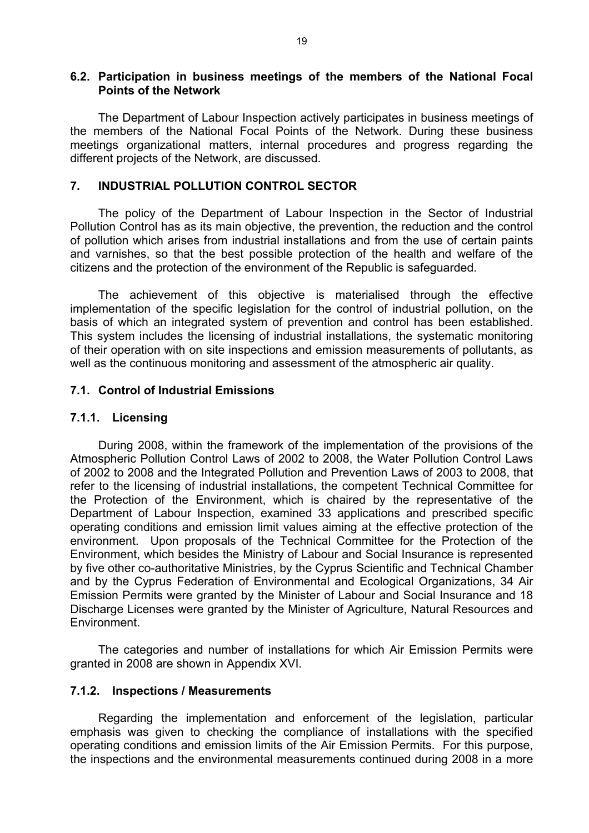#### **6.2. Participation in business meetings of the members of the National Focal Points of the Network**

The Department of Labour Inspection actively participates in business meetings of the members of the National Focal Points of the Network. During these business meetings organizational matters, internal procedures and progress regarding the different projects of the Network, are discussed.

### **7. INDUSTRIAL POLLUTION CONTROL SECTOR**

The policy of the Department of Labour Inspection in the Sector of Industrial Pollution Control has as its main objective, the prevention, the reduction and the control of pollution which arises from industrial installations and from the use of certain paints and varnishes, so that the best possible protection of the health and welfare of the citizens and the protection of the environment of the Republic is safeguarded.

The achievement of this objective is materialised through the effective implementation of the specific legislation for the control of industrial pollution, on the basis of which an integrated system of prevention and control has been established. This system includes the licensing of industrial installations, the systematic monitoring of their operation with on site inspections and emission measurements of pollutants, as well as the continuous monitoring and assessment of the atmospheric air quality.

# **7.1. Control of Industrial Emissions**

#### **7.1.1. Licensing**

During 2008, within the framework of the implementation of the provisions of the Atmospheric Pollution Control Laws of 2002 to 2008, the Water Pollution Control Laws of 2002 to 2008 and the Integrated Pollution and Prevention Laws of 2003 to 2008, that refer to the licensing of industrial installations, the competent Technical Committee for the Protection of the Environment, which is chaired by the representative of the Department of Labour Inspection, examined 33 applications and prescribed specific operating conditions and emission limit values aiming at the effective protection of the environment. Upon proposals of the Technical Committee for the Protection of the Environment, which besides the Ministry of Labour and Social Insurance is represented by five other co-authoritative Ministries, by the Cyprus Scientific and Technical Chamber and by the Cyprus Federation of Environmental and Ecological Organizations, 34 Air Emission Permits were granted by the Minister of Labour and Social Insurance and 18 Discharge Licenses were granted by the Minister of Agriculture, Natural Resources and Environment.

Τhe categories and number of installations for which Air Emission Permits were granted in 2008 are shown in Appendix XVI.

#### **7.1.2. Inspections / Measurements**

Regarding the implementation and enforcement of the legislation, particular emphasis was given to checking the compliance of installations with the specified operating conditions and emission limits of the Air Emission Permits. For this purpose, the inspections and the environmental measurements continued during 2008 in a more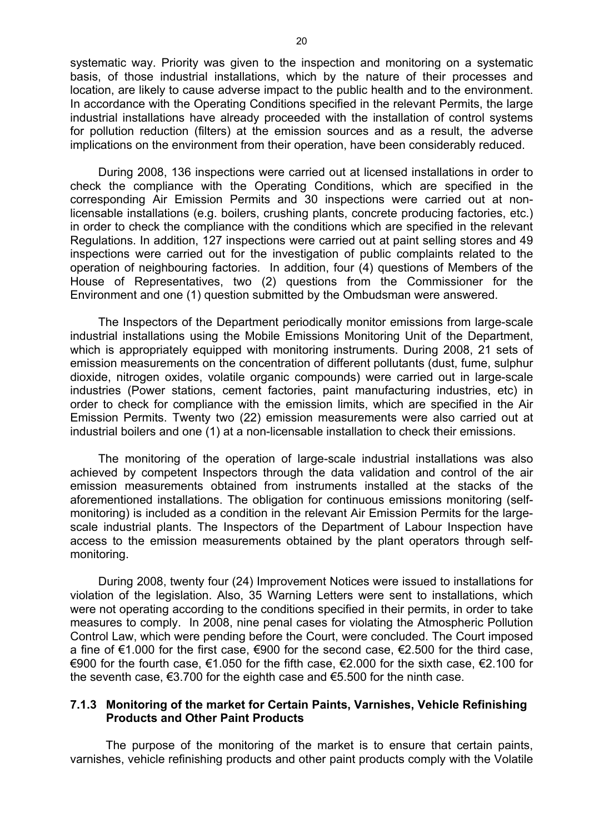systematic way. Priority was given to the inspection and monitoring on a systematic basis, of those industrial installations, which by the nature of their processes and location, are likely to cause adverse impact to the public health and to the environment. In accordance with the Operating Conditions specified in the relevant Permits, the large industrial installations have already proceeded with the installation of control systems for pollution reduction (filters) at the emission sources and as a result, the adverse implications on the environment from their operation, have been considerably reduced.

During 2008, 136 inspections were carried out at licensed installations in order to check the compliance with the Operating Conditions, which are specified in the corresponding Air Emission Permits and 30 inspections were carried out at nonlicensable installations (e.g. boilers, crushing plants, concrete producing factories, etc.) in order to check the compliance with the conditions which are specified in the relevant Regulations. In addition, 127 inspections were carried out at paint selling stores and 49 inspections were carried out for the investigation of public complaints related to the operation of neighbouring factories. In addition, four (4) questions of Members of the House of Representatives, two (2) questions from the Commissioner for the Environment and one (1) question submitted by the Ombudsman were answered.

The Inspectors of the Department periodically monitor emissions from large-scale industrial installations using the Mobile Emissions Monitoring Unit of the Department, which is appropriately equipped with monitoring instruments. During 2008, 21 sets of emission measurements on the concentration of different pollutants (dust, fume, sulphur dioxide, nitrogen oxides, volatile organic compounds) were carried out in large-scale industries (Power stations, cement factories, paint manufacturing industries, etc) in order to check for compliance with the emission limits, which are specified in the Air Emission Permits. Twenty two (22) emission measurements were also carried out at industrial boilers and one (1) at a non-licensable installation to check their emissions.

The monitoring of the operation of large-scale industrial installations was also achieved by competent Inspectors through the data validation and control of the air emission measurements obtained from instruments installed at the stacks of the aforementioned installations. The obligation for continuous emissions monitoring (selfmonitoring) is included as a condition in the relevant Air Emission Permits for the largescale industrial plants. The Inspectors of the Department of Labour Inspection have access to the emission measurements obtained by the plant operators through selfmonitoring.

During 2008, twenty four (24) Improvement Notices were issued to installations for violation of the legislation. Also, 35 Warning Letters were sent to installations, which were not operating according to the conditions specified in their permits, in order to take measures to comply. In 2008, nine penal cases for violating the Atmospheric Pollution Control Law, which were pending before the Court, were concluded. The Court imposed a fine of €1.000 for the first case, €900 for the second case, €2.500 for the third case, €900 for the fourth case,  $€1.050$  for the fifth case,  $€2.000$  for the sixth case,  $€2.100$  for the seventh case,  $\epsilon$ 3.700 for the eighth case and  $\epsilon$ 5.500 for the ninth case.

### **7.1.3 Monitoring of the market for Certain Paints, Varnishes, Vehicle Refinishing Products and Other Paint Products**

The purpose of the monitoring of the market is to ensure that certain paints, varnishes, vehicle refinishing products and other paint products comply with the Volatile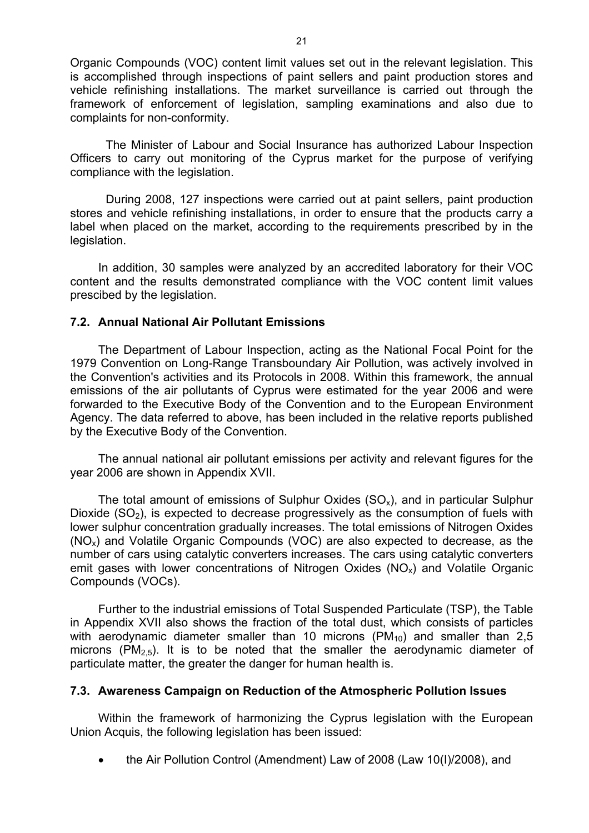Organic Compounds (VOC) content limit values set out in the relevant legislation. This is accomplished through inspections of paint sellers and paint production stores and vehicle refinishing installations. The market surveillance is carried out through the framework of enforcement of legislation, sampling examinations and also due to complaints for non-conformity.

The Minister of Labour and Social Insurance has authorized Labour Inspection Officers to carry out monitoring of the Cyprus market for the purpose of verifying compliance with the legislation.

During 2008, 127 inspections were carried out at paint sellers, paint production stores and vehicle refinishing installations, in order to ensure that the products carry a label when placed on the market, according to the requirements prescribed by in the legislation.

In addition, 30 samples were analyzed by an accredited laboratory for their VOC content and the results demonstrated compliance with the VOC content limit values prescibed by the legislation.

### **7.2. Annual National Air Pollutant Emissions**

The Department of Labour Inspection, acting as the National Focal Point for the 1979 Convention on Long-Range Transboundary Air Pollution, was actively involved in the Convention's activities and its Protocols in 2008. Within this framework, the annual emissions of the air pollutants of Cyprus were estimated for the year 2006 and were forwarded to the Executive Body of the Convention and to the European Environment Agency. The data referred to above, has been included in the relative reports published by the Executive Body of the Convention.

The annual national air pollutant emissions per activity and relevant figures for the year 2006 are shown in Appendix XVII.

The total amount of emissions of Sulphur Oxides  $(SO<sub>x</sub>)$ , and in particular Sulphur Dioxide  $(SO<sub>2</sub>)$ , is expected to decrease progressively as the consumption of fuels with lower sulphur concentration gradually increases. The total emissions of Nitrogen Oxides (NOx) and Volatile Organic Compounds (VOC) are also expected to decrease, as the number of cars using catalytic converters increases. The cars using catalytic converters emit gases with lower concentrations of Nitrogen Oxides ( $NO<sub>x</sub>$ ) and Volatile Organic Compounds (VOCs).

Further to the industrial emissions of Total Suspended Particulate (TSP), the Table in Appendix XVII also shows the fraction of the total dust, which consists of particles with aerodynamic diameter smaller than 10 microns  $(PM_{10})$  and smaller than 2,5 microns (PM<sub>2.5</sub>). It is to be noted that the smaller the aerodynamic diameter of particulate matter, the greater the danger for human health is.

#### **7.3. Awareness Campaign on Reduction of the Atmospheric Pollution Issues**

Within the framework of harmonizing the Cyprus legislation with the European Union Acquis, the following legislation has been issued:

• the Air Pollution Control (Amendment) Law of 2008 (Law 10(I)/2008), and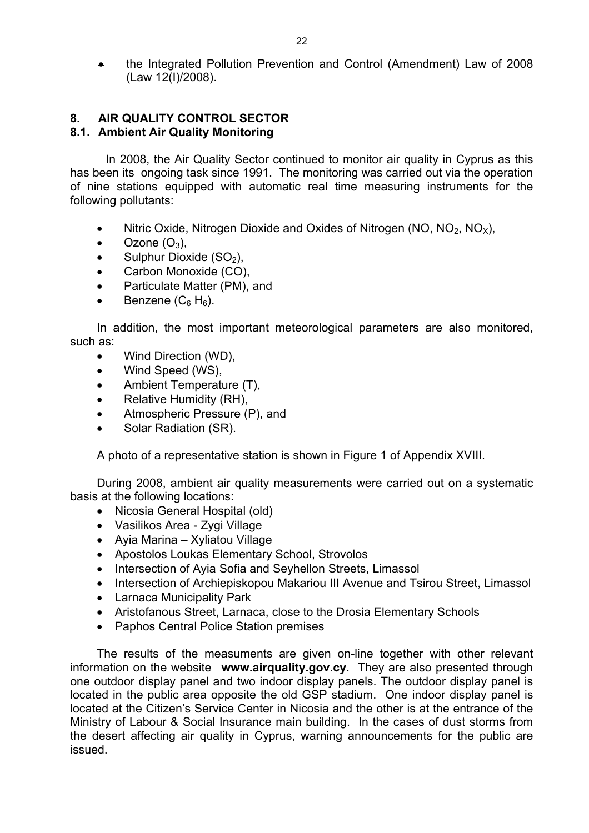• the Integrated Pollution Prevention and Control (Amendment) Law of 2008 (Law 12(I)/2008).

### **8. AIR QUALITY CONTROL SECTOR 8.1. Ambient Air Quality Monitoring**

 In 2008, the Air Quality Sector continued to monitor air quality in Cyprus as this has been its ongoing task since 1991. The monitoring was carried out via the operation of nine stations equipped with automatic real time measuring instruments for the following pollutants:

- Nitric Oxide, Nitrogen Dioxide and Oxides of Nitrogen (NO,  $NO<sub>2</sub>$ , NO<sub>x</sub>),
- Ozone  $(O_3)$ ,
- Sulphur Dioxide  $(SO<sub>2</sub>)$ ,
- Carbon Monoxide (CO),
- Particulate Matter (PM), and
- Benzene  $(C_6 H_6)$ .

In addition, the most important meteorological parameters are also monitored, such as:

- Wind Direction (WD),
- Wind Speed (WS),
- Ambient Temperature (T),
- Relative Humidity (RH),
- Atmospheric Pressure (P), and
- Solar Radiation (SR).

A photo of a representative station is shown in Figure 1 of Appendix XVIII.

During 2008, ambient air quality measurements were carried out on a systematic basis at the following locations:

- Nicosia General Hospital (old)
- Vasilikos Area Zygi Village
- Ayia Marina Xyliatou Village
- Apostolos Loukas Elementary School, Strovolos
- Intersection of Ayia Sofia and Seyhellon Streets, Limassol
- Intersection of Archiepiskopou Makariou III Avenue and Tsirou Street, Limassol
- Larnaca Municipality Park
- Aristofanous Street, Larnaca, close to the Drosia Elementary Schools
- Paphos Central Police Station premises

The results of the measuments are given on-line together with other relevant information on the website **www.airquality.gov.cy**. They are also presented through one outdoor display panel and two indoor display panels. The outdoor display panel is located in the public area opposite the old GSP stadium. One indoor display panel is located at the Citizen's Service Center in Nicosia and the other is at the entrance of the Ministry of Labour & Social Insurance main building. In the cases of dust storms from the desert affecting air quality in Cyprus, warning announcements for the public are issued.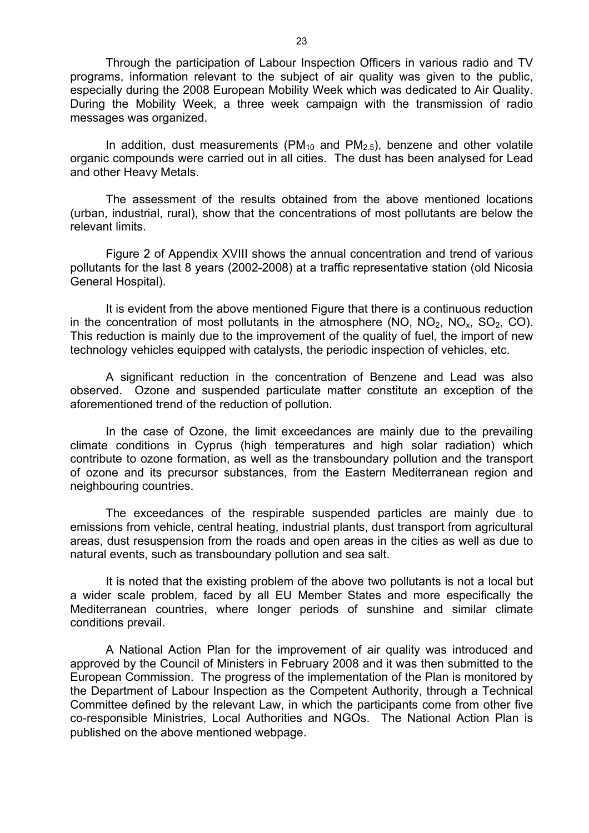Through the participation of Labour Inspection Officers in various radio and TV programs, information relevant to the subject of air quality was given to the public, especially during the 2008 European Mobility Week which was dedicated to Air Quality. During the Mobility Week, a three week campaign with the transmission of radio messages was organized.

In addition, dust measurements ( $PM<sub>10</sub>$  and  $PM<sub>2.5</sub>$ ), benzene and other volatile organic compounds were carried out in all cities. The dust has been analysed for Lead and other Heavy Metals.

The assessment of the results obtained from the above mentioned locations (urban, industrial, rural), show that the concentrations of most pollutants are below the relevant limits.

Figure 2 of Appendix XVIII shows the annual concentration and trend of various pollutants for the last 8 years (2002-2008) at a traffic representative station (old Nicosia General Hospital).

It is evident from the above mentioned Figure that there is a continuous reduction in the concentration of most pollutants in the atmosphere (NO,  $NO<sub>2</sub>$ ,  $NO<sub>2</sub>$ ,  $CO<sub>2</sub>$ ,  $CO<sub>2</sub>$ ). This reduction is mainly due to the improvement of the quality of fuel, the import of new technology vehicles equipped with catalysts, the periodic inspection of vehicles, etc.

A significant reduction in the concentration of Benzene and Lead was also observed. Ozone and suspended particulate matter constitute an exception of the aforementioned trend of the reduction of pollution.

In the case of Ozone, the limit exceedances are mainly due to the prevailing climate conditions in Cyprus (high temperatures and high solar radiation) which contribute to ozone formation, as well as the transboundary pollution and the transport of ozone and its precursor substances, from the Eastern Mediterranean region and neighbouring countries.

The exceedances of the respirable suspended particles are mainly due to emissions from vehicle, central heating, industrial plants, dust transport from agricultural areas, dust resuspension from the roads and open areas in the cities as well as due to natural events, such as transboundary pollution and sea salt.

It is noted that the existing problem of the above two pollutants is not a local but a wider scale problem, faced by all EU Member States and more especifically the Mediterranean countries, where longer periods of sunshine and similar climate conditions prevail.

A National Action Plan for the improvement of air quality was introduced and approved by the Council of Ministers in February 2008 and it was then submitted to the European Commission. The progress of the implementation of the Plan is monitored by the Department of Labour Inspection as the Competent Authority, through a Technical Committee defined by the relevant Law, in which the participants come from other five co-responsible Ministries, Local Authorities and NGOs. The National Action Plan is published on the above mentioned webpage.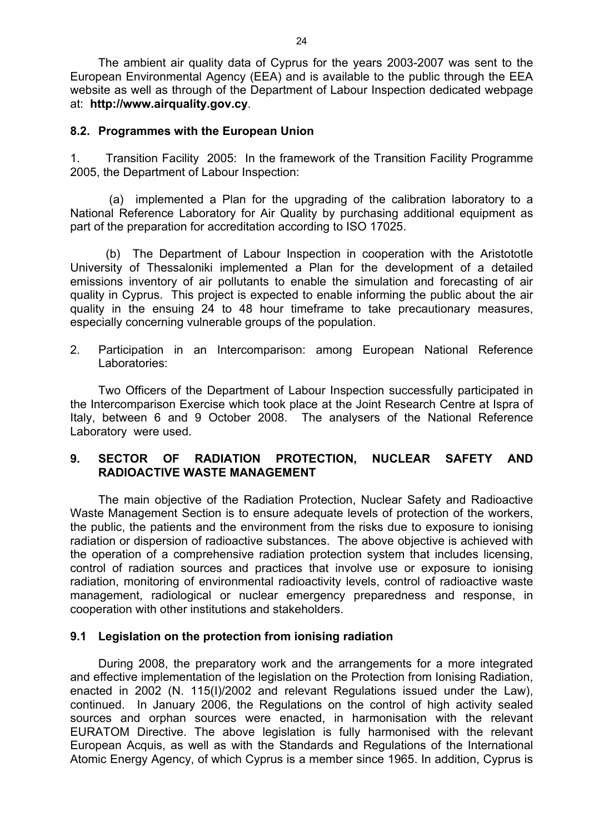The ambient air quality data of Cyprus for the years 2003-2007 was sent to the European Environmental Agency (EEA) and is available to the public through the EEA website as well as through of the Department of Labour Inspection dedicated webpage at: **http://www.airquality.gov.cy**.

# **8.2. Programmes with the European Union**

1. Transition Facility 2005: In the framework of the Transition Facility Programme 2005, the Department of Labour Inspection:

 (a) implemented a Plan for the upgrading of the calibration laboratory to a National Reference Laboratory for Air Quality by purchasing additional equipment as part of the preparation for accreditation according to ISO 17025.

 (b) The Department of Labour Inspection in cooperation with the Aristototle University of Thessaloniki implemented a Plan for the development of a detailed emissions inventory of air pollutants to enable the simulation and forecasting of air quality in Cyprus. This project is expected to enable informing the public about the air quality in the ensuing 24 to 48 hour timeframe to take precautionary measures, especially concerning vulnerable groups of the population.

2. Participation in an Intercomparison: among European National Reference Laboratories:

Two Officers of the Department of Labour Inspection successfully participated in the Intercomparison Exercise which took place at the Joint Research Centre at Ispra of Italy, between 6 and 9 October 2008. The analysers of the National Reference Laboratory were used.

# **9. SECTOR OF RADIATION PROTECTION, NUCLEAR SAFETY AND RADIOACTIVE WASTE MANAGEMENT**

The main objective of the Radiation Protection, Nuclear Safety and Radioactive Waste Management Section is to ensure adequate levels of protection of the workers, the public, the patients and the environment from the risks due to exposure to ionising radiation or dispersion of radioactive substances. The above objective is achieved with the operation of a comprehensive radiation protection system that includes licensing, control of radiation sources and practices that involve use or exposure to ionising radiation, monitoring of environmental radioactivity levels, control of radioactive waste management, radiological or nuclear emergency preparedness and response, in cooperation with other institutions and stakeholders.

# **9.1 Legislation on the protection from ionising radiation**

During 2008, the preparatory work and the arrangements for a more integrated and effective implementation of the legislation on the Protection from Ionising Radiation, enacted in 2002 (N. 115(I)/2002 and relevant Regulations issued under the Law), continued. In January 2006, the Regulations on the control of high activity sealed sources and orphan sources were enacted, in harmonisation with the relevant EURATOM Directive. The above legislation is fully harmonised with the relevant European Acquis, as well as with the Standards and Regulations of the International Atomic Energy Agency, of which Cyprus is a member since 1965. In addition, Cyprus is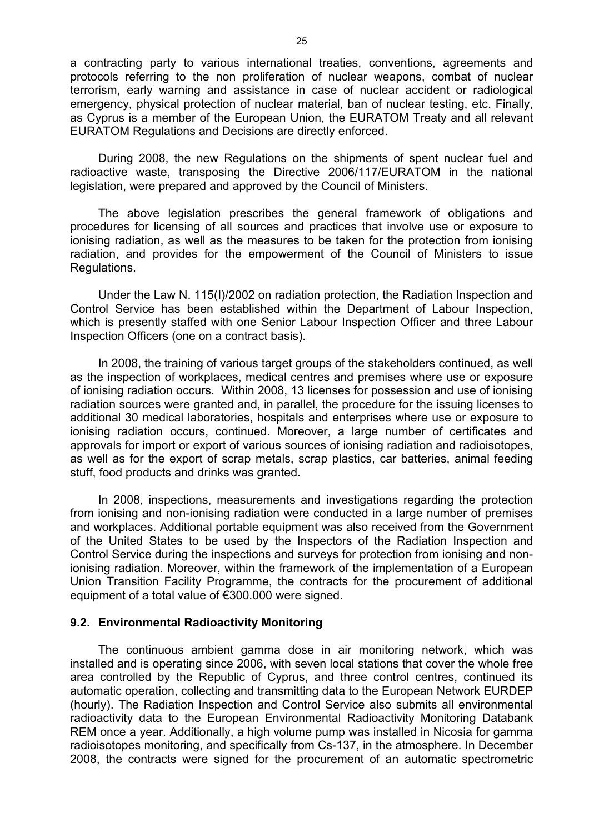a contracting party to various international treaties, conventions, agreements and protocols referring to the non proliferation of nuclear weapons, combat of nuclear terrorism, early warning and assistance in case of nuclear accident or radiological emergency, physical protection of nuclear material, ban of nuclear testing, etc. Finally, as Cyprus is a member of the European Union, the EURATOM Treaty and all relevant EURATOM Regulations and Decisions are directly enforced.

During 2008, the new Regulations on the shipments of spent nuclear fuel and radioactive waste, transposing the Directive 2006/117/EURATOM in the national legislation, were prepared and approved by the Council of Ministers.

The above legislation prescribes the general framework of obligations and procedures for licensing of all sources and practices that involve use or exposure to ionising radiation, as well as the measures to be taken for the protection from ionising radiation, and provides for the empowerment of the Council of Ministers to issue Regulations.

Under the Law N. 115(I)/2002 on radiation protection, the Radiation Inspection and Control Service has been established within the Department of Labour Inspection, which is presently staffed with one Senior Labour Inspection Officer and three Labour Inspection Officers (one on a contract basis).

In 2008, the training of various target groups of the stakeholders continued, as well as the inspection of workplaces, medical centres and premises where use or exposure of ionising radiation occurs. Within 2008, 13 licenses for possession and use of ionising radiation sources were granted and, in parallel, the procedure for the issuing licenses to additional 30 medical laboratories, hospitals and enterprises where use or exposure to ionising radiation occurs, continued. Moreover, a large number of certificates and approvals for import or export of various sources of ionising radiation and radioisotopes, as well as for the export of scrap metals, scrap plastics, car batteries, animal feeding stuff, food products and drinks was granted.

In 2008, inspections, measurements and investigations regarding the protection from ionising and non-ionising radiation were conducted in a large number of premises and workplaces. Additional portable equipment was also received from the Government of the United States to be used by the Inspectors of the Radiation Inspection and Control Service during the inspections and surveys for protection from ionising and nonionising radiation. Moreover, within the framework of the implementation of a European Union Transition Facility Programme, the contracts for the procurement of additional equipment of a total value of €300.000 were signed.

#### **9.2. Environmental Radioactivity Monitoring**

The continuous ambient gamma dose in air monitoring network, which was installed and is operating since 2006, with seven local stations that cover the whole free area controlled by the Republic of Cyprus, and three control centres, continued its automatic operation, collecting and transmitting data to the European Network EURDEP (hourly). The Radiation Inspection and Control Service also submits all environmental radioactivity data to the European Environmental Radioactivity Monitoring Databank REM once a year. Additionally, a high volume pump was installed in Nicosia for gamma radioisotopes monitoring, and specifically from Cs-137, in the atmosphere. In December 2008, the contracts were signed for the procurement of an automatic spectrometric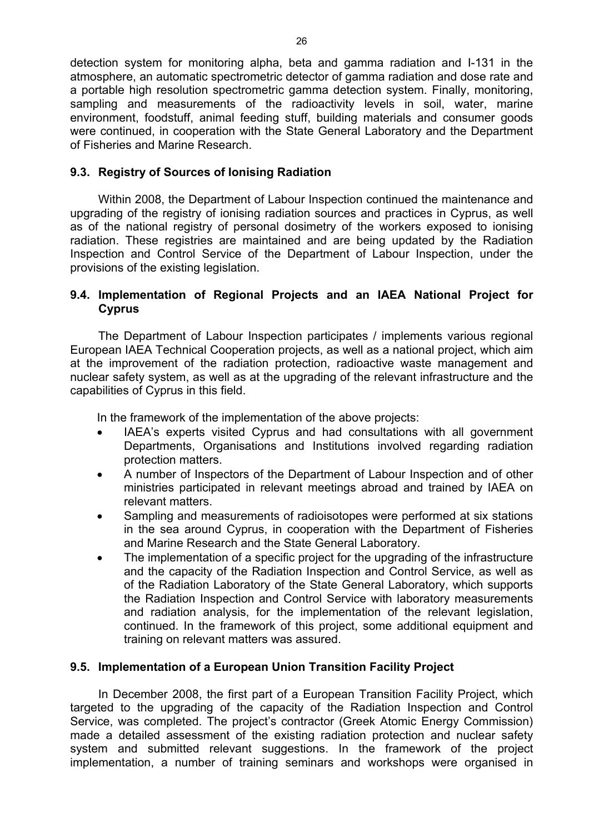detection system for monitoring alpha, beta and gamma radiation and I-131 in the atmosphere, an automatic spectrometric detector of gamma radiation and dose rate and a portable high resolution spectrometric gamma detection system. Finally, monitoring, sampling and measurements of the radioactivity levels in soil, water, marine environment, foodstuff, animal feeding stuff, building materials and consumer goods were continued, in cooperation with the State General Laboratory and the Department of Fisheries and Marine Research.

# **9.3. Registry of Sources of Ionising Radiation**

Within 2008, the Department of Labour Inspection continued the maintenance and upgrading of the registry of ionising radiation sources and practices in Cyprus, as well as of the national registry of personal dosimetry of the workers exposed to ionising radiation. These registries are maintained and are being updated by the Radiation Inspection and Control Service of the Department of Labour Inspection, under the provisions of the existing legislation.

# **9.4. Implementation of Regional Projects and an IAEA National Project for Cyprus**

The Department of Labour Inspection participates / implements various regional European IAEA Technical Cooperation projects, as well as a national project, which aim at the improvement of the radiation protection, radioactive waste management and nuclear safety system, as well as at the upgrading of the relevant infrastructure and the capabilities of Cyprus in this field.

In the framework of the implementation of the above projects:

- IAEA's experts visited Cyprus and had consultations with all government Departments, Organisations and Institutions involved regarding radiation protection matters.
- A number of Inspectors of the Department of Labour Inspection and of other ministries participated in relevant meetings abroad and trained by IAEA on relevant matters.
- Sampling and measurements of radioisotopes were performed at six stations in the sea around Cyprus, in cooperation with the Department of Fisheries and Marine Research and the State General Laboratory.
- The implementation of a specific project for the upgrading of the infrastructure and the capacity of the Radiation Inspection and Control Service, as well as of the Radiation Laboratory of the State General Laboratory, which supports the Radiation Inspection and Control Service with laboratory measurements and radiation analysis, for the implementation of the relevant legislation, continued. In the framework of this project, some additional equipment and training on relevant matters was assured.

# **9.5. Implementation of a European Union Transition Facility Project**

In December 2008, the first part of a European Transition Facility Project, which targeted to the upgrading of the capacity of the Radiation Inspection and Control Service, was completed. The project's contractor (Greek Atomic Energy Commission) made a detailed assessment of the existing radiation protection and nuclear safety system and submitted relevant suggestions. In the framework of the project implementation, a number of training seminars and workshops were organised in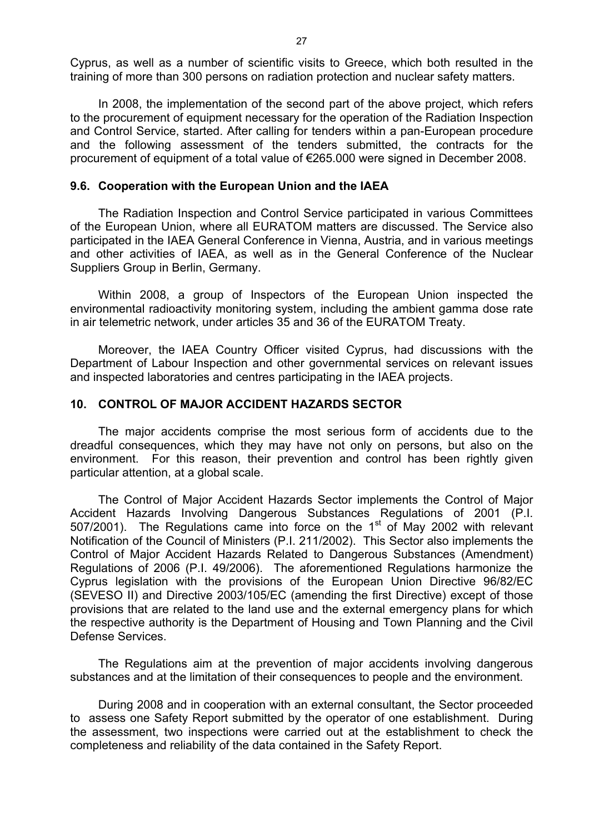Cyprus, as well as a number of scientific visits to Greece, which both resulted in the training of more than 300 persons on radiation protection and nuclear safety matters.

In 2008, the implementation of the second part of the above project, which refers to the procurement of equipment necessary for the operation of the Radiation Inspection and Control Service, started. After calling for tenders within a pan-European procedure and the following assessment of the tenders submitted, the contracts for the procurement of equipment of a total value of €265.000 were signed in December 2008.

#### **9.6. Cooperation with the European Union and the IAEA**

The Radiation Inspection and Control Service participated in various Committees of the European Union, where all EURATOM matters are discussed. The Service also participated in the IAEA General Conference in Vienna, Austria, and in various meetings and other activities of IAEA, as well as in the General Conference of the Nuclear Suppliers Group in Berlin, Germany.

Within 2008, a group of Inspectors of the European Union inspected the environmental radioactivity monitoring system, including the ambient gamma dose rate in air telemetric network, under articles 35 and 36 of the EURATOM Treaty.

Moreover, the IAEA Country Officer visited Cyprus, had discussions with the Department of Labour Inspection and other governmental services on relevant issues and inspected laboratories and centres participating in the IAEA projects.

### **10. CONTROL OF MAJOR ACCIDENT HAZARDS SECTOR**

The major accidents comprise the most serious form of accidents due to the dreadful consequences, which they may have not only on persons, but also on the environment. For this reason, their prevention and control has been rightly given particular attention, at a global scale.

The Control of Major Accident Hazards Sector implements the Control of Major Accident Hazards Involving Dangerous Substances Regulations of 2001 (P.I. 507/2001). The Regulations came into force on the  $1<sup>st</sup>$  of May 2002 with relevant Notification of the Council of Ministers (P.I. 211/2002). This Sector also implements the Control of Major Accident Hazards Related to Dangerous Substances (Amendment) Regulations of 2006 (P.I. 49/2006). The aforementioned Regulations harmonize the Cyprus legislation with the provisions of the European Union Directive 96/82/EC (SEVESO II) and Directive 2003/105/EC (amending the first Directive) except of those provisions that are related to the land use and the external emergency plans for which the respective authority is the Department of Housing and Town Planning and the Civil Defense Services.

The Regulations aim at the prevention of major accidents involving dangerous substances and at the limitation of their consequences to people and the environment.

During 2008 and in cooperation with an external consultant, the Sector proceeded to assess one Safety Report submitted by the operator of one establishment. During the assessment, two inspections were carried out at the establishment to check the completeness and reliability of the data contained in the Safety Report.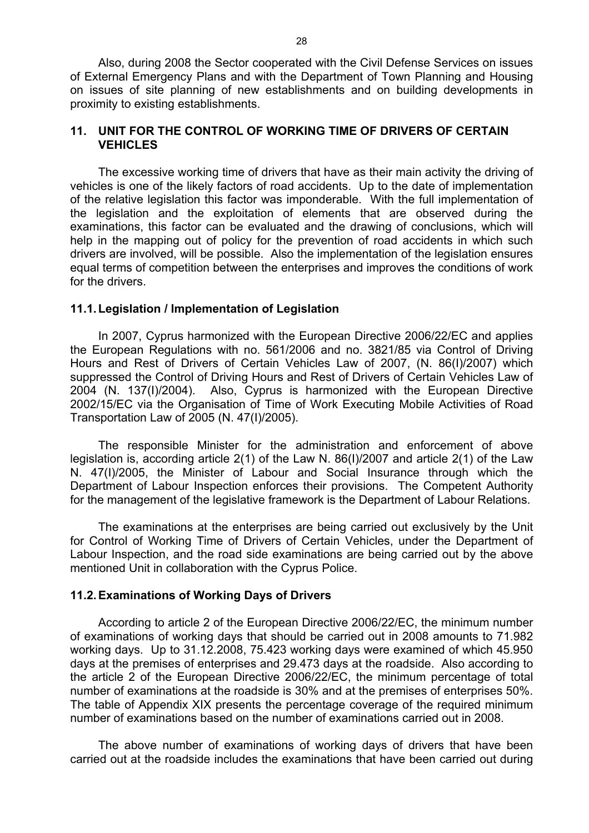Also, during 2008 the Sector cooperated with the Civil Defense Services on issues of External Emergency Plans and with the Department of Town Planning and Housing on issues of site planning of new establishments and on building developments in proximity to existing establishments.

#### **11. UNIT FOR THE CONTROL OF WORKING TIME OF DRIVERS OF CERTAIN VEHICLES**

The excessive working time of drivers that have as their main activity the driving of vehicles is one of the likely factors of road accidents. Up to the date of implementation of the relative legislation this factor was imponderable. With the full implementation of the legislation and the exploitation of elements that are observed during the examinations, this factor can be evaluated and the drawing of conclusions, which will help in the mapping out of policy for the prevention of road accidents in which such drivers are involved, will be possible. Also the implementation of the legislation ensures equal terms of competition between the enterprises and improves the conditions of work for the drivers.

#### **11.1. Legislation / Implementation of Legislation**

In 2007, Cyprus harmonized with the European Directive 2006/22/EC and applies the European Regulations with no. 561/2006 and no. 3821/85 via Control of Driving Hours and Rest of Drivers of Certain Vehicles Law of 2007, (N. 86(I)/2007) which suppressed the Control of Driving Hours and Rest of Drivers of Certain Vehicles Law of 2004 (N. 137(I)/2004). Also, Cyprus is harmonized with the European Directive 2002/15/EC via the Organisation of Time of Work Executing Mobile Activities of Road Transportation Law of 2005 (N. 47(I)/2005).

The responsible Minister for the administration and enforcement of above legislation is, according article 2(1) of the Law N. 86(I)/2007 and article 2(1) of the Law N. 47(I)/2005, the Minister of Labour and Social Insurance through which the Department of Labour Inspection enforces their provisions. The Competent Authority for the management of the legislative framework is the Department of Labour Relations.

The examinations at the enterprises are being carried out exclusively by the Unit for Control of Working Time of Drivers of Certain Vehicles, under the Department of Labour Inspection, and the road side examinations are being carried out by the above mentioned Unit in collaboration with the Cyprus Police.

#### **11.2. Examinations of Working Days of Drivers**

According to article 2 of the European Directive 2006/22/EC, the minimum number of examinations of working days that should be carried out in 2008 amounts to 71.982 working days. Up to 31.12.2008, 75.423 working days were examined of which 45.950 days at the premises of enterprises and 29.473 days at the roadside. Also according to the article 2 of the European Directive 2006/22/EC, the minimum percentage of total number of examinations at the roadside is 30% and at the premises of enterprises 50%. The table of Appendix XIX presents the percentage coverage of the required minimum number of examinations based on the number of examinations carried out in 2008.

The above number of examinations of working days of drivers that have been carried out at the roadside includes the examinations that have been carried out during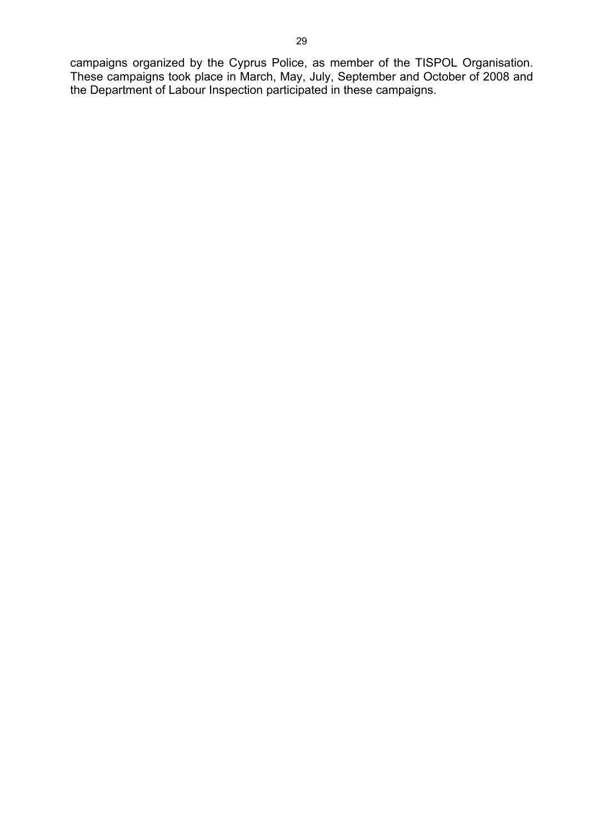campaigns organized by the Cyprus Police, as member of the TISPOL Organisation. These campaigns took place in March, May, July, September and October of 2008 and the Department of Labour Inspection participated in these campaigns.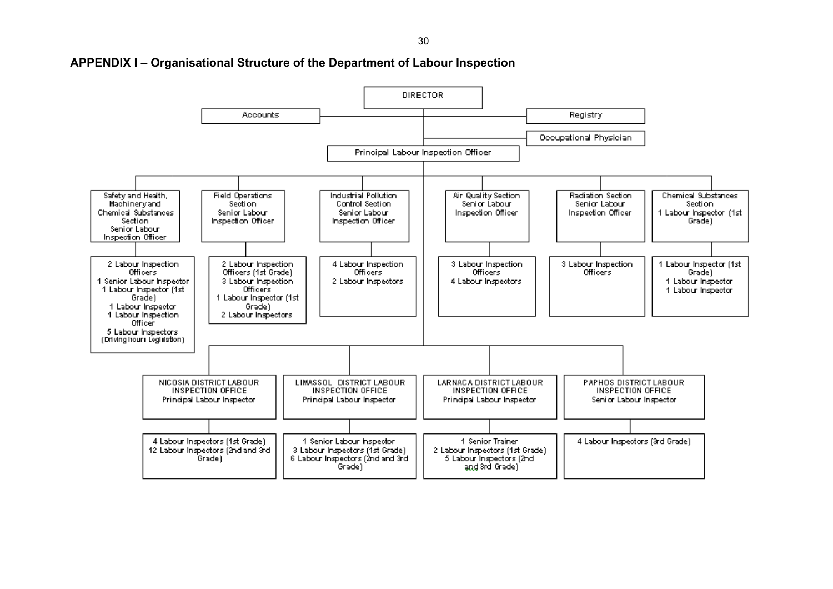30

#### **APPENDIX I – Organisational Structure of the Department of Labour Inspection**

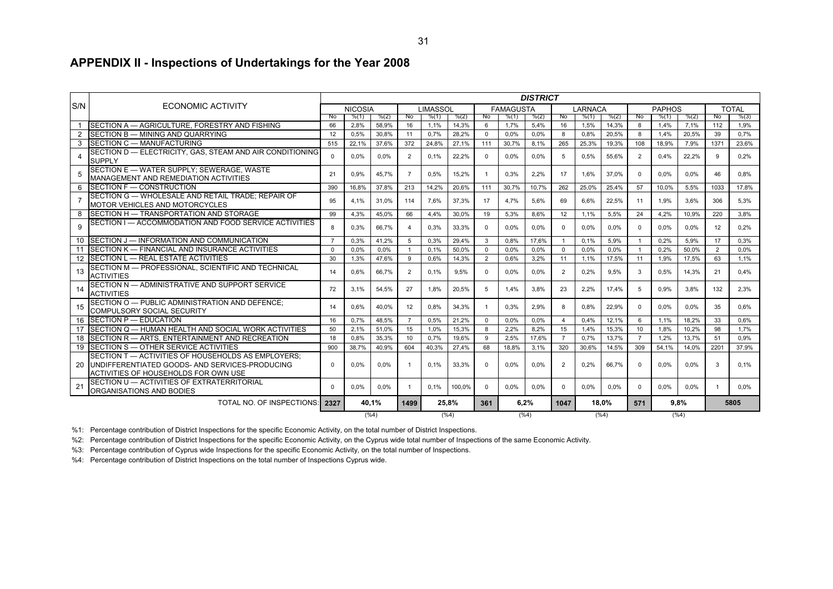#### **APPENDIX II - Inspections of Undertakings for the Year 2008**

|                |                                                                                                                                              |                |                |         |                        |          |        |          |                  | <b>DISTRICT</b> |                |         |         |                |               |       |      |              |
|----------------|----------------------------------------------------------------------------------------------------------------------------------------------|----------------|----------------|---------|------------------------|----------|--------|----------|------------------|-----------------|----------------|---------|---------|----------------|---------------|-------|------|--------------|
| S/N            | ECONOMIC ACTIVITY                                                                                                                            |                | <b>NICOSIA</b> |         |                        | LIMASSOL |        |          | <b>FAMAGUSTA</b> |                 |                | LARNACA |         |                | <b>PAPHOS</b> |       |      | <b>TOTAL</b> |
|                |                                                                                                                                              | No.            | % (1)          | % (2)   | -No                    | % (1)    | % (2)  | No.      | % (1)            | % (2)           | No.            | % (1)   | % (2)   | -No            | % (1)         | % (2) | No   | % (3)        |
| 1              | SECTION A - AGRICULTURE, FORESTRY AND FISHING                                                                                                | 66             | 2.8%           | 58.9%   | 16                     | 1.1%     | 14.3%  | 6        | 1.7%             | 5,4%            | 16             | 1.5%    | 14,3%   | <sup>8</sup>   | 1.4%          | 7.1%  | 112  | 1.9%         |
| $\overline{2}$ | <b>SECTION B - MINING AND QUARRYING</b>                                                                                                      | 12             | 0.5%           | 30,8%   | 11                     | 0.7%     | 28.2%  | $\Omega$ | 0.0%             | 0.0%            | 8              | 0.8%    | 20.5%   | 8              | 1.4%          | 20.5% | 39   | 0.7%         |
| 3              | SECTION C - MANUFACTURING                                                                                                                    | 515            | 22,1%          | 37.6%   | 372                    | 24,8%    | 27,1%  | 111      | 30.7%            | 8.1%            | 265            | 25,3%   | 19,3%   | 108            | 18,9%         | 7.9%  | 1371 | 23,6%        |
|                | SECTION D - ELECTRICITY, GAS, STEAM AND AIR CONDITIONING<br><b>SUPPLY</b>                                                                    | $\Omega$       | 0.0%           | 0,0%    | $\overline{2}$         | 0,1%     | 22,2%  | $\Omega$ | $0.0\%$          | 0.0%            | 5              | 0.5%    | 55,6%   | $\mathcal{P}$  | 0.4%          | 22,2% | 9    | 0,2%         |
| 5              | SECTION E - WATER SUPPLY; SEWERAGE, WASTE<br><b>MANAGEMENT AND REMEDIATION ACTIVITIES</b>                                                    | 21             | 0.9%           | 45.7%   |                        | 0.5%     | 15.2%  | -1       | 0.3%             | 2.2%            | 17             | 1.6%    | 37.0%   | $\Omega$       | 0.0%          | 0.0%  | 46   | 0.8%         |
| 6              | SECTION F - CONSTRUCTION                                                                                                                     | 390            | 16.8%          | 37.8%   | 213                    | 14,2%    | 20.6%  | 111      | 30.7%            | 10.7%           | 262            | 25.0%   | 25.4%   | 57             | 10.0%         | 5.5%  | 1033 | 17.8%        |
| $\overline{7}$ | SECTION G - WHOLESALE AND RETAIL TRADE: REPAIR OF<br><b>MOTOR VEHICLES AND MOTORCYCLES</b>                                                   | 95             | 4.1%           | 31,0%   | 114                    | 7,6%     | 37,3%  | 17       | 4.7%             | 5,6%            | 69             | 6,6%    | 22,5%   | -11            | 1.9%          | 3.6%  | 306  | 5,3%         |
| 8              | <b>ISECTION H - TRANSPORTATION AND STORAGE</b>                                                                                               | 99             | 4.3%           | 45.0%   | 66                     | 4.4%     | 30.0%  | 19       | 5.3%             | 8.6%            | 12             | 1.1%    | 5.5%    | 24             | 4.2%          | 10.9% | 220  | 3.8%         |
| 9              | SECTION I - ACCOMMODATION AND FOOD SERVICE ACTIVITIES                                                                                        | 8              | 0.3%           | 66,7%   | $\boldsymbol{\Lambda}$ | 0,3%     | 33,3%  | $\Omega$ | $0.0\%$          | 0.0%            | $\Omega$       | 0.0%    | 0.0%    | $\Omega$       | 0.0%          | 0.0%  | 12   | 0,2%         |
| 10             | SECTION J - INFORMATION AND COMMUNICATION                                                                                                    | $\overline{7}$ | 0.3%           | 41.2%   | -5                     | 0.3%     | 29.4%  | 3        | 0.8%             | 17.6%           | -1             | 0.1%    | 5.9%    |                | 0.2%          | 5.9%  | 17   | 0.3%         |
| 11             | <b>ISECTION K — FINANCIAL AND INSURANCE ACTIVITIES</b>                                                                                       | $\Omega$       | 0.0%           | 0.0%    |                        | 0.1%     | 50.0%  | $\Omega$ | 0.0%             | 0.0%            | $\Omega$       | 0.0%    | 0.0%    |                | 0.2%          | 50.0% | 2    | 0.0%         |
|                | 12 SECTION L - REAL ESTATE ACTIVITIES                                                                                                        | 30             | 1.3%           | 47.6%   | 9                      | 0.6%     | 14,3%  | 2        | 0.6%             | 3,2%            | 11             | 1,1%    | 17,5%   | 11             | 1,9%          | 17.5% | 63   | 1,1%         |
| 13             | SECTION M - PROFESSIONAL, SCIENTIFIC AND TECHNICAL<br><b>ACTIVITIES</b>                                                                      | 14             | 0.6%           | 66,7%   | $\overline{2}$         | 0.1%     | 9,5%   | $\Omega$ | $0.0\%$          | 0.0%            | $\overline{2}$ | 0.2%    | 9,5%    | $\mathcal{R}$  | 0,5%          | 14,3% | 21   | 0,4%         |
| 14             | SECTION N - ADMINISTRATIVE AND SUPPORT SERVICE<br><b>ACTIVITIES</b>                                                                          | 72             | 3.1%           | 54.5%   | 27                     | 1.8%     | 20,5%  | 5        | 1.4%             | 3.8%            | 23             | 2.2%    | 17.4%   | 5              | 0.9%          | 3.8%  | 132  | 2.3%         |
| 15             | SECTION O - PUBLIC ADMINISTRATION AND DEFENCE;<br><b>COMPULSORY SOCIAL SECURITY</b>                                                          | 14             | 0.6%           | 40.0%   | 12                     | 0.8%     | 34.3%  |          | 0.3%             | 2.9%            | 8              | 0.8%    | 22.9%   |                | 0.0%          | 0.0%  | 35   | 0.6%         |
|                | 16 SECTION P - EDUCATION                                                                                                                     | 16             | 0.7%           | 48.5%   | $\overline{ }$         | 0,5%     | 21,2%  | $\Omega$ | 0.0%             | 0.0%            | $\overline{4}$ | 0.4%    | 12,1%   | 6              | 1,1%          | 18.2% | 33   | 0.6%         |
| 17             | SECTION Q - HUMAN HEALTH AND SOCIAL WORK ACTIVITIES                                                                                          | 50             | 2.1%           | 51.0%   | 15                     | 1.0%     | 15,3%  | 8        | 2.2%             | 8.2%            | 15             | 1,4%    | 15,3%   | 10             | 1,8%          | 10.2% | 98   | 1,7%         |
| 18             | SECTION R - ARTS, ENTERTAINMENT AND RECREATION                                                                                               | 18             | 0.8%           | 35.3%   | 10                     | 0.7%     | 19.6%  | 9        | 2.5%             | 17.6%           | $\overline{7}$ | 0.7%    | 13,7%   | $\overline{7}$ | 1.2%          | 13.7% | 51   | 0.9%         |
| 19             | SECTION S - OTHER SERVICE ACTIVITIES                                                                                                         | 900            | 38.7%          | 40,9%   | 604                    | 40,3%    | 27,4%  | 68       | 18,8%            | 3,1%            | 320            | 30,6%   | 14,5%   | 309            | 54,1%         | 14,0% | 2201 | 37,9%        |
| 20             | SECTION T - ACTIVITIES OF HOUSEHOLDS AS EMPLOYERS:<br>UNDIFFERENTIATED GOODS- AND SERVICES-PRODUCING<br>ACTIVITIES OF HOUSEHOLDS FOR OWN USE | $\Omega$       | 0.0%           | 0.0%    |                        | 0.1%     | 33,3%  | $\Omega$ | $0.0\%$          | 0.0%            | $\overline{2}$ | 0.2%    | 66,7%   | $\Omega$       | 0.0%          | 0.0%  | 3    | 0,1%         |
| 21             | SECTION U - ACTIVITIES OF EXTRATERRITORIAL<br>ORGANISATIONS AND BODIES                                                                       | $\Omega$       | 0.0%           | $0.0\%$ |                        | 0.1%     | 100.0% | $\Omega$ | $0.0\%$          | 0.0%            | $\Omega$       | 0.0%    | 0.0%    | $\Omega$       | 0.0%          | 0.0%  |      | $0.0\%$      |
|                | TOTAL NO. OF INSPECTIONS: 2327                                                                                                               |                | 40,1%          |         | 1499                   | 25.8%    |        | 361      | 6.2%             |                 | 1047           | 18.0%   |         | 571            | 9.8%          |       | 5805 |              |
|                |                                                                                                                                              |                |                | (%4)    |                        |          | (%4)   |          |                  | $(\%4)$         |                |         | $(\%4)$ | (%4)           |               |       |      |              |

%1: Percentage contribution of District Inspections for the specific Economic Activity, on the total number of District Inspections.

%2: Percentage contribution of District Inspections for the specific Economic Activity, on the Cyprus wide total number of Inspections of the same Economic Activity.

%3: Percentage contribution of Cyprus wide Inspections for the specific Economic Activity, on the total number of Inspections.

%4: Percentage contribution of District Inspections on the total number of Inspections Cyprus wide.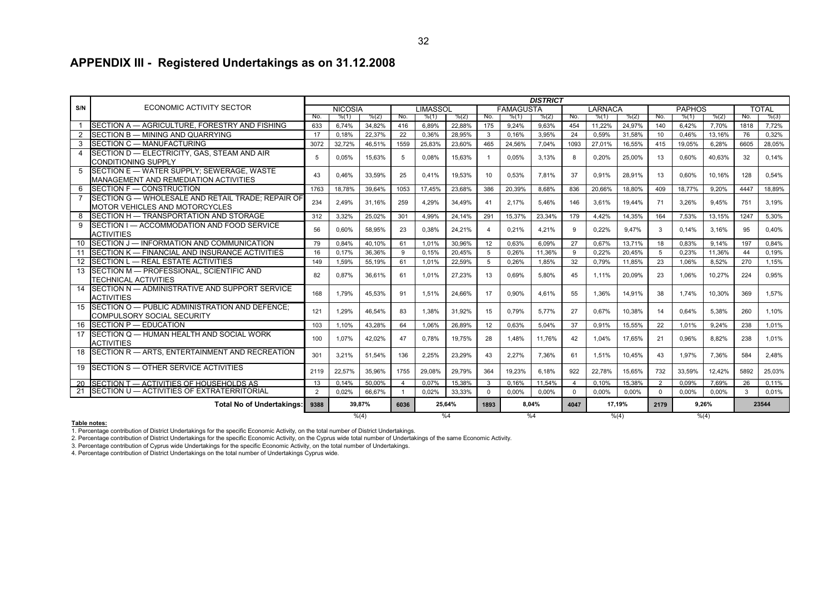# **APPENDIX III - Registered Undertakings as on 31.12.2008**

|       |                                                                                             |               |                |        |                |                 |        |                |                  | <b>DISTRICT</b> |                |                |        |          |               |        |       |              |  |
|-------|---------------------------------------------------------------------------------------------|---------------|----------------|--------|----------------|-----------------|--------|----------------|------------------|-----------------|----------------|----------------|--------|----------|---------------|--------|-------|--------------|--|
| S/N   | ECONOMIC ACTIVITY SECTOR                                                                    |               | <b>NICOSIA</b> |        |                | <b>LIMASSOL</b> |        |                | <b>FAMAGUSTA</b> |                 |                | <b>LARNACA</b> |        |          | <b>PAPHOS</b> |        |       | <b>TOTAL</b> |  |
|       |                                                                                             | No.           | % (1)          | % (2)  | No.            | % (1)           | % (2)  | No.            | % (1)            | % (2)           | No.            | % (1)          | % (2)  | No.      | % (1)         | % (2)  | No.   | % (3)        |  |
|       | SECTION A - AGRICULTURE. FORESTRY AND FISHING                                               | 633           | 6.74%          | 34,82% | 416            | 6.89%           | 22.88% | 175            | 9.24%            | 9.63%           | 454            | 11.22%         | 24,97% | 140      | 6.42%         | 7,70%  | 1818  | 7,72%        |  |
|       | SECTION B - MINING AND QUARRYING                                                            | 17            | 0.18%          | 22.37% | 22             | 0.36%           | 28.95% | 3              | 0.16%            | 3,95%           | 24             | 0.59%          | 31,58% | 10       | 0.46%         | 13,16% | 76    | 0.32%        |  |
|       | 3 SECTION C - MANUFACTURING                                                                 | 3072          | 32,72%         | 46,51% | 1559           | 25,83%          | 23,60% | 465            | 24.56%           | 7,04%           | 1093           | 27.01%         | 16,55% | 415      | 19.05%        | 6,28%  | 6605  | 28,05%       |  |
|       | SECTION D - ELECTRICITY, GAS, STEAM AND AIR<br><b>CONDITIONING SUPPLY</b>                   | 5             | 0.05%          | 15.63% | 5              | 0.08%           | 15.63% | -1             | 0.05%            | 3.13%           | 8              | 0.20%          | 25,00% | 13       | 0.60%         | 40.63% | 32    | 0,14%        |  |
|       | 5 SECTION E - WATER SUPPLY: SEWERAGE, WASTE<br><b>MANAGEMENT AND REMEDIATION ACTIVITIES</b> | 43            | 0.46%          | 33,59% | 25             | 0.41%           | 19,53% | 10             | 0.53%            | 7.81%           | 37             | 0.91%          | 28,91% | 13       | 0.60%         | 10.16% | 128   | 0.54%        |  |
| 6     | SECTION F - CONSTRUCTION                                                                    | 1763          | 18,78%         | 39,64% | 1053           | 17,45%          | 23,68% | 386            | 20,39%           | 8,68%           | 836            | 20.66%         | 18,80% | 409      | 18,77%        | 9,20%  | 4447  | 18,89%       |  |
|       | SECTION G - WHOLESALE AND RETAIL TRADE; REPAIR OF<br><b>MOTOR VEHICLES AND MOTORCYCLES</b>  | 234           | 2,49%          | 31,16% | 259            | 4.29%           | 34,49% | 41             | 2.17%            | 5,46%           | 146            | 3,61%          | 19,44% | 71       | 3,26%         | 9,45%  | 751   | 3,19%        |  |
|       | SECTION H - TRANSPORTATION AND STORAGE                                                      | 312           | 3,32%          | 25,02% | 301            | 4,99%           | 24,14% | 291            | 15,37%           | 23,34%          | 179            | 4,42%          | 14,35% | 164      | 7,53%         | 13,15% | 1247  | 5,30%        |  |
| 9     | SECTION I - ACCOMMODATION AND FOOD SERVICE<br><b>ACTIVITIES</b>                             | 56            | 0,60%          | 58,95% | 23             | 0,38%           | 24,21% | $\overline{4}$ | 0,21%            | 4,21%           | 9              | 0,22%          | 9.47%  | 3        | 0.14%         | 3,16%  | 95    | 0.40%        |  |
|       | 10 SECTION J - INFORMATION AND COMMUNICATION                                                | 79            | 0,84%          | 40,10% | 61             | 1,01%           | 30.96% | 12             | 0.63%            | 6,09%           | 27             | 0.67%          | 13,71% | 18       | 0.83%         | 9,14%  | 197   | 0,84%        |  |
| 11    | SECTION K - FINANCIAL AND INSURANCE ACTIVITIES                                              | 16            | 0,17%          | 36,36% | 9              | 0.15%           | 20,45% | -5             | 0.26%            | 11,36%          | 9              | 0.22%          | 20,45% | 5        | 0.23%         | 11,36% | 44    | 0.19%        |  |
|       | 12 SECTION L - REAL ESTATE ACTIVITIES                                                       | 149           | 1,59%          | 55,19% | 61             | 1,01%           | 22,59% | 5              | 0,26%            | 1,85%           | 32             | 0,79%          | 11,85% | 23       | 1,06%         | 8,52%  | 270   | 1,15%        |  |
|       | 13 SECTION M - PROFESSIONAL, SCIENTIFIC AND<br><b>TECHNICAL ACTIVITIES</b>                  | 82            | 0.87%          | 36.61% | 61             | 1.01%           | 27.23% | 13             | 0.69%            | 5.80%           | 45             | 1.11%          | 20,09% | 23       | 1.06%         | 10.27% | 224   | 0.95%        |  |
|       | 14 SECTION N - ADMINISTRATIVE AND SUPPORT SERVICE<br><b>ACTIVITIES</b>                      | 168           | 1,79%          | 45.53% | 91             | 1.51%           | 24.66% | 17             | 0.90%            | 4.61%           | 55             | 1.36%          | 14,91% | 38       | 1.74%         | 10.30% | 369   | 1.57%        |  |
|       | 15 SECTION O - PUBLIC ADMINISTRATION AND DEFENCE:<br><b>COMPULSORY SOCIAL SECURITY</b>      | 121           | 1.29%          | 46.54% | 83             | 1.38%           | 31.92% | 15             | 0.79%            | 5.77%           | 27             | 0.67%          | 10.38% | 14       | 0.64%         | 5.38%  | 260   | 1.10%        |  |
|       | 16 SECTION P - EDUCATION                                                                    | 103           | 1,10%          | 43,28% | 64             | 1,06%           | 26,89% | 12             | 0,63%            | 5,04%           | 37             | 0,91%          | 15,55% | 22       | 1.01%         | 9,24%  | 238   | 1.01%        |  |
|       | 17 SECTION Q - HUMAN HEALTH AND SOCIAL WORK<br><b>ACTIVITIES</b>                            | 100           | 1,07%          | 42,02% | 47             | 0,78%           | 19,75% | 28             | 1.48%            | 11,76%          | 42             | 1.04%          | 17,65% | 21       | 0.96%         | 8,82%  | 238   | 1.01%        |  |
|       | 18 SECTION R - ARTS, ENTERTAINMENT AND RECREATION                                           | 301           | 3,21%          | 51,54% | 136            | 2.25%           | 23,29% | 43             | 2.27%            | 7.36%           | 61             | 1.51%          | 10,45% | 43       | 1.97%         | 7.36%  | 584   | 2,48%        |  |
|       | 19 SECTION S - OTHER SERVICE ACTIVITIES                                                     | 2119          | 22,57%         | 35.96% | 1755           | 29.08%          | 29.79% | 364            | 19.23%           | 6.18%           | 922            | 22.78%         | 15.65% | 732      | 33.59%        | 12.42% | 5892  | 25.03%       |  |
|       | 20 SECTION T - ACTIVITIES OF HOUSEHOLDS AS                                                  | 13            | 0.14%          | 50.00% | $\overline{4}$ | 0.07%           | 15.38% | $\mathbf{3}$   | 0.16%            | 11.54%          | $\overline{4}$ | 0.10%          | 15,38% | 2        | 0.09%         | 7.69%  | 26    | 0,11%        |  |
|       | 21 SECTION U - ACTIVITIES OF EXTRATERRITORIAL                                               | $\mathcal{D}$ | 0,02%          | 66,67% | $\overline{1}$ | 0,02%           | 33,33% | $\Omega$       | 0,00%            | 0,00%           | $\Omega$       | 0,00%          | 0,00%  | $\Omega$ | 0,00%         | 0,00%  | 3     | 0,01%        |  |
|       | Total No of Undertakings:                                                                   | 9388          |                | 39,87% | 6036           | 25,64%          |        |                | 8,04%<br>1893    |                 |                | 17,19%<br>4047 |        |          |               | 9.26%  | 23544 |              |  |
| % (4) |                                                                                             |               |                |        |                |                 | %4     |                |                  | %4              | % (4)          |                |        |          | % (4)         |        |       |              |  |

#### **Table notes:**

1. Percentage contribution of District Undertakings for the specific Economic Activity, on the total number of District Undertakings.

2. Percentage contribution of District Undertakings for the specific Economic Activity, on the Cyprus wide total number of Undertakings of the same Economic Activity.

3. Percentage contribution of Cyprus wide Undertakings for the specific Economic Activity, on the total number of Undertakings.<br>4. Percentage contribution of District Undertakings on the total number of Undertakings Cyprus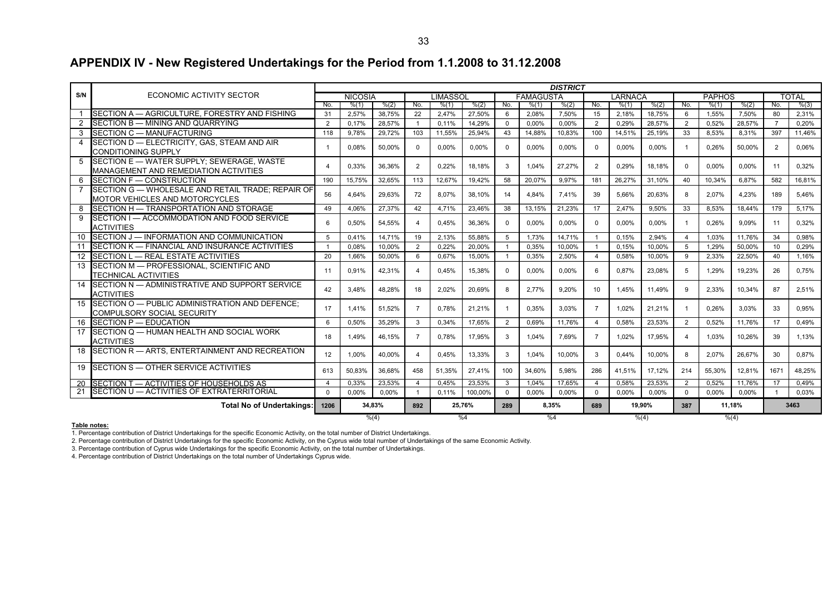# **APPENDIX IV - New Registered Undertakings for the Period from 1.1.2008 to 31.12.2008**

|                |                                                                                              |                       |                |        |                |                 |         |                |                  | <b>DISTRICT</b> |                 |         |          |                |               |          |                |              |  |
|----------------|----------------------------------------------------------------------------------------------|-----------------------|----------------|--------|----------------|-----------------|---------|----------------|------------------|-----------------|-----------------|---------|----------|----------------|---------------|----------|----------------|--------------|--|
| S/N            | ECONOMIC ACTIVITY SECTOR                                                                     |                       | <b>NICOSIA</b> |        |                | <b>LIMASSOL</b> |         |                | <b>FAMAGUSTA</b> |                 |                 | LARNACA |          |                | <b>PAPHOS</b> |          |                | <b>TOTAL</b> |  |
|                |                                                                                              | No.                   | % (1)          | % (2)  | No.            | % (1)           | % (2)   | No.            | % (1)            | % (2)           | No.             | % (1)   | % (2)    | No.            | % (1)         | % (2)    | No.            | % (3)        |  |
|                | SECTION A - AGRICULTURE, FORESTRY AND FISHING                                                | 31                    | 2.57%          | 38,75% | 22             | 2.47%           | 27.50%  | 6              | 2.08%            | 7.50%           | 15              | 2,18%   | 18.75%   | 6              | 1.55%         | 7.50%    | 80             | 2.31%        |  |
| $\overline{2}$ | SECTION B - MINING AND QUARRYING                                                             | $\overline{2}$        | 0.17%          | 28,57% | $\overline{1}$ | 0,11%           | 14,29%  | $\Omega$       | 0.00%            | 0,00%           | $\overline{2}$  | 0.29%   | 28,57%   | 2              | 0.52%         | 28.57%   | $\overline{7}$ | 0.20%        |  |
|                | 3 SECTION C - MANUFACTURING                                                                  | 118                   | 9.78%          | 29,72% | 103            | 11.55%          | 25,94%  | 43             | 14,88%           | 10,83%          | 100             | 14,51%  | 25,19%   | 33             | 8,53%         | 8,31%    | 397            | 11,46%       |  |
| 4              | SECTION D - ELECTRICITY, GAS, STEAM AND AIR<br><b>CONDITIONING SUPPLY</b>                    | $\mathbf{1}$          | 0.08%          | 50,00% | $\Omega$       | 0.00%           | 0,00%   | $\Omega$       | 0.00%            | 0.00%           | $\Omega$        | 0.00%   | $0.00\%$ | $\overline{1}$ | 0,26%         | 50,00%   | 2              | 0.06%        |  |
| 5              | SECTION E - WATER SUPPLY: SEWERAGE, WASTE<br><b>MANAGEMENT AND REMEDIATION ACTIVITIES</b>    | $\boldsymbol{\Delta}$ | 0.33%          | 36.36% | $\overline{2}$ | 0.22%           | 18.18%  | 3              | 1.04%            | 27.27%          | 2               | 0.29%   | 18.18%   | $\Omega$       | $0.00\%$      | $0.00\%$ | 11             | 0.32%        |  |
| 6              | SECTION F - CONSTRUCTION                                                                     | 190                   | 15.75%         | 32.65% | 113            | 12.67%          | 19.42%  | 58             | 20.07%           | 9.97%           | 181             | 26.27%  | 31.10%   | 40             | 10.34%        | 6.87%    | 582            | 16.81%       |  |
|                | 7 SECTION G - WHOLESALE AND RETAIL TRADE; REPAIR OF<br><b>MOTOR VEHICLES AND MOTORCYCLES</b> | 56                    | 4,64%          | 29,63% | 72             | 8,07%           | 38,10%  | 14             | 4,84%            | 7.41%           | 39              | 5.66%   | 20,63%   | 8              | 2,07%         | 4,23%    | 189            | 5,46%        |  |
| 8              | SECTION H - TRANSPORTATION AND STORAGE                                                       | 49                    | 4.06%          | 27.37% | 42             | 4.71%           | 23,46%  | 38             | 13.15%           | 21.23%          | 17              | 2.47%   | 9.50%    | 33             | 8.53%         | 18.44%   | 179            | 5.17%        |  |
| 9              | SECTION I - ACCOMMODATION AND FOOD SERVICE<br><b>ACTIVITIES</b>                              | -6                    | 0.50%          | 54,55% | 4              | 0.45%           | 36,36%  | $\Omega$       | 0,00%            | 0.00%           | $\Omega$        | 0.00%   | 0,00%    | $\mathbf{1}$   | 0,26%         | 9.09%    | 11             | 0,32%        |  |
| 10             | SECTION J - INFORMATION AND COMMUNICATION                                                    | 5                     | 0.41%          | 14.71% | 19             | 2.13%           | 55.88%  | 5              | 1.73%            | 14,71%          |                 | 0.15%   | 2.94%    | $\overline{4}$ | 1.03%         | 11.76%   | 34             | 0.98%        |  |
| 11             | SECTION K - FINANCIAL AND INSURANCE ACTIVITIES                                               |                       | 0,08%          | 10,00% | $\overline{2}$ | 0,22%           | 20,00%  |                | 0,35%            | 10,00%          |                 | 0,15%   | 10,00%   | -5             | 1,29%         | 50,00%   | 10             | 0,29%        |  |
|                | 12 SECTION L - REAL ESTATE ACTIVITIES                                                        | 20                    | 1.66%          | 50,00% | 6              | 0,67%           | 15,00%  | $\overline{1}$ | 0.35%            | 2,50%           | $\overline{4}$  | 0.58%   | 10,00%   | 9              | 2,33%         | 22,50%   | 40             | 1.16%        |  |
|                | 13 SECTION M - PROFESSIONAL, SCIENTIFIC AND<br><b>TECHNICAL ACTIVITIES</b>                   | 11                    | 0,91%          | 42,31% | $\Delta$       | 0.45%           | 15,38%  | $\Omega$       | 0,00%            | 0.00%           | 6               | 0.87%   | 23,08%   | 5              | 1,29%         | 19,23%   | 26             | 0,75%        |  |
|                | 14 SECTION N - ADMINISTRATIVE AND SUPPORT SERVICE<br><b>ACTIVITIES</b>                       | 42                    | 3.48%          | 48.28% | 18             | 2.02%           | 20,69%  | 8              | 2.77%            | 9.20%           | 10 <sup>1</sup> | 1.45%   | 11.49%   | 9              | 2.33%         | 10.34%   | 87             | 2.51%        |  |
|                | 15 SECTION O - PUBLIC ADMINISTRATION AND DEFENCE:<br><b>COMPULSORY SOCIAL SECURITY</b>       | 17                    | 1.41%          | 51.52% | $\overline{7}$ | 0.78%           | 21.21%  |                | 0.35%            | 3.03%           | $\overline{7}$  | 1.02%   | 21.21%   | $\overline{1}$ | 0.26%         | 3.03%    | 33             | 0.95%        |  |
|                | 16 SECTION P - EDUCATION                                                                     | 6                     | 0,50%          | 35,29% | $\mathbf{3}$   | 0,34%           | 17.65%  | 2              | 0,69%            | 11,76%          | $\overline{a}$  | 0.58%   | 23,53%   | $\overline{2}$ | 0.52%         | 11,76%   | 17             | 0.49%        |  |
|                | 17 SECTION Q - HUMAN HEALTH AND SOCIAL WORK<br><b>ACTIVITIES</b>                             | 18                    | 1.49%          | 46.15% | $\overline{7}$ | 0.78%           | 17.95%  | 3              | 1.04%            | 7.69%           | $\overline{7}$  | 1.02%   | 17,95%   | $\overline{4}$ | 1.03%         | 10,26%   | 39             | 1,13%        |  |
|                | 18 SECTION R - ARTS, ENTERTAINMENT AND RECREATION                                            | 12                    | 1.00%          | 40.00% | $\Delta$       | 0.45%           | 13.33%  | 3              | 1.04%            | 10,00%          | 3               | 0.44%   | 10.00%   | 8              | 2.07%         | 26.67%   | 30             | 0.87%        |  |
|                | 19 SECTION S - OTHER SERVICE ACTIVITIES                                                      | 613                   | 50,83%         | 36.68% | 458            | 51.35%          | 27.41%  | 100            | 34.60%           | 5.98%           | 286             | 41,51%  | 17.12%   | 214            | 55,30%        | 12.81%   | 1671           | 48,25%       |  |
|                | 20 SECTION T - ACTIVITIES OF HOUSEHOLDS AS                                                   | $\overline{4}$        | 0.33%          | 23.53% | $\overline{4}$ | 0.45%           | 23.53%  | $\mathbf{3}$   | 1.04%            | 17.65%          | $\overline{4}$  | 0.58%   | 23.53%   | 2              | 0.52%         | 11.76%   | 17             | 0.49%        |  |
|                | 21 SECTION U - ACTIVITIES OF EXTRATERRITORIAL                                                | $\Omega$              | 0.00%          | 0,00%  | -1             | 0.11%           | 100,00% | $\Omega$       | 0,00%            | 0,00%           | $\Omega$        | 0.00%   | 0,00%    | $\Omega$       | 0,00%         | 0.00%    |                | 0,03%        |  |
|                | <b>Total No of Undertakings:</b>                                                             | 1206                  |                | 34,83% | 892            |                 | 25.76%  | 8.35%<br>289   |                  |                 | 689             | 19.90%  |          |                | 11,18%        |          | 3463           |              |  |
| % (4)          |                                                                                              |                       |                |        |                |                 | %4      |                | %4               |                 | $\frac{\%}{4}$  |         |          |                | % (4)         |          |                |              |  |

#### **Table notes:**

1. Percentage contribution of District Undertakings for the specific Economic Activity, on the total number of District Undertakings.

2. Percentage contribution of District Undertakings for the specific Economic Activity, on the Cyprus wide total number of Undertakings of the same Economic Activity.

3. Percentage contribution of Cyprus wide Undertakings for the specific Economic Activity, on the total number of Undertakings.

4. Percentage contribution of District Undertakings on the total number of Undertakings Cyprus wide.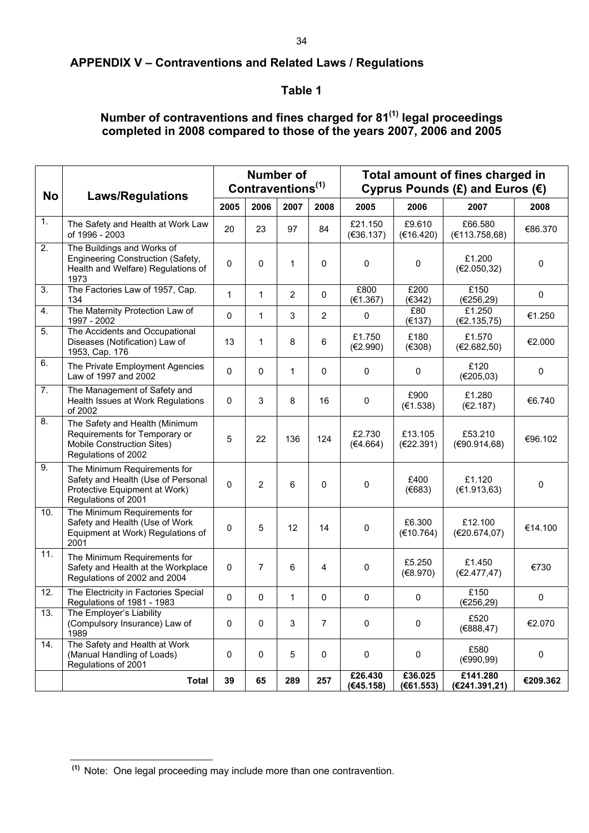# **APPENDIX V – Contraventions and Related Laws / Regulations**

# **Table 1**

# **Number of contraventions and fines charged for 81(1) legal proceedings completed in 2008 compared to those of the years 2007, 2006 and 2005**

| <b>No</b> | <b>Laws/Regulations</b>                                                                                                    |              |                | <b>Number of</b><br>Contraventions <sup>(1)</sup> |                | Total amount of fines charged in<br>Cyprus Pounds $(E)$ and Euros $(E)$ |                      |                           |                     |  |  |  |  |
|-----------|----------------------------------------------------------------------------------------------------------------------------|--------------|----------------|---------------------------------------------------|----------------|-------------------------------------------------------------------------|----------------------|---------------------------|---------------------|--|--|--|--|
|           |                                                                                                                            | 2005         | 2006           | 2007                                              | 2008           | 2005                                                                    | 2006                 | 2007                      | 2008                |  |  |  |  |
| 1.        | The Safety and Health at Work Law<br>of 1996 - 2003                                                                        | 20           | 23             | 97                                                | 84             | £21.150<br>(€36.137)                                                    | £9.610<br>(€16.420)  | £66,580<br>(E113.758,68)  | €86.370             |  |  |  |  |
| 2.        | The Buildings and Works of<br>Engineering Construction (Safety,<br>Health and Welfare) Regulations of<br>1973              | 0            | 0              | 1                                                 | 0              | $\mathbf 0$                                                             | $\mathbf 0$          | £1.200<br>(E2.050, 32)    | $\mathbf 0$         |  |  |  |  |
| 3.        | The Factories Law of 1957, Cap.<br>134                                                                                     | $\mathbf{1}$ | 1              | $\overline{2}$                                    | 0              | £800<br>(E1.367)                                                        | £200<br>(E342)       | £150<br>(E256, 29)        | $\mathsf{O}\xspace$ |  |  |  |  |
| 4.        | The Maternity Protection Law of<br>1997 - 2002                                                                             | 0            | 1              | 3                                                 | $\overline{2}$ | $\pmb{0}$                                                               | £80<br>(E137)        | £1.250<br>(€2.135,75)     | €1.250              |  |  |  |  |
| 5.        | The Accidents and Occupational<br>Diseases (Notification) Law of<br>1953, Cap. 176                                         | 13           | 1              | 8                                                 | 6              | £1.750<br>(E2.990)                                                      | £180<br>(E308)       | £1.570<br>(E2.682, 50)    | €2.000              |  |  |  |  |
| 6.        | The Private Employment Agencies<br>Law of 1997 and 2002                                                                    | 0            | $\mathbf{0}$   | 1                                                 | 0              | 0                                                                       | $\mathbf 0$          | £120<br>(E205,03)         | $\mathbf 0$         |  |  |  |  |
| 7.        | The Management of Safety and<br>Health Issues at Work Regulations<br>of 2002                                               | 0            | 3              | 8                                                 | 16             | 0                                                                       | £900<br>(E1.538)     | £1.280<br>(E2.187)        | €6.740              |  |  |  |  |
| 8.        | The Safety and Health (Minimum<br>Requirements for Temporary or<br>Mobile Construction Sites)<br>Regulations of 2002       | 5            | 22             | 136                                               | 124            | £2.730<br>(€4.664)                                                      | £13.105<br>(€22.391) | £53.210<br>(E90.914, 68)  | €96.102             |  |  |  |  |
| 9.        | The Minimum Requirements for<br>Safety and Health (Use of Personal<br>Protective Equipment at Work)<br>Regulations of 2001 | 0            | $\overline{2}$ | 6                                                 | 0              | 0                                                                       | £400<br>(E683)       | £1.120<br>(E1.913, 63)    | 0                   |  |  |  |  |
| 10.       | The Minimum Requirements for<br>Safety and Health (Use of Work<br>Equipment at Work) Regulations of<br>2001                | 0            | 5              | 12                                                | 14             | $\pmb{0}$                                                               | £6.300<br>(E10.764)  | £12.100<br>(E20.674,07)   | €14.100             |  |  |  |  |
| 11.       | The Minimum Requirements for<br>Safety and Health at the Workplace<br>Regulations of 2002 and 2004                         | 0            | 7              | 6                                                 | 4              | 0                                                                       | £5.250<br>(E8.970)   | £1.450<br>(€2.477,47)     | €730                |  |  |  |  |
| 12.       | The Electricity in Factories Special<br>Regulations of 1981 - 1983                                                         | 0            | $\mathbf 0$    | 1                                                 | 0              | 0                                                                       | 0                    | £150<br>(€256,29)         | $\mathsf{O}\xspace$ |  |  |  |  |
| 13.       | The Employer's Liability<br>(Compulsory Insurance) Law of<br>1989                                                          | 0            | 0              | 3                                                 | 7              | 0                                                                       | $\mathbf 0$          | £520<br>(E888, 47)        | €2.070              |  |  |  |  |
| 14.       | The Safety and Health at Work<br>(Manual Handling of Loads)<br>Regulations of 2001                                         | 0            | $\mathbf 0$    | 5                                                 | 0              | $\pmb{0}$                                                               | 0                    | £580<br>(€990,99)         | 0                   |  |  |  |  |
|           | Total                                                                                                                      | 39           | 65             | 289                                               | 257            | £26.430<br>(€45.158)                                                    | £36.025<br>(E61.553) | £141.280<br>(€241.391,21) | €209.362            |  |  |  |  |

l  **(1)** Note: One legal proceeding may include more than one contravention.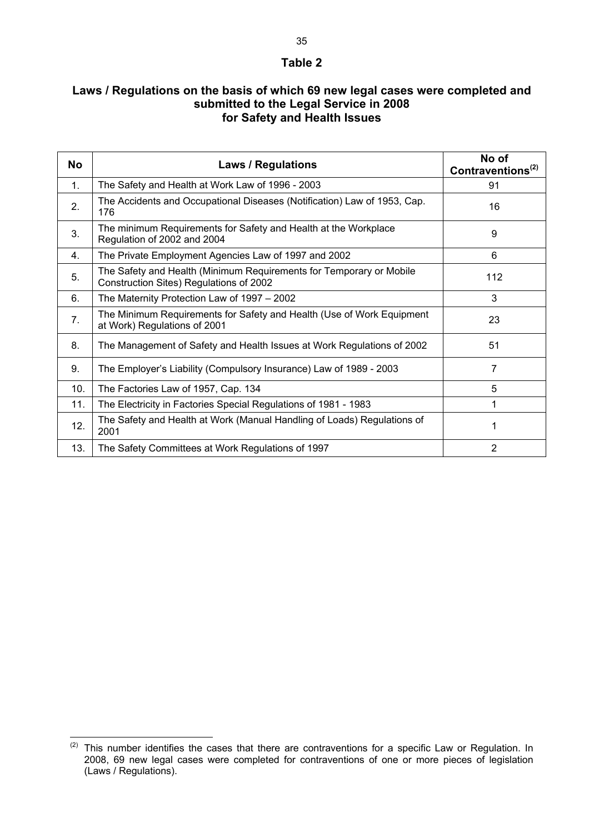#### **Table 2**

# **Laws / Regulations on the basis of which 69 new legal cases were completed and submitted to the Legal Service in 2008 for Safety and Health Issues**

| No             | <b>Laws / Regulations</b>                                                                                      | No of<br>Contraventions <sup><math>(2)</math></sup> |
|----------------|----------------------------------------------------------------------------------------------------------------|-----------------------------------------------------|
| $\mathbf{1}$ . | The Safety and Health at Work Law of 1996 - 2003                                                               | 91                                                  |
| 2.             | The Accidents and Occupational Diseases (Notification) Law of 1953, Cap.<br>176                                | 16                                                  |
| 3.             | The minimum Requirements for Safety and Health at the Workplace<br>Regulation of 2002 and 2004                 | 9                                                   |
| 4.             | The Private Employment Agencies Law of 1997 and 2002                                                           | 6                                                   |
| 5.             | The Safety and Health (Minimum Requirements for Temporary or Mobile<br>Construction Sites) Regulations of 2002 | 112                                                 |
| 6.             | The Maternity Protection Law of 1997 - 2002                                                                    | 3                                                   |
| 7 <sub>1</sub> | The Minimum Requirements for Safety and Health (Use of Work Equipment<br>at Work) Regulations of 2001          | 23                                                  |
| 8.             | The Management of Safety and Health Issues at Work Regulations of 2002                                         | 51                                                  |
| 9.             | The Employer's Liability (Compulsory Insurance) Law of 1989 - 2003                                             | 7                                                   |
| 10.            | The Factories Law of 1957, Cap. 134                                                                            | 5                                                   |
| 11.            | The Electricity in Factories Special Regulations of 1981 - 1983                                                |                                                     |
| 12.            | The Safety and Health at Work (Manual Handling of Loads) Regulations of<br>2001                                |                                                     |
| 13.            | The Safety Committees at Work Regulations of 1997                                                              | $\overline{2}$                                      |

l

 $(2)$  This number identifies the cases that there are contraventions for a specific Law or Regulation. In 2008, 69 new legal cases were completed for contraventions of one or more pieces of legislation (Laws / Regulations).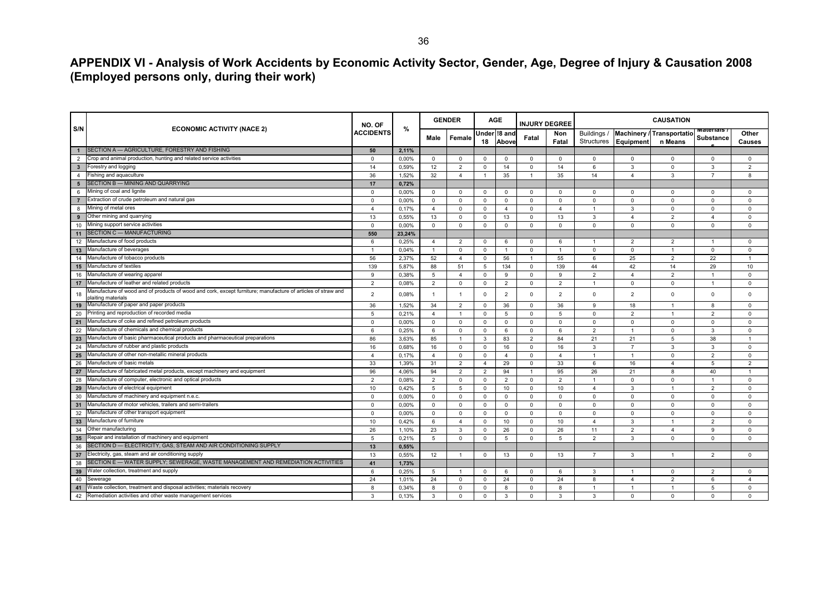**APPENDIX VI - Analysis of Work Accidents by Economic Activity Sector, Gender, Age, Degree of Injury & Causation 2008 (Employed persons only, during their work)** 

|                                         |                                                                                                                                    | NO. OF           |        | <b>GENDER</b>  |                |                   | AGE            | <b>INJURY DEGREE</b> |                | <b>CAUSATION</b>          |                |                                      |                                      |                 |  |
|-----------------------------------------|------------------------------------------------------------------------------------------------------------------------------------|------------------|--------|----------------|----------------|-------------------|----------------|----------------------|----------------|---------------------------|----------------|--------------------------------------|--------------------------------------|-----------------|--|
| S/N                                     | <b>ECONOMIC ACTIVITY (NACE 2)</b>                                                                                                  | <b>ACCIDENTS</b> | %      | Male           | Female         | Under 18 an<br>18 | Above          | Fatal                | Non<br>Fatal   | Buildings /<br>Structures | Equipment      | Machinery / Transportatio<br>n Means | <b>Materials</b><br><b>Substance</b> | Other<br>Causes |  |
| $\mathbf{1}$                            | SECTION A - AGRICULTURE, FORESTRY AND FISHING                                                                                      | 50               | 2,11%  |                |                |                   |                |                      |                |                           |                |                                      |                                      |                 |  |
| $\overline{2}$                          | Crop and animal production, hunting and related service activities                                                                 | $\mathbf 0$      | 0,00%  | $^{\circ}$     | $\Omega$       | $\mathbf 0$       | $^{\circ}$     | $^{\circ}$           | $\mathbf 0$    | 0                         | $\mathbf 0$    | $\mathbf 0$                          | $^{\circ}$                           | $\mathbf 0$     |  |
| $\overline{\phantom{a}}$ 3              | Forestry and logging                                                                                                               | 14               | 0,59%  | 12             | $\overline{2}$ | $^{\circ}$        | 14             | $\mathbf 0$          | 14             | 6                         | 3              | $\mathbf 0$                          | 3                                    | $\overline{2}$  |  |
| $\overline{4}$                          | Fishing and aquaculture                                                                                                            | 36               | 1,52%  | 32             | $\overline{4}$ | $\overline{1}$    | 35             | $\overline{1}$       | 35             | 14                        | $\overline{4}$ | 3                                    | $\overline{7}$                       | 8               |  |
| $5\phantom{.0}$                         | SECTION B - MINING AND QUARRYING                                                                                                   | 17               | 0.72%  |                |                |                   |                |                      |                |                           |                |                                      |                                      |                 |  |
| 6                                       | Mining of coal and lignite                                                                                                         | $\mathbf 0$      | 0.00%  | $^{\circ}$     | $^{\circ}$     | $\Omega$          | $^{\circ}$     | $^{\circ}$           | $^{\circ}$     | $\mathbf 0$               | $^{\circ}$     | $\mathbf 0$                          | $\Omega$                             | $\Omega$        |  |
| $\overline{7}$                          | Extraction of crude petroleum and natural gas                                                                                      | $\mathbf 0$      | 0,00%  | $^{\circ}$     | $\Omega$       | $^{\circ}$        | $\Omega$       | $^{\circ}$           | $^{\circ}$     | $\Omega$                  | $\mathbf 0$    | $\mathbf 0$                          | $\Omega$                             | $\Omega$        |  |
| 8                                       | Mining of metal ores                                                                                                               | $\overline{4}$   | 0,17%  | $\overline{4}$ | $\mathbf 0$    | $^{\circ}$        | $\overline{4}$ | $^{\circ}$           | $\overline{4}$ | $\mathbf{1}$              | $\mathbf{3}$   | $\mathbf 0$                          | $\mathbf 0$                          | $\mathbf 0$     |  |
| 9                                       | Other mining and quarrying                                                                                                         | 13               | 0,55%  | 13             | $\Omega$       | $\mathbf 0$       | 13             | $\Omega$             | 13             | 3                         | $\overline{4}$ | $\overline{2}$                       | $\overline{4}$                       | $\Omega$        |  |
| 10                                      | Mining support service activities                                                                                                  | $\mathbf 0$      | 0.00%  | $\mathbf 0$    | $\mathbf 0$    | $\mathbf 0$       | $\mathbf 0$    | $\mathbf 0$          | $\Omega$       | $\mathbf 0$               | $\mathbf 0$    | $\mathbf 0$                          | $\mathbf 0$                          | $\Omega$        |  |
| 11                                      | SECTION C - MANUFACTURING                                                                                                          | 550              | 23.24% |                |                |                   |                |                      |                |                           |                |                                      |                                      |                 |  |
| 12                                      | Manufacture of food products                                                                                                       | 6                | 0,25%  | $\overline{4}$ | 2              | $\Omega$          | 6              | $\Omega$             | 6              | $\mathbf{1}$              | $\overline{2}$ | 2                                    | -1                                   | $\Omega$        |  |
| 13                                      | Manufacture of beverages                                                                                                           | $\overline{1}$   | 0,04%  | $\overline{1}$ | $\mathbf 0$    | $\mathbf 0$       | $\mathbf{1}$   | $^{\circ}$           | $\overline{1}$ | $\mathbf 0$               | $\mathbf 0$    | $\overline{1}$                       | $\mathbf 0$                          | $\mathbf 0$     |  |
| $-14$                                   | Manufacture of tobacco products                                                                                                    | 56               | 2,37%  | 52             | $\overline{4}$ | $\Omega$          | 56             |                      | 55             | 6                         | 25             | $\overline{2}$                       | 22                                   |                 |  |
| 15                                      | Manufacture of textiles                                                                                                            | 139              | 5,87%  | 88             | 51             | 5                 | 134            | 0                    | 139            | 44                        | 42             | 14                                   | 29                                   | 10              |  |
| 16                                      | Manufacture of wearing apparel                                                                                                     | 9                | 0.38%  | 5              | $\overline{4}$ | $\Omega$          | 9              | $\Omega$             | 9              | $\overline{2}$            | $\overline{4}$ | $\overline{2}$                       | $\overline{1}$                       | $\Omega$        |  |
| 17                                      | Manufacture of leather and related products                                                                                        | $\overline{2}$   | 0,08%  | 2              | $\Omega$       | $^{\circ}$        | $\overline{2}$ | $\Omega$             | $\overline{2}$ | $\mathbf{1}$              | $\mathbf 0$    | $\mathbf 0$                          | $\overline{1}$                       | $\Omega$        |  |
| 18                                      | Manufacture of wood and of products of wood and cork, except furniture; manufacture of articles of straw and<br>plaiting materials | $\overline{2}$   | 0,08%  | $\overline{1}$ | 1              | 0                 | $\overline{2}$ | $\Omega$             | $\overline{2}$ | $\mathsf 0$               | $\overline{2}$ | $\mathbf 0$                          | $\mathbf 0$                          | $\Omega$        |  |
| 19                                      | Manufacture of paper and paper products                                                                                            | 36               | 1,52%  | 34             | $\overline{2}$ | $\Omega$          | 36             | $\Omega$             | 36             | 9                         | 18             | -1                                   | 8                                    | $\Omega$        |  |
| 20                                      | Printing and reproduction of recorded media                                                                                        | 5                | 0.21%  | $\overline{4}$ | $\overline{1}$ | $\mathbf 0$       | 5              | $^{\circ}$           | 5              | $\mathbf 0$               | $\overline{2}$ | $\overline{1}$                       | 2                                    | $\mathbf 0$     |  |
| 21                                      | Manufacture of coke and refined petroleum products                                                                                 | $\mathbf 0$      | 0,00%  | $\Omega$       | $\mathbf 0$    | $\mathbf 0$       | $\mathbf 0$    | $^{\circ}$           | $\mathbf 0$    | $\Omega$                  | $\mathbf 0$    | $\mathbf 0$                          | $\mathbf 0$                          | $\Omega$        |  |
| 22                                      | Manufacture of chemicals and chemical products                                                                                     | 6                | 0,25%  | 6              | $\Omega$       | $^{\circ}$        | 6              | $^{\circ}$           | 6              | $\overline{2}$            | $\overline{1}$ | $\mathbf 0$                          | 3                                    | $\Omega$        |  |
| 23                                      | Manufacture of basic pharmaceutical products and pharmaceutical preparations                                                       | 86               | 3,63%  | 85             | $\overline{1}$ | $\mathbf{3}$      | 83             | 2                    | 84             | 21                        | 21             | 5                                    | 38                                   | $\overline{1}$  |  |
| $\overline{24}$                         | Manufacture of rubber and plastic products                                                                                         | 16               | 0,68%  | 16             | $\Omega$       | $\mathbf 0$       | 16             | $\Omega$             | 16             | 3                         | $\overline{7}$ | 3                                    | 3                                    | $\Omega$        |  |
| 25                                      | Manufacture of other non-metallic mineral products                                                                                 | $\overline{4}$   | 0,17%  | $\overline{4}$ | $\mathbf 0$    | $\mathbf 0$       | $\overline{4}$ | $\mathbf 0$          | $\overline{4}$ | $\mathbf{1}$              | $\overline{1}$ | $^{\circ}$                           | 2                                    | $\mathbf 0$     |  |
| $\overline{26}$                         | Manufacture of basic metals                                                                                                        | 33               | 1,39%  | 31             | $\overline{2}$ | $\overline{4}$    | 29             | $\mathbf 0$          | 33             | 6                         | 16             | $\overline{4}$                       | 5                                    | $\overline{2}$  |  |
| 27                                      | Manufacture of fabricated metal products, except machinery and equipment                                                           | 96               | 4,06%  | 94             | 2              | $\overline{2}$    | 94             | $\overline{1}$       | 95             | 26                        | 21             | 8                                    | 40                                   | -1              |  |
| 28                                      | Manufacture of computer, electronic and optical products                                                                           | $\overline{2}$   | 0,08%  | $\overline{2}$ | $\mathbf 0$    | $\mathbf 0$       | $\overline{2}$ | $\mathbf 0$          | $\overline{2}$ | $\mathbf{1}$              | $\mathbf 0$    | $\mathbf 0$                          | $\overline{1}$                       | $\Omega$        |  |
| $\overline{29}$                         | Manufacture of electrical equipment                                                                                                | 10               | 0,42%  | 5              | 5              | $\mathbf 0$       | 10             | $\Omega$             | 10             | $\overline{4}$            | $\mathbf{3}$   | $\overline{1}$                       | $\overline{2}$                       | $\Omega$        |  |
| 30                                      | Manufacture of machinery and equipment n.e.c.                                                                                      | $\mathbf 0$      | 0,00%  | 0              | $\mathbf 0$    | $\mathbf 0$       | 0              | $\mathbf 0$          | $\mathbf 0$    | $\mathbf 0$               | $\mathsf 0$    | $\mathbf 0$                          | $\Omega$                             | $\Omega$        |  |
| $\overline{31}$                         | Manufacture of motor vehicles, trailers and semi-trailers                                                                          | $\mathbf 0$      | 0,00%  | $^{\circ}$     | $\mathbf 0$    | $^{\circ}$        | $^{\circ}$     | $\mathbf 0$          | $\mathbf{0}$   | $\mathbf 0$               | $\mathbf 0$    | $\mathbf 0$                          | $\mathbf 0$                          | $\mathbf 0$     |  |
| 32                                      | Manufacture of other transport equipment                                                                                           | $\mathbf 0$      | 0,00%  | $\Omega$       | $\Omega$       | $^{\circ}$        | $\Omega$       | $\Omega$             | $\mathbf 0$    | $\Omega$                  | $\mathsf 0$    | $\mathsf 0$                          | $\Omega$                             | $\Omega$        |  |
| $\begin{array}{r} 33 \\ 34 \end{array}$ | Manufacture of furniture                                                                                                           | 10               | 0,42%  | 6              | $\overline{4}$ | $\mathbf 0$       | 10             | $\mathbf 0$          | 10             | $\overline{4}$            | $\overline{3}$ | $\overline{1}$                       | $\overline{2}$                       | $\Omega$        |  |
|                                         | Other manufacturing                                                                                                                | 26               | 1,10%  | 23             | 3              | $\mathbf 0$       | 26             | $\Omega$             | 26             | 11                        | $\overline{2}$ | $\overline{4}$                       | 9                                    | $\Omega$        |  |
| 35                                      | Repair and installation of machinery and equipment                                                                                 | 5                | 0,21%  | 5              | $\Omega$       | $\mathbf 0$       | 5              | $\Omega$             | 5              | $\overline{2}$            | $\mathbf{3}$   | $\Omega$                             | $\Omega$                             | $\Omega$        |  |
| 36                                      | SECTION D - ELECTRICITY, GAS, STEAM AND AIR CONDITIONING SUPPLY                                                                    | 13               | 0,55%  |                |                |                   |                |                      |                |                           |                |                                      |                                      |                 |  |
| 37                                      | Electricity, gas, steam and air conditioning supply                                                                                | 13               | 0,55%  | 12             | $\mathbf{1}$   | $^{\circ}$        | 13             | $\Omega$             | 13             | $\overline{7}$            | 3              | $\overline{1}$                       | $\overline{2}$                       | $\Omega$        |  |
| 38                                      | SECTION E - WATER SUPPLY; SEWERAGE, WASTE MANAGEMENT AND REMEDIATION ACTIVITIES                                                    | 41               | 1,73%  |                |                |                   |                |                      |                |                           |                |                                      |                                      |                 |  |
| 39                                      | Water collection, treatment and supply                                                                                             | 6                | 0,25%  | 5              |                | $^{\circ}$        | 6              | $\Omega$             | 6              | 3                         | $\overline{1}$ | $\Omega$                             | $\overline{2}$                       | $\Omega$        |  |
| 40                                      | Sewerage                                                                                                                           | 24               | 1,01%  | 24             | 0              | $^{\circ}$        | 24             | $\mathbf 0$          | 24             | 8                         | $\overline{4}$ | $\overline{2}$                       | 6                                    | $\overline{4}$  |  |
| $-41$                                   | Waste collection, treatment and disposal activities; materials recovery                                                            | 8                | 0.34%  | 8              | $\mathbf 0$    | $\mathbf 0$       | 8              | $\mathbf 0$          | 8              | $\mathbf{1}$              | $\overline{1}$ | $\overline{1}$                       | 5                                    | $\Omega$        |  |
| 42                                      | Remediation activities and other waste management services                                                                         | $\mathbf{3}$     | 0.13%  | 3              | $\Omega$       | $\Omega$          | $\mathbf{3}$   | $\Omega$             | 3              | $\mathbf{3}$              | $\Omega$       | $\Omega$                             | $\Omega$                             | $\Omega$        |  |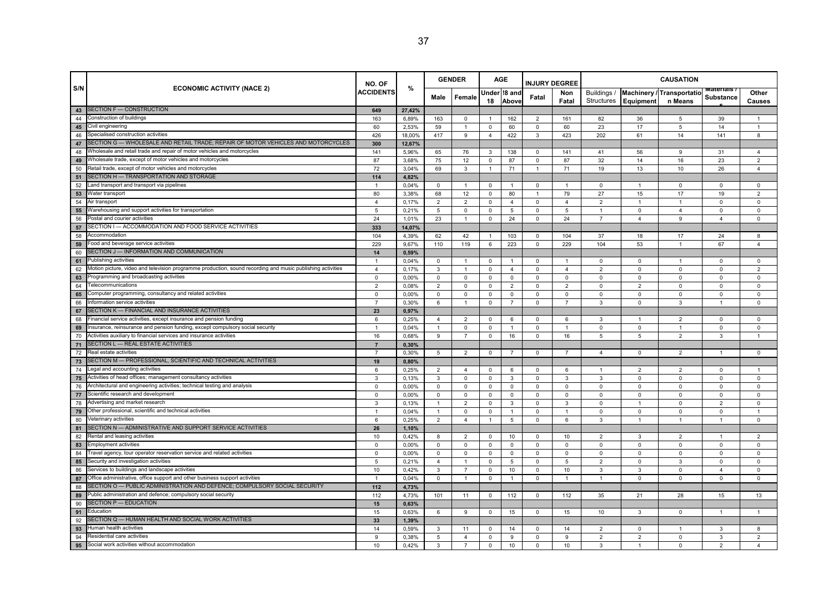|          |                                                                                                                         |                            |                |                | <b>GENDER</b>  | <b>AGE</b>                    |                |                                | <b>INJURY DEGREE</b> | <b>CAUSATION</b> |                |                            |                       |                     |  |
|----------|-------------------------------------------------------------------------------------------------------------------------|----------------------------|----------------|----------------|----------------|-------------------------------|----------------|--------------------------------|----------------------|------------------|----------------|----------------------------|-----------------------|---------------------|--|
| S/N      | <b>ECONOMIC ACTIVITY (NACE 2)</b>                                                                                       | NO. OF<br><b>ACCIDENTS</b> | $\%$           | Male           | Female         |                               | Under 18 and   | Fatal                          | Non                  | Buildings /      |                | Machinery / Transportation | णवासाताड<br>Substance | Other               |  |
|          |                                                                                                                         |                            |                |                |                | 18                            | Above          |                                | Fatal                | Structures       | Equipment      | n Means                    |                       | <b>Causes</b>       |  |
| 43       | SECTION F - CONSTRUCTION                                                                                                | 649                        | 27,42%         |                |                |                               |                |                                |                      |                  |                |                            |                       |                     |  |
| 44       | Construction of buildings                                                                                               | 163                        | 6,89%          | 163            | 0              | $\overline{1}$                | 162            | 2                              | 161                  | 82               | 36             | 5                          | 39                    | $\mathbf{1}$        |  |
| 45       | Civil engineering                                                                                                       | 60                         | 2,53%          | 59             | $\overline{1}$ | $\circ$                       | 60             | $\mathbf 0$                    | 60                   | 23               | 17             | 5                          | 14                    |                     |  |
| 46       | Specialised construction activities<br>SECTION G - WHOLESALE AND RETAIL TRADE; REPAIR OF MOTOR VEHICLES AND MOTORCYCLES | 426                        | 18,00%         | 417            | 9              | $\overline{4}$                | 422            | 3                              | 423                  | 202              | 61             | 14                         | 141                   | 8                   |  |
| 47       | Wholesale and retail trade and repair of motor vehicles and motorcycles                                                 | 300<br>141                 | 12,67%         |                |                |                               |                |                                |                      |                  |                |                            |                       |                     |  |
| 48       | Wholesale trade, except of motor vehicles and motorcycles                                                               | 87                         | 5,96%          | 65             | 76             | 3                             | 138            | $\mathbf 0$                    | 141                  | 41               | 56             | 9                          | 31                    | 4                   |  |
| 49<br>50 | Retail trade, except of motor vehicles and motorcycles                                                                  | 72                         | 3,68%<br>3,04% | 75<br>69       | 12<br>3        | $\mathbf 0$<br>$\overline{1}$ | 87<br>71       | $\mathbf{0}$<br>$\overline{1}$ | 87<br>71             | 32<br>19         | 14<br>13       | 16<br>10                   | 23<br>26              | 2<br>$\overline{4}$ |  |
| 51       | SECTION H - TRANSPORTATION AND STORAGE                                                                                  | 114                        | 4,82%          |                |                |                               |                |                                |                      |                  |                |                            |                       |                     |  |
| 52       | Land transport and transport via pipelines                                                                              | $\overline{1}$             | 0,04%          | $\Omega$       |                | $\mathbf 0$                   |                | $\Omega$                       | $\overline{1}$       | $\mathsf 0$      | $\mathbf{1}$   | $\mathbf 0$                | $\Omega$              | $\Omega$            |  |
| 53       | Water transport                                                                                                         | 80                         | 3,38%          | 68             | 12             | $\mathbf 0$                   | 80             | $\mathbf{1}$                   | 79                   | 27               | 15             | 17                         | 19                    | $\overline{2}$      |  |
| 54       | Air transport                                                                                                           | $\overline{4}$             | 0.17%          | $\overline{2}$ | $\overline{2}$ | $\mathbf 0$                   | $\overline{4}$ | $\mathbf{0}$                   | $\overline{4}$       | $\sqrt{2}$       | $\mathbf{1}$   | $\mathbf{1}$               | $\Omega$              | $\Omega$            |  |
| 55       | Warehousing and support activities for transportation                                                                   | 5                          | 0,21%          | 5              | $\mathbf 0$    | $\mathbf 0$                   | 5              | $\mathbf 0$                    | 5                    | $\overline{1}$   | 0              | $\overline{4}$             | $\Omega$              | $\Omega$            |  |
| 56       | Postal and courier activities                                                                                           | 24                         | 1,01%          | 23             |                | $\mathbf 0$                   | 24             | $\mathbf 0$                    | 24                   | $\overline{7}$   | $\overline{4}$ | 9                          | $\overline{4}$        | $\mathbf 0$         |  |
| 57       | SECTION I - ACCOMMODATION AND FOOD SERVICE ACTIVITIES                                                                   | 333                        | 14,07%         |                |                |                               |                |                                |                      |                  |                |                            |                       |                     |  |
| 58       | Accommodation                                                                                                           | 104                        | 4,39%          | 62             | 42             | $\overline{1}$                | 103            | $\mathbf{0}$                   | 104                  | 37               | 18             | 17                         | 24                    | 8                   |  |
| 59       | ood and beverage service activities                                                                                     | 229                        | 9,67%          | 110            | 119            | 6                             | 223            | $\mathbf 0$                    | 229                  | 104              | 53             | $\mathbf{1}$               | 67                    | $\overline{4}$      |  |
| 60       | SECTION J - INFORMATION AND COMMUNICATION                                                                               | 14                         | 0,59%          |                |                |                               |                |                                |                      |                  |                |                            |                       |                     |  |
| 61       | Publishing activities                                                                                                   | $\overline{1}$             | 0,04%          | 0              |                | 0                             |                | $\mathbf 0$                    | $\overline{1}$       | 0                | $\mathbf 0$    | $\overline{1}$             | $\mathbf 0$           | 0                   |  |
| 62       | Motion picture, video and television programme production, sound recording and music publishing activities              | $\overline{4}$             | 0.17%          | 3              | $\overline{1}$ | $\mathbf 0$                   | $\overline{4}$ | $\mathbf 0$                    | $\overline{4}$       | $\overline{2}$   | $\Omega$       | $\mathbf 0$                | $\mathbf 0$           | $\overline{2}$      |  |
| 63       | rogramming and broadcasting activities                                                                                  | $\mathsf 0$                | 0,00%          | $\mathsf{O}$   | $\mathbf 0$    | $\mathbf 0$                   | $\mathbf 0$    | $\mathbf 0$                    | 0                    | $\mathsf 0$      | 0              | $\mathbf 0$                | $\mathbf 0$           | $\mathbf 0$         |  |
| 64       | Telecommunications                                                                                                      | $\overline{2}$             | 0,08%          | $\overline{2}$ | $\mathbf 0$    | $\mathbf 0$                   | $\overline{2}$ | $\mathbf 0$                    | $\overline{2}$       | $\mathsf 0$      | $\overline{2}$ | $\Omega$                   | $\Omega$              | $\Omega$            |  |
| 65       | Computer programming, consultancy and related activities                                                                | $\mathbf 0$                | 0,00%          | $\mathsf{O}$   | $\mathbf 0$    | $\mathbf 0$                   | $\mathbf 0$    | $\mathbf 0$                    | 0                    | $\mathsf 0$      | $\mathbf 0$    | $\mathbf 0$                | $\mathbf 0$           | $\mathbf 0$         |  |
| 66       | Information service activities                                                                                          | $\overline{7}$             | 0,30%          | 6              |                | $\mathbf 0$                   | $\overline{7}$ | $\mathbf 0$                    | $\overline{7}$       | 3                | $\mathbf 0$    | 3                          |                       | $\mathbf 0$         |  |
| 67       | SECTION K - FINANCIAL AND INSURANCE ACTIVITIES                                                                          | 23                         | 0,97%          |                |                |                               |                |                                |                      |                  |                |                            |                       |                     |  |
| 68       | inancial service activities, except insurance and pension funding                                                       | 6                          | 0,25%          | $\overline{4}$ | $\overline{2}$ | $\mathbf 0$                   | 6              | $\mathbf 0$                    | 6                    | 3                |                | $\overline{2}$             | $\Omega$              | $\Omega$            |  |
| 69       | nsurance, reinsurance and pension funding, except compulsory social security                                            | 1                          | 0,04%          | $\mathbf{1}$   | 0              | $\mathbf 0$                   | $\mathbf{1}$   | $\Omega$                       | $\overline{1}$       | $\mathsf 0$      | 0              | $\overline{1}$             | $\Omega$              | $\mathsf 0$         |  |
| 70       | Activities auxiliary to financial services and insurance activities                                                     | 16                         | 0,68%          | 9              | $\overline{7}$ | $\circ$                       | 16             | $\mathbf 0$                    | 16                   | 5                | 5              | $\overline{2}$             | 3                     | $\mathbf{1}$        |  |
| 71       | SECTION L - REAL ESTATE ACTIVITIES                                                                                      | $\overline{7}$             | 0,30%          |                |                |                               |                |                                |                      |                  |                |                            |                       |                     |  |
| 72       | Real estate activities                                                                                                  | $\overline{7}$             | 0,30%          | 5              | $\overline{2}$ | $\mathsf 0$                   | $\overline{7}$ | $\mathbf{0}$                   | $\overline{7}$       | $\overline{4}$   | $\Omega$       | $\overline{2}$             | -1                    | $\mathbf 0$         |  |
| 73       | SECTION M - PROFESSIONAL, SCIENTIFIC AND TECHNICAL ACTIVITIES                                                           | 19                         | 0,80%          |                |                |                               |                |                                |                      |                  |                |                            |                       |                     |  |
| 74       | Legal and accounting activities                                                                                         | 6                          | 0,25%          | $\overline{2}$ | $\overline{4}$ | 0                             | 6              | $\mathbf 0$                    | 6                    | $\overline{1}$   | 2              | $\overline{2}$             | $\Omega$              |                     |  |
| 75       | Activities of head offices; management consultancy activities                                                           | $\overline{3}$             | 0,13%          | 3              | $\mathbf 0$    | $\mathbf 0$                   | $\mathbf{3}$   | $\mathbf 0$                    | 3                    | 3                | $\mathbf 0$    | $\mathbf 0$                | $\mathbf 0$           | $\mathbf 0$         |  |
| 76       | Architectural and engineering activities; technical testing and analysis                                                | $\mathsf 0$                | 0,00%          | $\mathsf{O}$   | $\mathsf 0$    | $\mathbf 0$                   | 0              | $\mathbf 0$                    | $\mathsf 0$          | $\mathsf 0$      | 0              | $\mathsf 0$                | $\mathbf 0$           | $\mathbf 0$         |  |
| 77       | Scientific research and development                                                                                     | $\Omega$                   | 0,00%          | $\Omega$       | $\mathbf 0$    | $\overline{0}$                | 0              | $\Omega$                       | $\Omega$             | $\mathsf 0$      | $\mathbf 0$    | $\Omega$                   | $\Omega$              | $\Omega$            |  |
| 78       | Advertising and market research                                                                                         | $\mathbf{3}$               | 0,13%          | $\mathbf{1}$   | $\overline{2}$ | $\mathbf 0$                   | $\mathbf{3}$   | $\mathbf 0$                    | 3                    | $\mathsf 0$      | $\mathbf{1}$   | $\mathbf 0$                | 2                     | $\mathbf 0$         |  |
| 79       | Other professional, scientific and technical activities                                                                 | $\overline{1}$             | 0,04%          | $\mathbf{1}$   | $\mathbf 0$    | $\mathbf 0$                   | 1              | $\mathbf 0$                    | $\mathbf{1}$         | $\mathsf 0$      | 0              | $\mathbf 0$                | 0                     | $\overline{1}$      |  |
| 80       | Veterinary activities                                                                                                   | 6                          | 0,25%          | $\overline{2}$ | $\overline{4}$ | $\overline{1}$                | 5              | $\mathsf 0$                    | 6                    | 3                | $\mathbf{1}$   | $\mathbf{1}$               | $\overline{1}$        | $\mathbf 0$         |  |
| 81       | SECTION N - ADMINISTRATIVE AND SUPPORT SERVICE ACTIVITIES                                                               | 26                         | 1,10%          |                |                |                               |                |                                |                      |                  |                |                            |                       |                     |  |
| 82       | Rental and leasing activities                                                                                           | 10                         | 0,42%          | 8              | $\overline{2}$ | $\mathsf 0$                   | 10             | $\Omega$                       | 10                   | $\overline{2}$   | 3              | $\overline{2}$             |                       | $\overline{2}$      |  |
| 83       | <b>Employment activities</b>                                                                                            | $\mathbf 0$                | 0,00%          | $\mathbf 0$    | $\mathbf 0$    | $\mathbf 0$                   | $\mathbf 0$    | $\mathbf 0$                    | $\mathbf 0$          | $\mathsf 0$      | $\mathbf 0$    | $\mathbf 0$                | $\mathbf 0$           | $\mathbf 0$         |  |
| 84       | Travel agency, tour operator reservation service and related activities                                                 | $\mathbf 0$                | 0,00%          | $\mathbf{0}$   | $\mathbf 0$    | $\mathbf 0$                   | 0              | $\mathbf 0$                    | 0                    | $\mathsf 0$      | 0              | $\mathbf 0$                | $\Omega$              | $\Omega$            |  |
| 85       | Security and investigation activities                                                                                   | 5                          | 0,21%          | $\overline{4}$ |                | $\mathbf 0$                   | 5              | $\mathbf 0$                    | 5                    | $\overline{2}$   | $\mathbf 0$    | 3                          | $\Omega$              | $\mathsf 0$         |  |
| 86       | Services to buildings and landscape activities                                                                          | 10                         | 0,42%          | $\mathbf{3}$   | $\overline{7}$ | $\mathbf 0$                   | 10             | $\mathbf 0$                    | $10$                 | $\mathbf{3}$     | $\mathbf{3}$   | $\mathbf 0$                | $\overline{4}$        | $\mathbf 0$         |  |
| 87       | Office administrative, office support and other business support activities                                             | $\overline{1}$             | 0.04%          | $\mathbf{0}$   | $\mathbf{1}$   | $\mathbf{0}$                  | $\mathbf{1}$   | $\mathbf 0$                    | $\overline{1}$       | $\overline{1}$   | 0              | $\mathbf 0$                | $\mathbf 0$           | $\Omega$            |  |
| 88       | SECTION O — PUBLIC ADMINISTRATION AND DEFENCE; COMPULSORY SOCIAL SECURITY                                               | 112                        | 4,73%          |                |                |                               |                |                                |                      |                  |                |                            |                       |                     |  |
| 89       | Public administration and defence; compulsory social security                                                           | 112                        | 4,73%          | 101            | 11             | $\mathbf{0}$                  | 112            | $\mathbf 0$                    | 112                  | 35               | 21             | 28                         | 15                    | 13                  |  |
| 90       | <b>SECTION P - EDUCATION</b>                                                                                            | 15                         | 0,63%          |                |                |                               |                |                                |                      |                  |                |                            |                       |                     |  |
| 91       | Education                                                                                                               | 15                         | 0,63%          | 6              | 9              | $\mathbf 0$                   | 15             | $\mathbf 0$                    | 15                   | 10               | 3              | $\mathbf 0$                | $\overline{1}$        | $\overline{1}$      |  |
| 92       | ECTION Q - HUMAN HEALTH AND SOCIAL WORK ACTIVITIES                                                                      | 33                         | 1,39%          |                |                |                               |                |                                |                      |                  |                |                            |                       |                     |  |
| 93       | luman health activities                                                                                                 | 14                         | 0,59%          | 3              | 11             | $\mathbf 0$                   | 14             | $\Omega$                       | 14                   | $\overline{2}$   | $\mathbf 0$    | $\overline{1}$             | $\mathbf{3}$          | 8                   |  |
| 94       | Residential care activities                                                                                             | 9                          | 0,38%          | 5              | $\overline{4}$ | 0                             | 9              | $\mathbf 0$                    | 9                    | $\overline{2}$   | 2              | $\mathbf 0$                | 3                     | $\overline{2}$      |  |
| 95       | Social work activities without accommodation                                                                            | 10                         | 0.42%          | 3              |                | $\mathbf 0$                   | 10             | $\Omega$                       | 10                   | 3                |                | $\Omega$                   | $\mathcal{P}$         | $\overline{a}$      |  |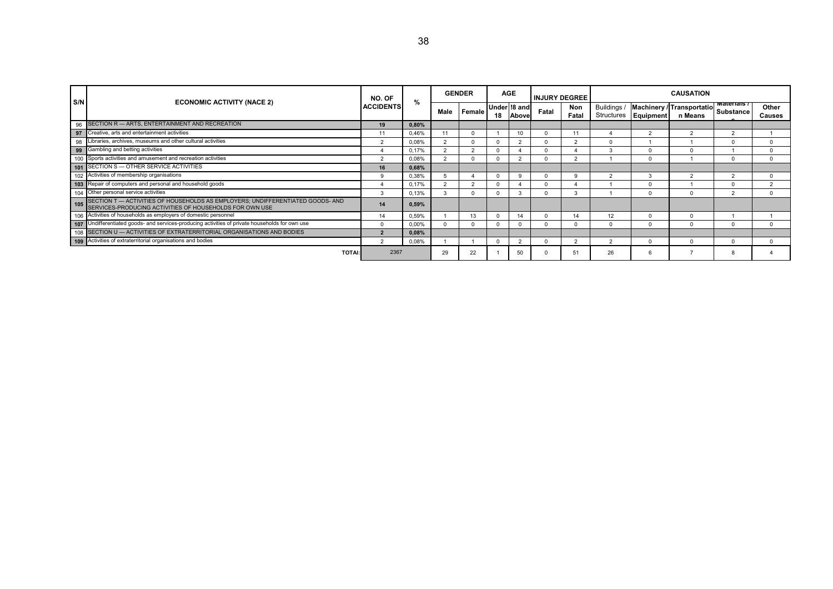| S/N |                                                                                                                                        | NO. OF            | %     |          | <b>GENDER</b> |    | <b>AGE</b>            |       | <b>INJURY DEGREE</b> |                    |                        | <b>CAUSATION</b>                               |                        |
|-----|----------------------------------------------------------------------------------------------------------------------------------------|-------------------|-------|----------|---------------|----|-----------------------|-------|----------------------|--------------------|------------------------|------------------------------------------------|------------------------|
|     | <b>ECONOMIC ACTIVITY (NACE 2)</b>                                                                                                      | <b>ACCIDENTS</b>  | Male  |          | Female        | 18 | Under 18 and<br>Above | Fatal | Non<br>Fatal         | Buildings /        | Structures   Equipment | Machinery / Transportatio Substance<br>n Means | Other<br><b>Causes</b> |
| 96  | SECTION R - ARTS, ENTERTAINMENT AND RECREATION                                                                                         | 19                | 0,80% |          |               |    |                       |       |                      |                    |                        |                                                |                        |
| 97  | Creative, arts and entertainment activities                                                                                            | 11                | 0,46% |          |               |    | 10                    |       |                      |                    | $\overline{a}$         |                                                |                        |
| 98  | Libraries, archives, museums and other cultural activities                                                                             | $\Omega$          | 0.08% | $\Omega$ |               |    |                       |       | ົ                    |                    |                        |                                                |                        |
| 99  | Gambling and betting activities                                                                                                        |                   | 0.17% |          |               |    |                       |       |                      | $\mathbf{\hat{z}}$ | $\Omega$               | $\Omega$                                       |                        |
|     | 100 Sports activities and amusement and recreation activities                                                                          | $\sim$            | 0,08% |          |               |    |                       |       | $\sim$               |                    | $\Omega$               |                                                |                        |
|     | 101 SECTION S - OTHER SERVICE ACTIVITIES                                                                                               | 16                | 0,68% |          |               |    |                       |       |                      |                    |                        |                                                |                        |
| 102 | Activities of membership organisations                                                                                                 | <b>q</b>          | 0,38% |          |               |    |                       |       | ç                    |                    | 3                      | $\sim$                                         |                        |
|     | 103 Repair of computers and personal and household goods                                                                               |                   | 0.17% |          |               |    |                       |       |                      |                    |                        |                                                |                        |
|     | 104 Other personal service activities                                                                                                  |                   | 0,13% |          |               |    |                       |       |                      |                    | $\Omega$               | $\Omega$                                       |                        |
| 105 | SECTION T — ACTIVITIES OF HOUSEHOLDS AS EMPLOYERS; UNDIFFERENTIATED GOODS- AND SERVICES-PRODUCING ACTIVITIES OF HOUSEHOLDS FOR OWN USE | 14                | 0,59% |          |               |    |                       |       |                      |                    |                        |                                                |                        |
|     | 106 Activities of households as employers of domestic personnel                                                                        | 14                | 0,59% |          |               |    | 14                    |       | 14                   | 12                 |                        | $\Omega$                                       |                        |
|     | 107 Undifferentiated goods- and services-producing activities of private households for own use                                        |                   | 0,00% |          |               |    |                       |       |                      |                    | 0                      | $\Omega$                                       |                        |
|     | 108 SECTION U - ACTIVITIES OF EXTRATERRITORIAL ORGANISATIONS AND BODIES                                                                | $\mathbf{\Omega}$ | 0.08% |          |               |    |                       |       |                      |                    |                        |                                                |                        |
|     | 109 Activities of extraterritorial organisations and bodies                                                                            | $\mathcal{D}$     | 0,08% |          |               |    |                       |       |                      |                    | ŋ                      | $\Omega$                                       |                        |
|     | <b>TOTAI:</b>                                                                                                                          | 2367              |       | 29       | 22            |    | 50                    |       | 51                   | 26                 | 6                      |                                                |                        |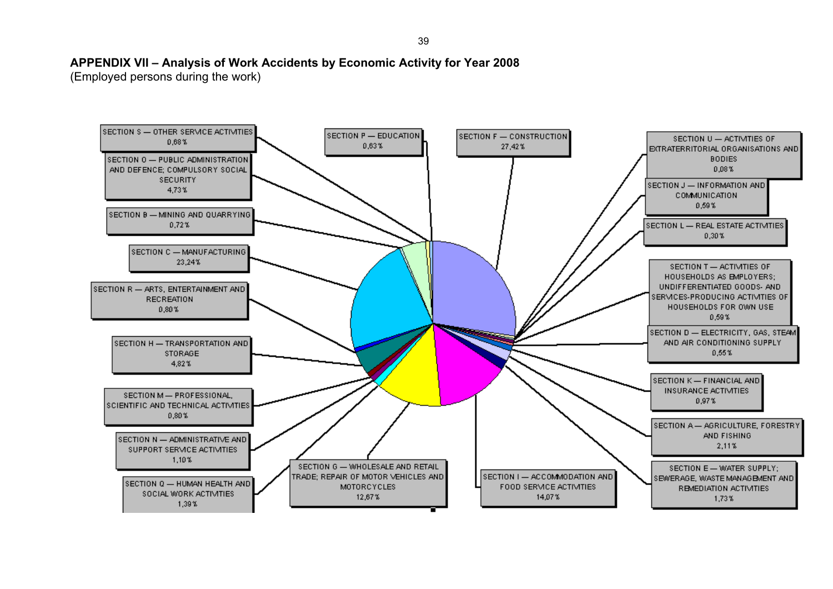# **APPENDIX VII – Analysis of Work Accidents by Economic Activity for Year 2008**

(Employed persons during the work)

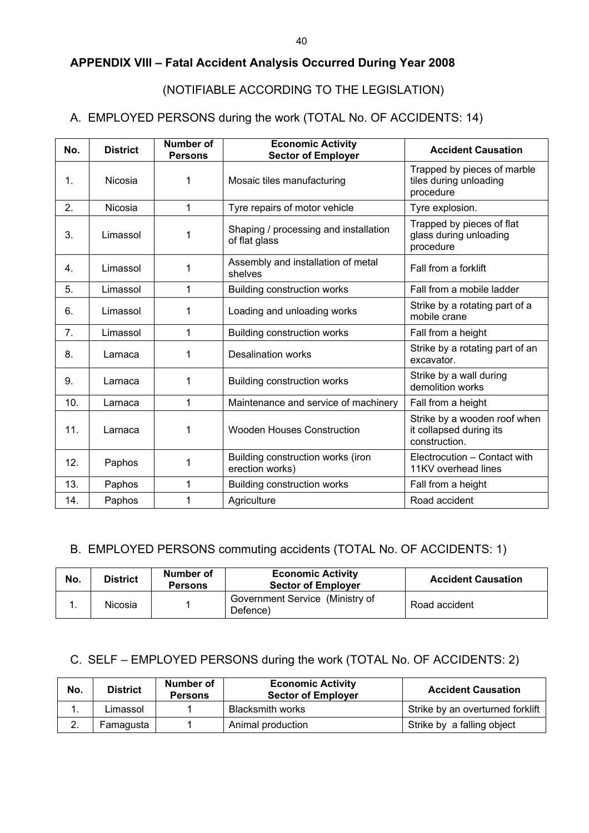# **APPENDIX VIII – Fatal Accident Analysis Occurred During Year 2008**

# (NOTIFIABLE ACCORDING TO THE LEGISLATION)

# A. EMPLOYED PERSONS during the work (TOTAL No. OF ACCIDENTS: 14)

| No. | <b>District</b> | Number of<br><b>Persons</b> | <b>Economic Activity</b><br><b>Sector of Employer</b>  | <b>Accident Causation</b>                                                |
|-----|-----------------|-----------------------------|--------------------------------------------------------|--------------------------------------------------------------------------|
| 1.  | Nicosia         | 1                           | Mosaic tiles manufacturing                             | Trapped by pieces of marble<br>tiles during unloading<br>procedure       |
| 2.  | Nicosia         | 1                           | Tyre repairs of motor vehicle                          | Tyre explosion.                                                          |
| 3.  | Limassol        | 1                           | Shaping / processing and installation<br>of flat glass | Trapped by pieces of flat<br>glass during unloading<br>procedure         |
| 4.  | Limassol        | 1                           | Assembly and installation of metal<br>shelves          | Fall from a forklift                                                     |
| 5.  | Limassol        | 1                           | <b>Building construction works</b>                     | Fall from a mobile ladder                                                |
| 6.  | Limassol        | 1                           | Loading and unloading works                            | Strike by a rotating part of a<br>mobile crane                           |
| 7.  | Limassol        | 1                           | Building construction works                            | Fall from a height                                                       |
| 8.  | Larnaca         | 1                           | <b>Desalination works</b>                              | Strike by a rotating part of an<br>excavator.                            |
| 9.  | Larnaca         | 1                           | <b>Building construction works</b>                     | Strike by a wall during<br>demolition works                              |
| 10. | Larnaca         | 1                           | Maintenance and service of machinery                   | Fall from a height                                                       |
| 11. | Larnaca         | 1                           | <b>Wooden Houses Construction</b>                      | Strike by a wooden roof when<br>it collapsed during its<br>construction. |
| 12. | Paphos          | 1                           | Building construction works (iron<br>erection works)   | Electrocution - Contact with<br>11KV overhead lines                      |
| 13. | Paphos          | 1                           | <b>Building construction works</b>                     | Fall from a height                                                       |
| 14. | Paphos          | 1                           | Agriculture                                            | Road accident                                                            |

# B. EMPLOYED PERSONS commuting accidents (TOTAL No. OF ACCIDENTS: 1)

| No. | <b>District</b> | Number of<br><b>Persons</b> | <b>Economic Activity</b><br><b>Sector of Employer</b> | <b>Accident Causation</b> |
|-----|-----------------|-----------------------------|-------------------------------------------------------|---------------------------|
|     | Nicosia         |                             | Government Service (Ministry of<br>Defence)           | Road accident             |

# C. SELF – EMPLOYED PERSONS during the work (TOTAL No. OF ACCIDENTS: 2)

| No.            | <b>District</b> | Number of<br><b>Persons</b> | <b>Economic Activity</b><br><b>Sector of Employer</b> | <b>Accident Causation</b>        |
|----------------|-----------------|-----------------------------|-------------------------------------------------------|----------------------------------|
| . .            | Limassol        |                             | <b>Blacksmith works</b>                               | Strike by an overturned forklift |
| ⌒<br><u>L.</u> | Famagusta       |                             | Animal production                                     | Strike by a falling object       |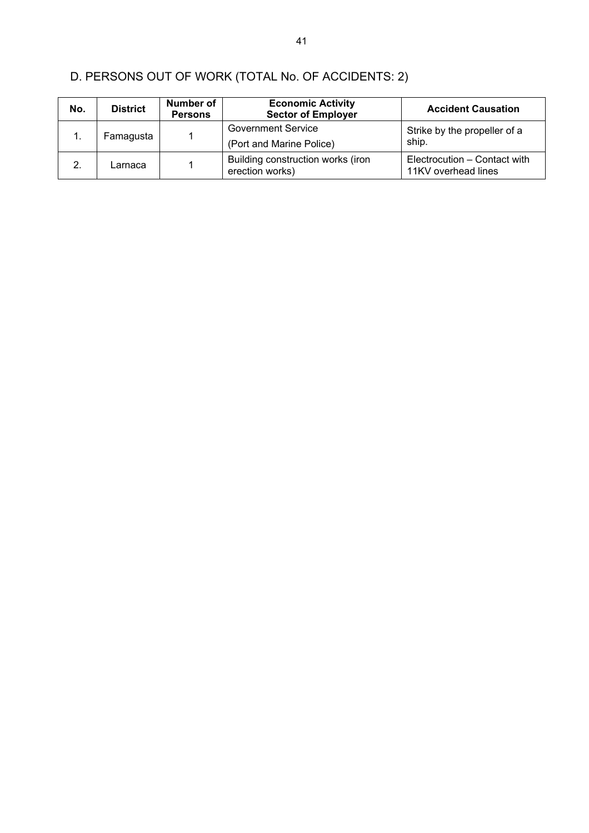| No. | <b>District</b> | Number of<br><b>Persons</b> | <b>Economic Activity</b><br><b>Sector of Employer</b> | <b>Accident Causation</b>                           |
|-----|-----------------|-----------------------------|-------------------------------------------------------|-----------------------------------------------------|
| 1.  | Famagusta       |                             | <b>Government Service</b><br>(Port and Marine Police) | Strike by the propeller of a<br>ship.               |
| 2.  | Larnaca         |                             | Building construction works (iron<br>erection works)  | Electrocution – Contact with<br>11KV overhead lines |

# D. PERSONS OUT OF WORK (TOTAL No. OF ACCIDENTS: 2)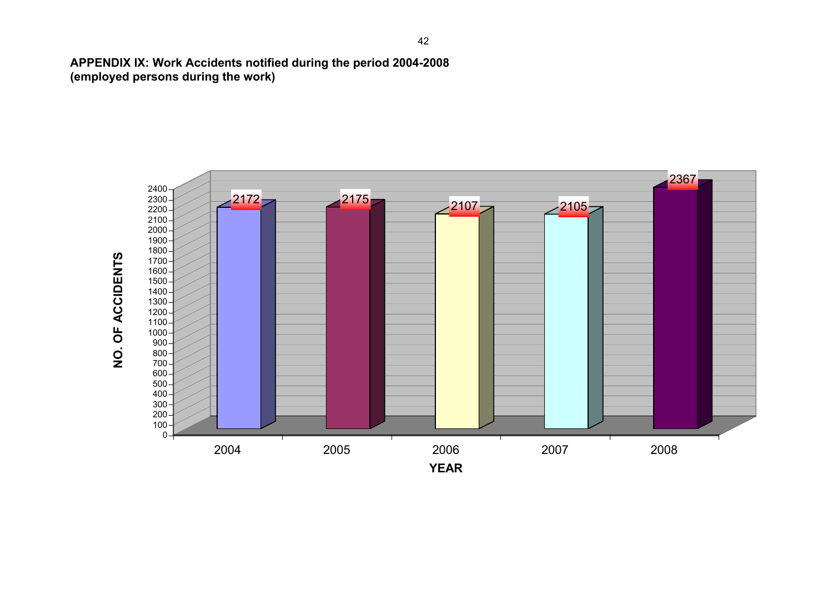**APPENDIX IX: Work Accidents notified during the period 2004-2008 (employed persons during the work)** 

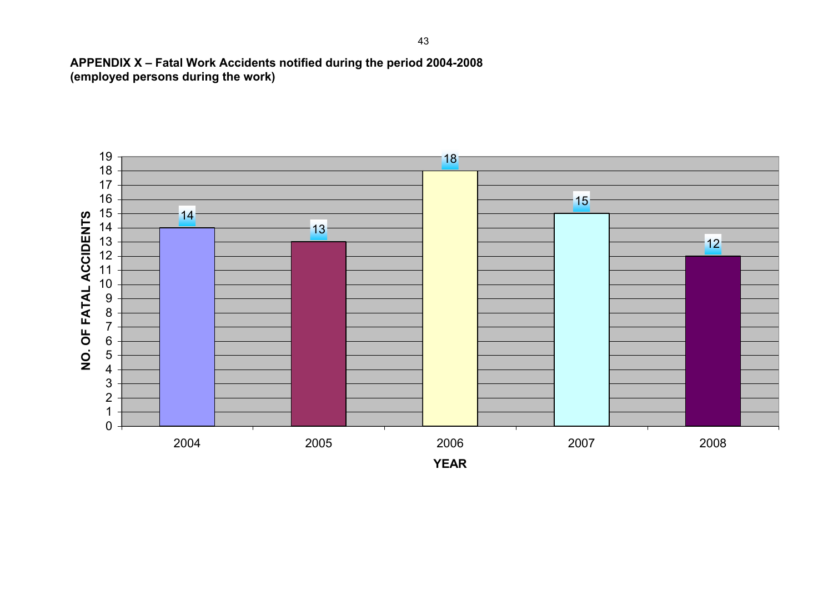**APPENDIX X – Fatal Work Accidents notified during the period 2004-2008 (employed persons during the work)** 

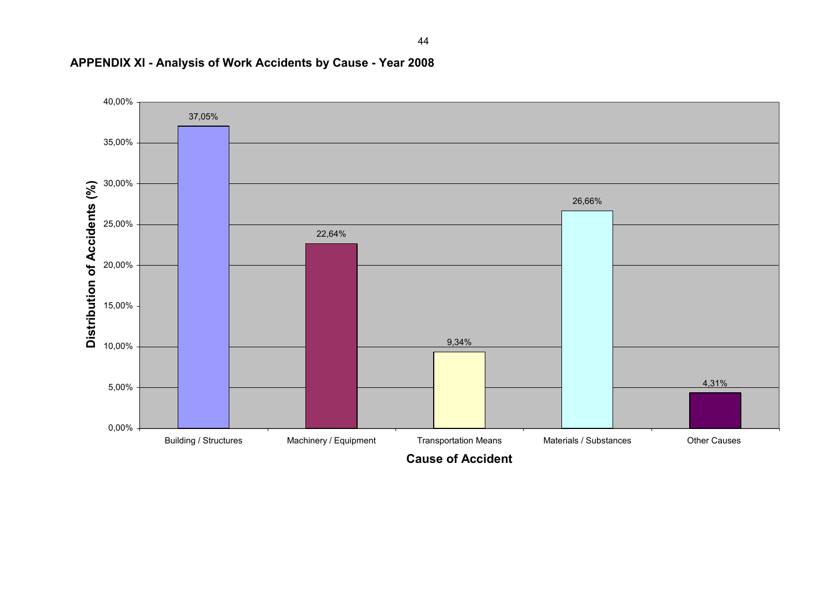

# **APPENDIX XI - Analysis of Work Accidents by Cause - Year 2008**

44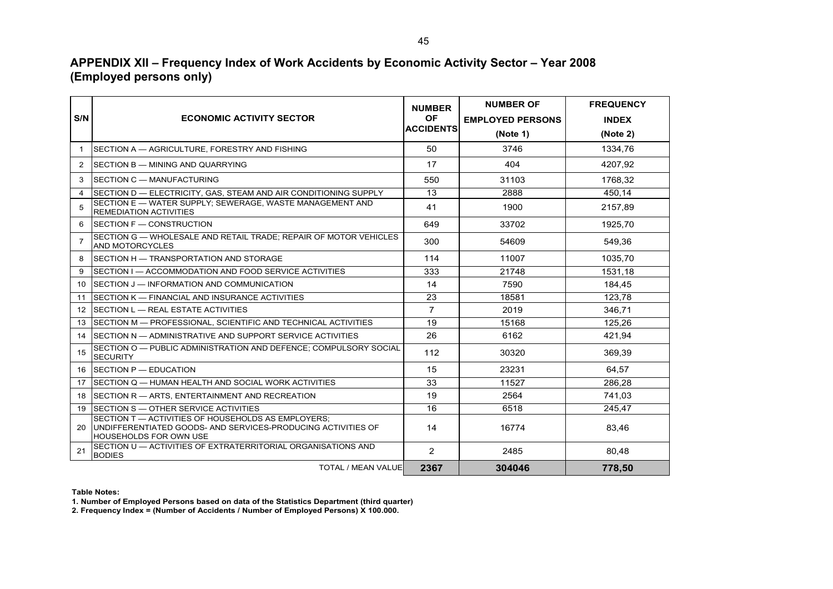# **APPENDIX XII – Frequency Index of Work Accidents by Economic Activity Sector – Year 2008 (Employed persons only)**

|                |                                                                                                                                              | <b>NUMBER</b>    | <b>NUMBER OF</b>        | <b>FREQUENCY</b> |
|----------------|----------------------------------------------------------------------------------------------------------------------------------------------|------------------|-------------------------|------------------|
| S/N            | <b>ECONOMIC ACTIVITY SECTOR</b>                                                                                                              | <b>OF</b>        | <b>EMPLOYED PERSONS</b> | <b>INDEX</b>     |
|                |                                                                                                                                              | <b>ACCIDENTS</b> | (Note 1)                | (Note 2)         |
| $\mathbf 1$    | SECTION A - AGRICULTURE, FORESTRY AND FISHING                                                                                                | 50               | 3746                    | 1334.76          |
| 2              | SECTION B - MINING AND QUARRYING                                                                                                             | 17               | 404                     | 4207.92          |
| 3              | SECTION C - MANUFACTURING                                                                                                                    | 550              | 31103                   | 1768.32          |
| 4              | SECTION D - ELECTRICITY, GAS, STEAM AND AIR CONDITIONING SUPPLY                                                                              | 13               | 2888                    | 450,14           |
| 5              | SECTION E - WATER SUPPLY: SEWERAGE, WASTE MANAGEMENT AND<br>REMEDIATION ACTIVITIES                                                           | 41               | 1900                    | 2157.89          |
| 6              | SECTION F - CONSTRUCTION                                                                                                                     | 649              | 33702                   | 1925,70          |
| $\overline{7}$ | SECTION G - WHOLESALE AND RETAIL TRADE: REPAIR OF MOTOR VEHICLES<br><b>AND MOTORCYCLES</b>                                                   | 300              | 54609                   | 549.36           |
| 8              | SECTION H - TRANSPORTATION AND STORAGE                                                                                                       | 114              | 11007                   | 1035.70          |
| 9              | SECTION I — ACCOMMODATION AND FOOD SERVICE ACTIVITIES                                                                                        | 333              | 21748                   | 1531.18          |
| 10             | SECTION J - INFORMATION AND COMMUNICATION                                                                                                    | 14               | 7590                    | 184.45           |
| 11             | SECTION K - FINANCIAL AND INSURANCE ACTIVITIES                                                                                               | 23               | 18581                   | 123,78           |
| 12             | SECTION L - REAL ESTATE ACTIVITIES                                                                                                           | $\overline{7}$   | 2019                    | 346.71           |
| 13             | ISECTION M — PROFESSIONAL. SCIENTIFIC AND TECHNICAL ACTIVITIES                                                                               | 19               | 15168                   | 125,26           |
| 14             | SECTION N — ADMINISTRATIVE AND SUPPORT SERVICE ACTIVITIES                                                                                    | 26               | 6162                    | 421,94           |
| 15             | SECTION O - PUBLIC ADMINISTRATION AND DEFENCE: COMPULSORY SOCIAL<br><b>SECURITY</b>                                                          | 112              | 30320                   | 369,39           |
| 16             | <b>ISECTION P — EDUCATION</b>                                                                                                                | 15               | 23231                   | 64.57            |
| 17             | SECTION Q — HUMAN HEALTH AND SOCIAL WORK ACTIVITIES                                                                                          | 33               | 11527                   | 286.28           |
| 18             | SECTION R - ARTS, ENTERTAINMENT AND RECREATION                                                                                               | 19               | 2564                    | 741,03           |
| 19             | SECTION S — OTHER SERVICE ACTIVITIES                                                                                                         | 16               | 6518                    | 245.47           |
| 20             | SECTION T - ACTIVITIES OF HOUSEHOLDS AS EMPLOYERS;<br>UNDIFFERENTIATED GOODS- AND SERVICES-PRODUCING ACTIVITIES OF<br>HOUSEHOLDS FOR OWN USE | 14               | 16774                   | 83,46            |
| 21             | SECTION U - ACTIVITIES OF EXTRATERRITORIAL ORGANISATIONS AND<br><b>BODIES</b>                                                                | 2                | 2485                    | 80,48            |
|                | <b>TOTAL / MEAN VALUE</b>                                                                                                                    | 2367             | 304046                  | 778,50           |

**Table Notes:**

**1. Number of Employed Persons based on data of the Statistics Department (third quarter)**

**2. Frequency Index = (Number of Accidents / Number of Employed Persons) Χ 100.000.**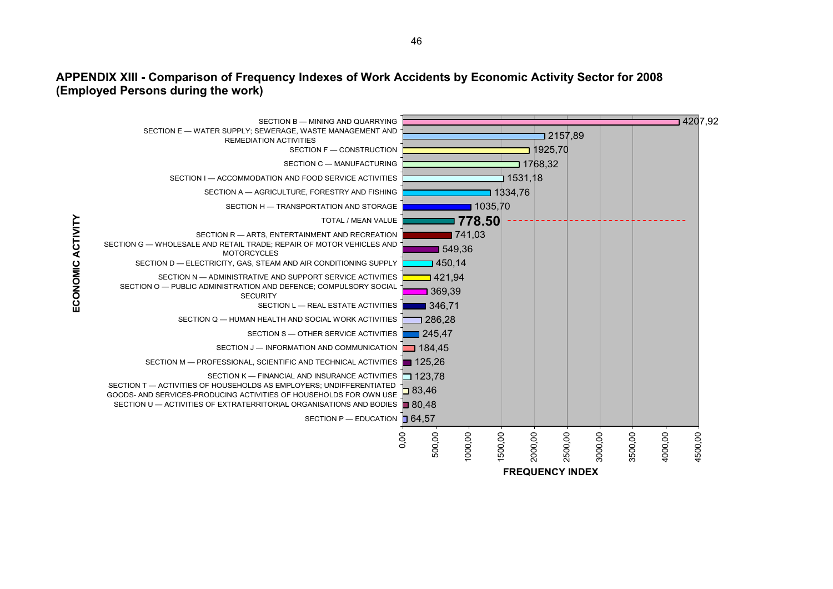### **APPENDIX XIII - Comparison of Frequency Indexes of Work Accidents by Economic Activity Sector for 2008 (Employed Persons during the work)**

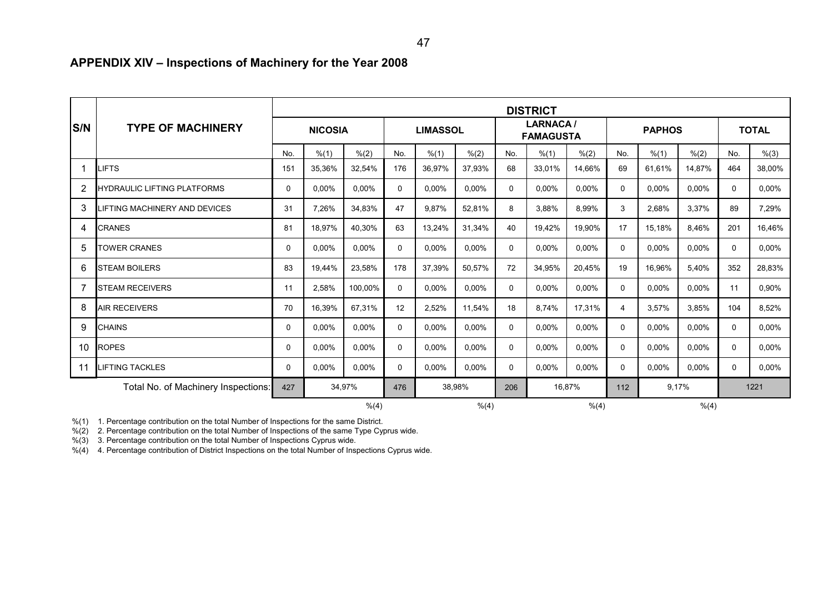# **APPENDIX XIV – Inspections of Machinery for the Year 2008**

|                |                                     | <b>DISTRICT</b> |                |         |               |                 |          |               |                                     |        |              |               |          |              |        |
|----------------|-------------------------------------|-----------------|----------------|---------|---------------|-----------------|----------|---------------|-------------------------------------|--------|--------------|---------------|----------|--------------|--------|
| <b>S/N</b>     | <b>TYPE OF MACHINERY</b>            |                 | <b>NICOSIA</b> |         |               | <b>LIMASSOL</b> |          |               | <b>LARNACA/</b><br><b>FAMAGUSTA</b> |        |              | <b>PAPHOS</b> |          | <b>TOTAL</b> |        |
|                |                                     | No.             | % (1)          | % (2)   | No.           | % (1)           | % (2)    | No.           | % (1)                               | % (2)  | No.          | % (1)         | % (2)    | No.          | % (3)  |
|                | <b>LIFTS</b>                        | 151             | 35,36%         | 32,54%  | 176           | 36,97%          | 37,93%   | 68            | 33,01%                              | 14,66% | 69           | 61.61%        | 14,87%   | 464          | 38,00% |
| $\overline{2}$ | HYDRAULIC LIFTING PLATFORMS         | 0               | 0,00%          | 0,00%   | 0             | 0,00%           | 0,00%    | $\Omega$      | 0,00%                               | 0,00%  | $\mathbf{0}$ | 0,00%         | 0,00%    | $\Omega$     | 0,00%  |
| 3              | LIFTING MACHINERY AND DEVICES       | 31              | 7,26%          | 34,83%  | 47            | 9,87%           | 52,81%   | 8             | 3,88%                               | 8,99%  | 3            | 2,68%         | 3,37%    | 89           | 7,29%  |
| 4              | <b>CRANES</b>                       | 81              | 18,97%         | 40,30%  | 63            | 13,24%          | 31,34%   | 40            | 19,42%                              | 19,90% | 17           | 15,18%        | 8,46%    | 201          | 16,46% |
| 5              | <b>TOWER CRANES</b>                 | $\Omega$        | 0,00%          | 0,00%   | 0             | 0,00%           | 0.00%    | $\Omega$      | 0,00%                               | 0,00%  | 0            | 0,00%         | 0,00%    | $\Omega$     | 0,00%  |
| 6              | <b>STEAM BOILERS</b>                | 83              | 19,44%         | 23,58%  | 178           | 37,39%          | 50,57%   | 72            | 34,95%                              | 20,45% | 19           | 16,96%        | 5,40%    | 352          | 28,83% |
|                | STEAM RECEIVERS                     | 11              | 2,58%          | 100,00% | 0             | 0,00%           | 0,00%    | $\Omega$      | 0,00%                               | 0,00%  | 0            | 0,00%         | 0,00%    | 11           | 0,90%  |
| 8              | <b>AIR RECEIVERS</b>                | 70              | 16,39%         | 67,31%  | 12            | 2,52%           | 11,54%   | 18            | 8.74%                               | 17,31% | 4            | 3.57%         | 3,85%    | 104          | 8,52%  |
| 9              | <b>CHAINS</b>                       | 0               | $0.00\%$       | 0,00%   | 0             | $0.00\%$        | $0.00\%$ | 0             | 0,00%                               | 0,00%  | $\mathbf{0}$ | 0.00%         | $0.00\%$ | $\Omega$     | 0,00%  |
| 10             | <b>ROPES</b>                        | 0               | 0,00%          | 0,00%   | 0             | 0,00%           | 0,00%    | 0             | 0,00%                               | 0,00%  | 0            | 0,00%         | 0,00%    | $\Omega$     | 0,00%  |
| 11             | LIFTING TACKLES                     | $\Omega$        | 0,00%          | 0,00%   | $\mathbf 0$   | 0,00%           | $0.00\%$ | $\Omega$      | 0,00%                               | 0,00%  | 0            | 0.00%         | 0,00%    | $\Omega$     | 0,00%  |
|                | Total No. of Machinery Inspections: | 34,97%<br>427   |                |         | 38,98%<br>476 |                 |          | 16,87%<br>206 |                                     |        | 9,17%<br>112 |               |          | 1221         |        |
|                |                                     |                 |                | % (4)   |               |                 | % (4)    |               |                                     | % (4)  |              |               | % (4)    |              |        |

%(1) 1. Percentage contribution on the total Number of Inspections for the same District.

%(2) 2. Percentage contribution on the total Number of Inspections of the same Type Cyprus wide.

%(3) 3. Percentage contribution on the total Number of Inspections Cyprus wide.

%(4) 4. Percentage contribution of District Inspections on the total Number of Inspections Cyprus wide.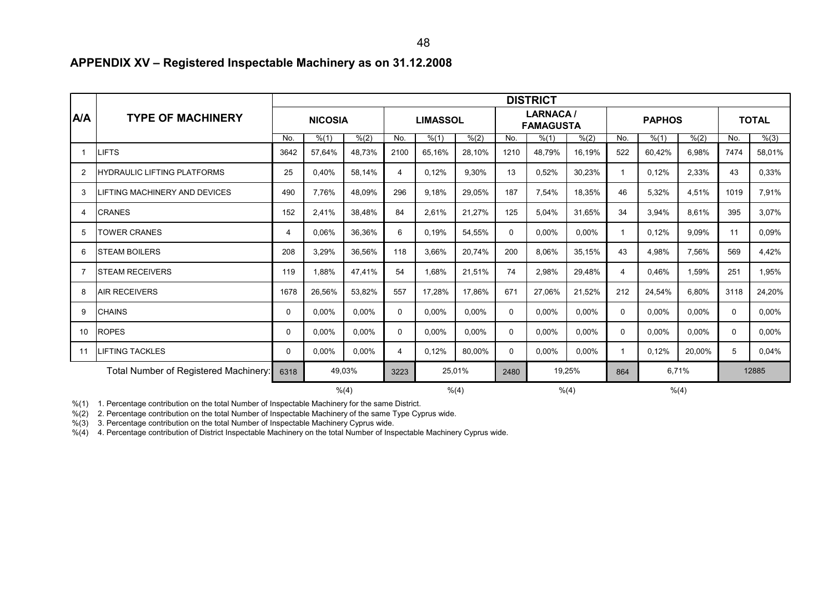# **APPENDIX XV – Registered Inspectable Machinery as on 31.12.2008**

|                |                                               | <b>DISTRICT</b> |                |          |                |                 |                |              |                                     |              |              |               |          |              |              |
|----------------|-----------------------------------------------|-----------------|----------------|----------|----------------|-----------------|----------------|--------------|-------------------------------------|--------------|--------------|---------------|----------|--------------|--------------|
| <b>A/A</b>     | <b>TYPE OF MACHINERY</b>                      |                 | <b>NICOSIA</b> |          |                | <b>LIMASSOL</b> |                |              | <b>LARNACA/</b><br><b>FAMAGUSTA</b> |              |              | <b>PAPHOS</b> |          |              | <b>TOTAL</b> |
|                |                                               | No.             | % (1)          | % (2)    | No.            | % (1)           | % (2)          | No.          | % (1)                               | % (2)        | No.          | % (1)         | % (2)    | No.          | % (3)        |
|                | <b>LIFTS</b>                                  | 3642            | 57,64%         | 48,73%   | 2100           | 65,16%          | 28,10%         | 1210         | 48,79%                              | 16,19%       | 522          | 60,42%        | 6,98%    | 7474         | 58,01%       |
| 2              | <b>HYDRAULIC LIFTING PLATFORMS</b>            | 25              | 0,40%          | 58,14%   | $\overline{4}$ | 0,12%           | 9,30%          | 13           | 0,52%                               | 30,23%       | $\mathbf{1}$ | 0,12%         | 2,33%    | 43           | 0,33%        |
| 3              | LIFTING MACHINERY AND DEVICES                 | 490             | 7,76%          | 48,09%   | 296            | 9,18%           | 29,05%         | 187          | 7,54%                               | 18,35%       | 46           | 5,32%         | 4,51%    | 1019         | 7,91%        |
| $\overline{4}$ | <b>CRANES</b>                                 | 152             | 2,41%          | 38,48%   | 84             | 2,61%           | 21,27%         | 125          | 5,04%                               | 31,65%       | 34           | 3,94%         | 8,61%    | 395          | 3,07%        |
| 5              | <b>TOWER CRANES</b>                           | $\overline{4}$  | 0,06%          | 36,36%   | 6              | 0,19%           | 54,55%         | $\mathbf{0}$ | 0,00%                               | 0,00%        | $\mathbf{1}$ | 0,12%         | 9,09%    | 11           | 0,09%        |
| 6              | ISTEAM BOILERS                                | 208             | 3,29%          | 36,56%   | 118            | 3,66%           | 20,74%         | 200          | 8,06%                               | 35,15%       | 43           | 4,98%         | 7,56%    | 569          | 4,42%        |
|                | <b>ISTEAM RECEIVERS</b>                       | 119             | 1,88%          | 47,41%   | 54             | 1,68%           | 21,51%         | 74           | 2,98%                               | 29,48%       | 4            | 0.46%         | 1,59%    | 251          | 1,95%        |
| 8              | <b>AIR RECEIVERS</b>                          | 1678            | 26,56%         | 53,82%   | 557            | 17,28%          | 17,86%         | 671          | 27,06%                              | 21,52%       | 212          | 24,54%        | 6,80%    | 3118         | 24,20%       |
| 9              | <b>CHAINS</b>                                 | $\Omega$        | 0,00%          | 0,00%    | $\Omega$       | 0,00%           | 0,00%          | $\Omega$     | 0,00%                               | 0,00%        | 0            | 0,00%         | 0,00%    | $\mathbf{0}$ | 0,00%        |
| 10             | <b>ROPES</b>                                  | 0               | $0.00\%$       | $0.00\%$ | $\mathbf 0$    | 0,00%           | $0.00\%$       | $\mathbf{0}$ | 0.00%                               | 0,00%        | 0            | $0.00\%$      | $0.00\%$ | $\Omega$     | 0.00%        |
| 11             | <b>LIFTING TACKLES</b>                        | 0               | 0,00%          | 0,00%    | 4              | 0,12%           | 80.00%         | $\Omega$     | 0,00%                               | $0,00\%$     | 1            | 0,12%         | 20,00%   | 5            | 0,04%        |
|                | Total Number of Registered Machinery:<br>6318 |                 | 49,03%         |          | 25,01%<br>3223 |                 | 19,25%<br>2480 |              |                                     | 6,71%<br>864 |              |               | 12885    |              |              |
| % (4)          |                                               |                 |                |          |                |                 | % (4)          |              |                                     | % (4)        |              | % (4)         |          |              |              |

%(1) 1. Percentage contribution on the total Number of Inspectable Machinery for the same District.

%(2) 2. Percentage contribution on the total Number of Inspectable Machinery of the same Type Cyprus wide.

%(3) 3. Percentage contribution on the total Number of Inspectable Machinery Cyprus wide.

%(4) 4. Percentage contribution of District Inspectable Machinery on the total Number of Inspectable Machinery Cyprus wide.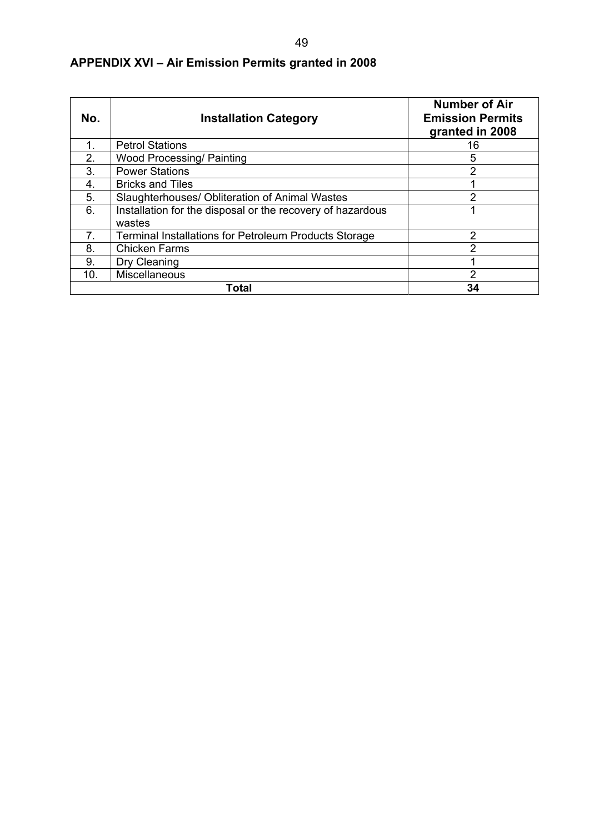| No. | <b>Installation Category</b>                                 | <b>Number of Air</b><br><b>Emission Permits</b><br>granted in 2008 |
|-----|--------------------------------------------------------------|--------------------------------------------------------------------|
| 1.  | <b>Petrol Stations</b>                                       | 16                                                                 |
| 2.  | <b>Wood Processing/ Painting</b>                             | 5                                                                  |
| 3.  | <b>Power Stations</b>                                        | 2                                                                  |
| 4.  | <b>Bricks and Tiles</b>                                      |                                                                    |
| 5.  | Slaughterhouses/ Obliteration of Animal Wastes               | 2                                                                  |
| 6.  | Installation for the disposal or the recovery of hazardous   |                                                                    |
|     | wastes                                                       |                                                                    |
| 7.  | <b>Terminal Installations for Petroleum Products Storage</b> | 2                                                                  |
| 8.  | <b>Chicken Farms</b>                                         | າ                                                                  |
| 9.  | Dry Cleaning                                                 |                                                                    |
| 10. | <b>Miscellaneous</b>                                         | 2                                                                  |
|     | Total                                                        | 34                                                                 |

# **APPENDIX XVI – Air Emission Permits granted in 2008**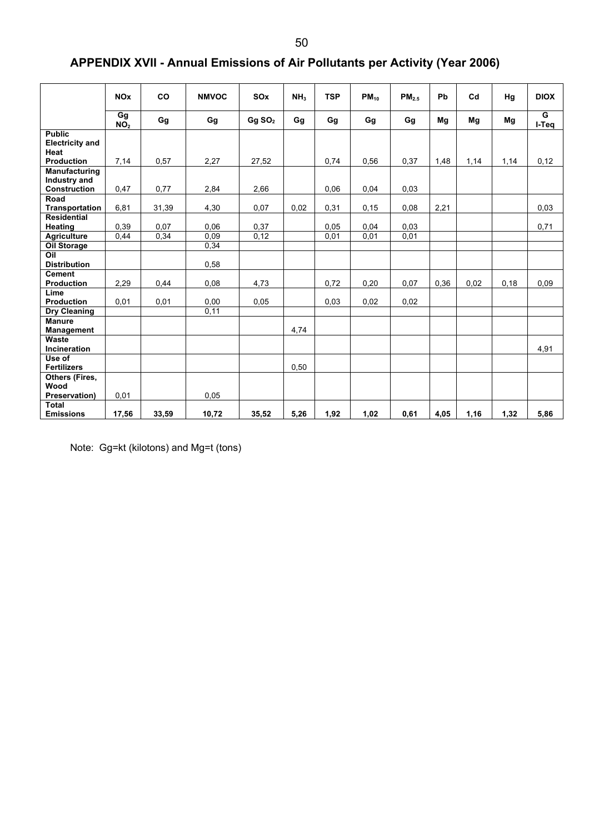# **APPENDIX XVII - Annual Emissions of Air Pollutants per Activity (Year 2006)**

|                                                      | <b>NO<sub>x</sub></b>   | CO            | <b>NMVOC</b> | SOx                | NH <sub>3</sub> | <b>TSP</b>   | $PM_{10}$     | PM <sub>2.5</sub> | Pb   | Cd   | Hg   | <b>DIOX</b> |
|------------------------------------------------------|-------------------------|---------------|--------------|--------------------|-----------------|--------------|---------------|-------------------|------|------|------|-------------|
|                                                      | Gg<br>$N\overline{O}_2$ | Gg            | Gg           | Gg SO <sub>2</sub> | Gg              | Gg           | Gg            | Gg                | Mg   | Mg   | Mg   | G<br>I-Teq  |
| <b>Public</b><br><b>Electricity and</b><br>Heat      |                         |               |              |                    |                 |              |               |                   |      |      |      |             |
| <b>Production</b><br>Manufacturing<br>Industry and   | 7,14                    | 0.57          | 2,27         | 27,52              |                 | 0,74         | 0.56          | 0.37              | 1,48 | 1,14 | 1,14 | 0,12        |
| <b>Construction</b><br>Road<br><b>Transportation</b> | 0,47<br>6,81            | 0,77<br>31,39 | 2.84<br>4,30 | 2,66<br>0,07       | 0,02            | 0.06<br>0,31 | 0.04<br>0, 15 | 0.03<br>0.08      | 2,21 |      |      | 0.03        |
| <b>Residential</b><br><b>Heating</b>                 | 0,39                    | 0,07          | 0,06         | 0,37               |                 | 0.05         | 0,04          | 0,03              |      |      |      | 0,71        |
| Agriculture<br><b>Oil Storage</b><br>Oil             | 0.44                    | 0,34          | 0.09<br>0,34 | 0,12               |                 | 0,01         | 0,01          | 0,01              |      |      |      |             |
| <b>Distribution</b><br><b>Cement</b>                 |                         |               | 0,58         |                    |                 |              |               |                   |      |      |      |             |
| <b>Production</b><br>Lime<br>Production              | 2,29<br>0.01            | 0,44<br>0,01  | 0,08<br>0,00 | 4,73<br>0,05       |                 | 0.72<br>0.03 | 0,20<br>0,02  | 0.07<br>0,02      | 0,36 | 0,02 | 0,18 | 0.09        |
| Dry Cleaning<br><b>Manure</b>                        |                         |               | 0,11         |                    |                 |              |               |                   |      |      |      |             |
| <b>Management</b><br>Waste<br><b>Incineration</b>    |                         |               |              |                    | 4,74            |              |               |                   |      |      |      | 4,91        |
| Use of<br><b>Fertilizers</b>                         |                         |               |              |                    | 0,50            |              |               |                   |      |      |      |             |
| Others (Fires,<br>Wood<br>Preservation)              | 0,01                    |               | 0.05         |                    |                 |              |               |                   |      |      |      |             |
| <b>Total</b><br><b>Emissions</b>                     | 17,56                   | 33,59         | 10,72        | 35,52              | 5,26            | 1,92         | 1,02          | 0,61              | 4,05 | 1,16 | 1,32 | 5,86        |

Note: Gg=kt (kilotons) and Mg=t (tons)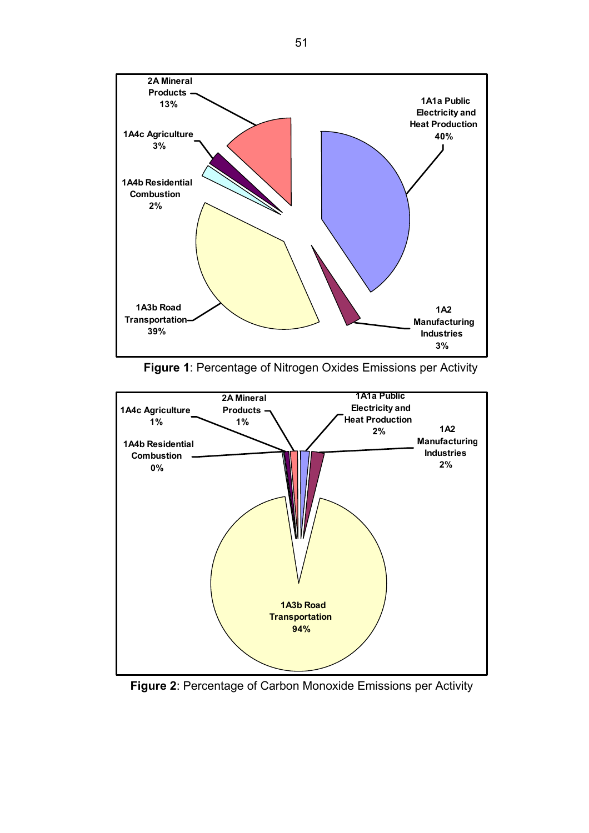

**Figure 1**: Percentage of Nitrogen Oxides Emissions per Activity



**Figure 2**: Percentage of Carbon Monoxide Emissions per Activity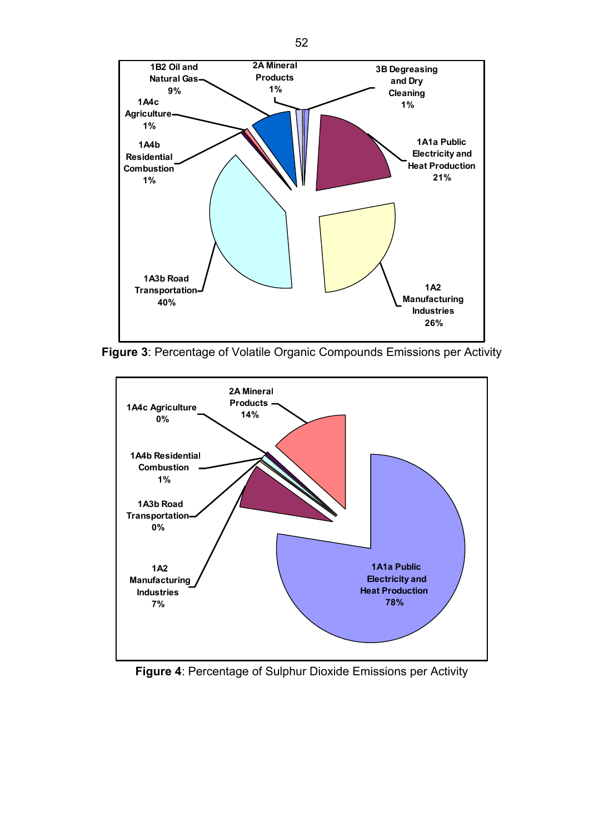

**Figure 3**: Percentage of Volatile Organic Compounds Emissions per Activity



**Figure 4**: Percentage of Sulphur Dioxide Emissions per Activity

52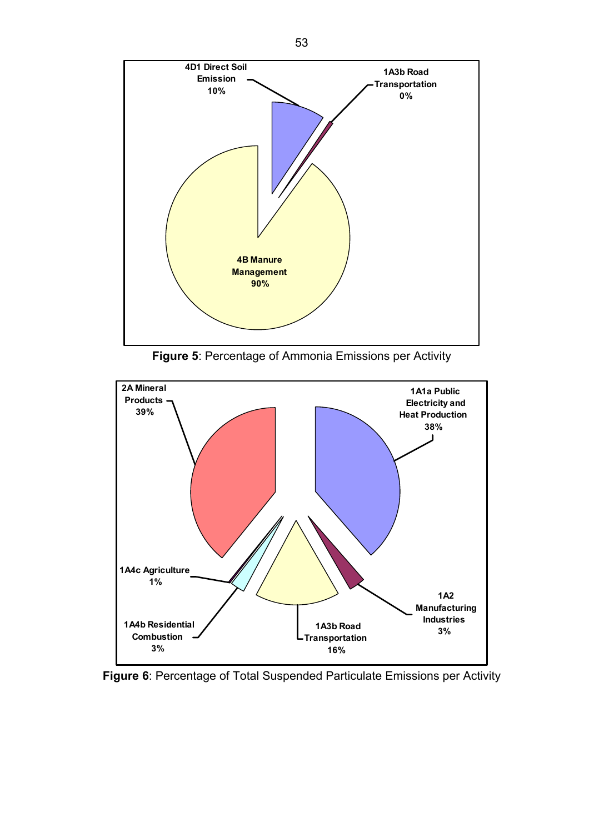

**Figure 5**: Percentage of Ammonia Emissions per Activity



**Figure 6**: Percentage of Total Suspended Particulate Emissions per Activity

53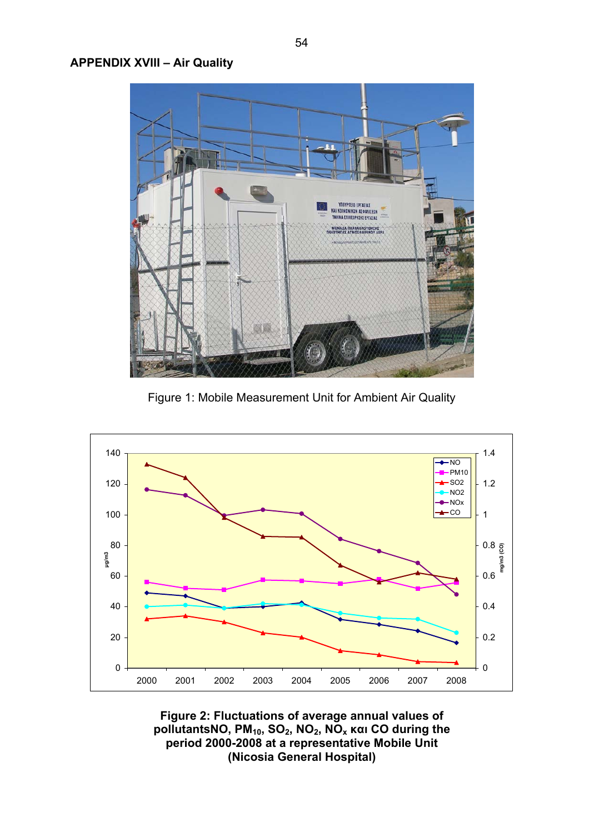

Figure 1: Mobile Measurement Unit for Ambient Air Quality



**Figure 2: Fluctuations of average annual values of pollutantsΝΟ, PΜ10, SO2, NO2, NOx και CO during the period 2000-2008 at a representative Mobile Unit (Nicosia General Hospital)**